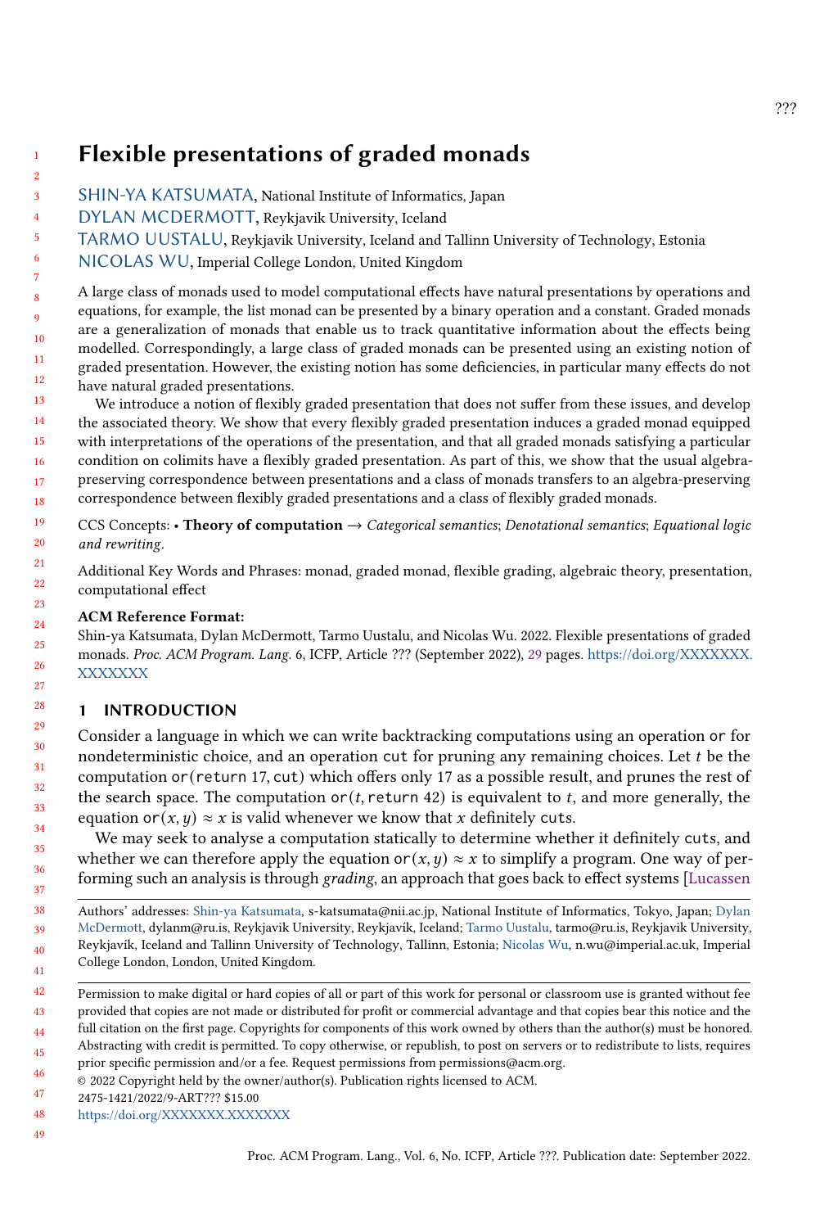# Flexible presentations of graded monads

- 3 [SHIN-YA KATSUMATA,](HTTPS://ORCID.ORG/0000-0001-7529-5489) National Institute of Informatics, Japan
	- [DYLAN MCDERMOTT,](HTTPS://ORCID.ORG/0000-0002-6705-1449) Reykjavik University, Iceland
- 5 [TARMO UUSTALU,](HTTPS://ORCID.ORG/0000-0002-1297-0579) Reykjavik University, Iceland and Tallinn University of Technology, Estonia
- 6 [NICOLAS WU,](HTTPS://ORCID.ORG/0000-0002-4161-985X) Imperial College London, United Kingdom

10 11 12 A large class of monads used to model computational effects have natural presentations by operations and equations, for example, the list monad can be presented by a binary operation and a constant. Graded monads are a generalization of monads that enable us to track quantitative information about the effects being modelled. Correspondingly, a large class of graded monads can be presented using an existing notion of graded presentation. However, the existing notion has some deficiencies, in particular many effects do not have natural graded presentations.

13 14 15 16 17 18 We introduce a notion of flexibly graded presentation that does not suffer from these issues, and develop the associated theory. We show that every flexibly graded presentation induces a graded monad equipped with interpretations of the operations of the presentation, and that all graded monads satisfying a particular condition on colimits have a flexibly graded presentation. As part of this, we show that the usual algebrapreserving correspondence between presentations and a class of monads transfers to an algebra-preserving correspondence between flexibly graded presentations and a class of flexibly graded monads.

19 20 CCS Concepts: • Theory of computation  $\rightarrow$  Categorical semantics; Denotational semantics; Equational logic and rewriting.

Additional Key Words and Phrases: monad, graded monad, flexible grading, algebraic theory, presentation, computational effect

# ACM Reference Format:

Shin-ya Katsumata, Dylan McDermott, Tarmo Uustalu, and Nicolas Wu. 2022. Flexible presentations of graded monads. Proc. ACM Program. Lang. 6, ICFP, Article ??? (September 2022), [29](#page-28-0) pages. [https://doi.org/XXXXXXX.](https://doi.org/XXXXXXX.XXXXXXX) [XXXXXXX](https://doi.org/XXXXXXX.XXXXXXX)

# 1 INTRODUCTION

Consider a language in which we can write backtracking computations using an operation or for nondeterministic choice, and an operation cut for pruning any remaining choices. Let  $t$  be the computation or(return 17, cut) which offers only 17 as a possible result, and prunes the rest of the search space. The computation or  $(t,$  return 42) is equivalent to  $t$ , and more generally, the equation or  $(x, y) \approx x$  is valid whenever we know that x definitely cuts.

We may seek to analyse a computation statically to determine whether it definitely cuts, and whether we can therefore apply the equation or  $(x, y) \approx x$  to simplify a program. One way of per-forming such an analysis is through grading, an approach that goes back to effect systems [\[Lucassen](#page-27-0)]

47 [2475-1421/2022/9-ART??? \\$15.00](#page-27-0)

1 2

4

7 8 9

<sup>38</sup> 39 40 41 Authors' addresses: [Shin-ya Katsumata, s-katsumata@nii.ac.jp, National Institute of Informatics, Tokyo, Japan;](#page-27-0) [Dylan](https://orcid.org/0000-0002-6705-1449) [McDermott, dylanm@ru.is, Reykjavik University, Reykjavík, Iceland;](#page-27-0) [Tarmo Uustalu,](https://orcid.org/0000-0002-1297-0579) tarmo@ru.is, Reykjavik University, [Reykjavík, Iceland and Tallinn University of Technology, Tallinn, Estonia;](#page-27-0) [Nicolas Wu,](https://orcid.org/0000-0002-4161-985X) n.wu@imperial.ac.uk, Imperial [College London, London, United Kingdom.](#page-27-0)

<sup>42</sup> 43 44 [Permission to make digital or hard copies of all or part of this work for personal or classroom use is granted without fee](#page-27-0) [provided that copies are not made or distributed for profit or commercial advantage and that copies bear this notice and the](#page-27-0) [full citation on the first page. Copyrights for components of this work owned by others than the author\(s\) must be honored.](#page-27-0)

<sup>45</sup> 46 [Abstracting with credit is permitted. To copy otherwise, or republish, to post on servers or to redistribute to lists, requires](#page-27-0) [prior specific permission and/or a fee. Request permissions from permissions@acm.org.](#page-27-0)

<sup>©</sup> [2022 Copyright held by the owner/author\(s\). Publication rights licensed to ACM.](#page-27-0)

<sup>48</sup> [https://doi.org/XXXXXXX.XXXXXXX](#page-27-0)

<sup>49</sup>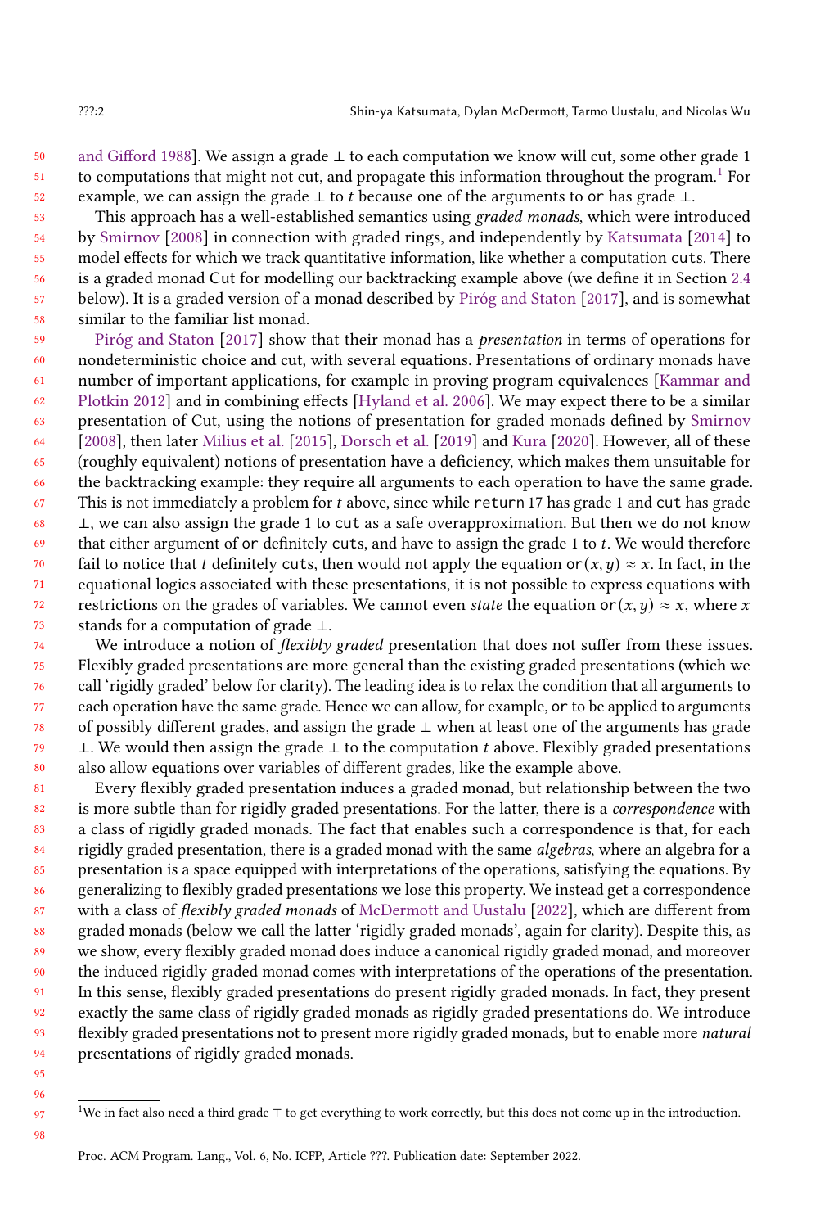50 51 52 [and Gifford](#page-27-0) [1988\]](#page-27-0). We assign a grade ⊥ to each computation we know will cut, some other grade 1 to computations that might not cut, and propagate this information throughout the program.[1](#page-1-0) For example, we can assign the grade ⊥ to *t* because one of the arguments to or has grade ⊥.

53 54 55 56 57 58 This approach has a well-established semantics using graded monads, which were introduced by [Smirnov](#page-27-1) [\[2008\]](#page-27-1) in connection with graded rings, and independently by [Katsumata](#page-27-2) [\[2014\]](#page-27-2) to model effects for which we track quantitative information, like whether a computation cuts. There is a graded monad Cut for modelling our backtracking example above (we define it in Section [2.4](#page-6-0) below). It is a graded version of a monad described by [Piróg and Staton](#page-27-3) [\[2017\]](#page-27-3), and is somewhat similar to the familiar list monad.

59 60 61 62 63 64 65 66 67 68 69 70 71 72 73 [Piróg and Staton](#page-27-3) [\[2017\]](#page-27-3) show that their monad has a presentation in terms of operations for nondeterministic choice and cut, with several equations. Presentations of ordinary monads have number of important applications, for example in proving program equivalences [\[Kammar and](#page-27-4) [Plotkin](#page-27-4) [2012\]](#page-27-4) and in combining effects [\[Hyland et al.](#page-27-5) [2006\]](#page-27-5). We may expect there to be a similar presentation of Cut, using the notions of presentation for graded monads defined by [Smirnov](#page-27-1) [\[2008\]](#page-27-1), then later [Milius et al.](#page-27-6) [\[2015\]](#page-27-6), [Dorsch et al.](#page-26-0) [\[2019\]](#page-26-0) and [Kura](#page-27-7) [\[2020\]](#page-27-7). However, all of these (roughly equivalent) notions of presentation have a deficiency, which makes them unsuitable for the backtracking example: they require all arguments to each operation to have the same grade. This is not immediately a problem for  $t$  above, since while return 17 has grade 1 and cut has grade ⊥, we can also assign the grade 1 to cut as a safe overapproximation. But then we do not know that either argument of or definitely cuts, and have to assign the grade 1 to  $t$ . We would therefore fail to notice that *t* definitely cuts, then would not apply the equation or( $x, y$ ) ≈ x. In fact, in the equational logics associated with these presentations, it is not possible to express equations with restrictions on the grades of variables. We cannot even state the equation or  $(x, y) \approx x$ , where x stands for a computation of grade ⊥.

74 75 76 77 78 79  $80$ We introduce a notion of *flexibly graded* presentation that does not suffer from these issues. Flexibly graded presentations are more general than the existing graded presentations (which we call 'rigidly graded' below for clarity). The leading idea is to relax the condition that all arguments to each operation have the same grade. Hence we can allow, for example, or to be applied to arguments of possibly different grades, and assign the grade ⊥ when at least one of the arguments has grade ⊥. We would then assign the grade  $\perp$  to the computation *t* above. Flexibly graded presentations also allow equations over variables of different grades, like the example above.

81 82 83 84 85 86 87 88 89 90 91 92 93 94 Every flexibly graded presentation induces a graded monad, but relationship between the two is more subtle than for rigidly graded presentations. For the latter, there is a *correspondence* with a class of rigidly graded monads. The fact that enables such a correspondence is that, for each rigidly graded presentation, there is a graded monad with the same algebras, where an algebra for a presentation is a space equipped with interpretations of the operations, satisfying the equations. By generalizing to flexibly graded presentations we lose this property. We instead get a correspondence with a class of *flexibly graded monads* of [McDermott and Uustalu](#page-27-8) [\[2022\]](#page-27-8), which are different from graded monads (below we call the latter 'rigidly graded monads', again for clarity). Despite this, as we show, every flexibly graded monad does induce a canonical rigidly graded monad, and moreover the induced rigidly graded monad comes with interpretations of the operations of the presentation. In this sense, flexibly graded presentations do present rigidly graded monads. In fact, they present exactly the same class of rigidly graded monads as rigidly graded presentations do. We introduce flexibly graded presentations not to present more rigidly graded monads, but to enable more *natural* presentations of rigidly graded monads.

<sup>95</sup> 96 97

<span id="page-1-0"></span><sup>1</sup>We in fact also need a third grade ⊤ to get everything to work correctly, but this does not come up in the introduction.

Proc. ACM Program. Lang., Vol. 6, No. ICFP, Article ???. Publication date: September 2022.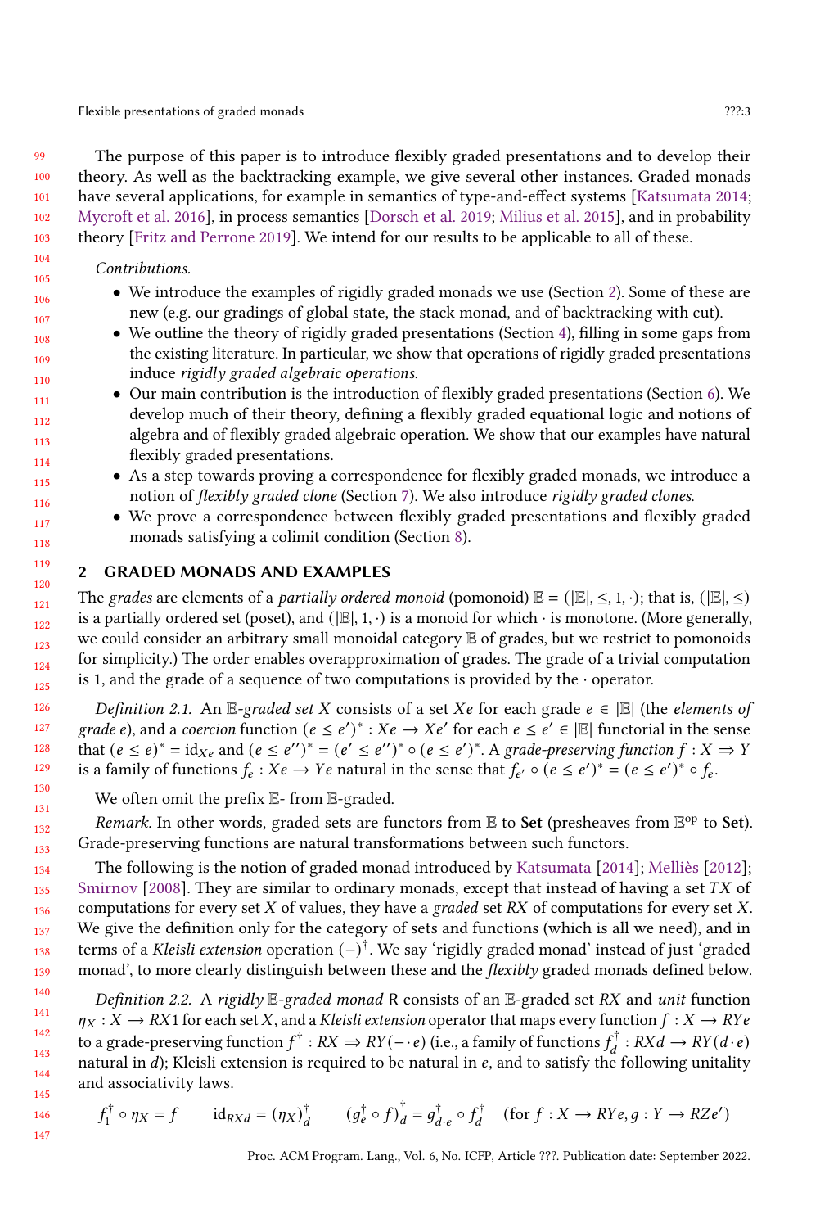Flexible presentations of graded monads *???***:3** 

The purpose of this paper is to introduce flexibly graded presentations and to develop their theory. As well as the backtracking example, we give several other instances. Graded monads have several applications, for example in semantics of type-and-effect systems [\[Katsumata](#page-27-2) [2014;](#page-27-2) [Mycroft et al.](#page-27-9) [2016\]](#page-27-9), in process semantics [\[Dorsch et al.](#page-26-0) [2019;](#page-26-0) [Milius et al.](#page-27-6) [2015\]](#page-27-6), and in probability theory [\[Fritz and Perrone](#page-26-1) [2019\]](#page-26-1). We intend for our results to be applicable to all of these.

### Contributions.

- We introduce the examples of rigidly graded monads we use (Section [2\)](#page-2-0). Some of these are new (e.g. our gradings of global state, the stack monad, and of backtracking with cut).
- We outline the theory of rigidly graded presentations (Section [4\)](#page-9-0), filling in some gaps from the existing literature. In particular, we show that operations of rigidly graded presentations induce rigidly graded algebraic operations.
- Our main contribution is the introduction of flexibly graded presentations (Section [6\)](#page-14-0). We develop much of their theory, defining a flexibly graded equational logic and notions of algebra and of flexibly graded algebraic operation. We show that our examples have natural flexibly graded presentations.
- As a step towards proving a correspondence for flexibly graded monads, we introduce a notion of flexibly graded clone (Section [7\)](#page-20-0). We also introduce rigidly graded clones.
	- We prove a correspondence between flexibly graded presentations and flexibly graded monads satisfying a colimit condition (Section [8\)](#page-22-0).

# <span id="page-2-0"></span>2 GRADED MONADS AND EXAMPLES

The grades are elements of a *partially ordered monoid* (pomonoid)  $\mathbb{E} = (\mathbb{E} | \leq 1, \cdot)$ ; that is,  $(\mathbb{E} | \leq)$ is a partially ordered set (poset), and ( $\mathbb{E}|, 1, \cdot$ ) is a monoid for which  $\cdot$  is monotone. (More generally, we could consider an arbitrary small monoidal category E of grades, but we restrict to pomonoids for simplicity.) The order enables overapproximation of grades. The grade of a trivial computation is 1, and the grade of a sequence of two computations is provided by the  $\cdot$  operator.

Definition 2.1. An E-graded set X consists of a set  $Xe$  for each grade  $e \in |E|$  (the elements of grade e), and a coercion function  $(e \leq e')^* : Xe \to Xe'$  for each  $e \leq e' \in |E|$  functorial in the sense that  $(e \leq e)^* = id_{Xe}$  and  $(e \leq e'')^* = (e' \leq e'')^* \circ (e \leq e')^*$ . A grade-preserving function  $f : X \Rightarrow Y$ is a family of functions  $f_e : Xe \to Ye$  natural in the sense that  $f_{e'} \circ (e \leq e')^* = (e \leq e')^* \circ f_e$ .

We often omit the prefix E- from E-graded.

Remark. In other words, graded sets are functors from  $\mathbb E$  to Set (presheaves from  $\mathbb E^{\rm op}$  to Set). Grade-preserving functions are natural transformations between such functors.

The following is the notion of graded monad introduced by [Katsumata](#page-27-2) [\[2014\]](#page-27-2); [Melliès](#page-27-10) [\[2012\]](#page-27-10); [Smirnov](#page-27-1)  $[2008]$ . They are similar to ordinary monads, except that instead of having a set TX of computations for every set  $X$  of values, they have a graded set  $RX$  of computations for every set  $X$ . We give the definition only for the category of sets and functions (which is all we need), and in terms of a *Kleisli extension* operation (−)<sup>†</sup>. We say 'rigidly graded monad' instead of just 'graded monad', to more clearly distinguish between these and the *flexibly* graded monads defined below.

<span id="page-2-1"></span>Definition 2.2. A rigidly  $E$ -graded monad R consists of an  $E$ -graded set RX and unit function  $\eta_X: X \to RX1$  for each set X, and a Kleisli extension operator that maps every function  $f: X \to RYe$ to a grade-preserving function  $f^{\dagger}: RX \Rightarrow RY(-\cdot e)$  (i.e., a family of functions  $f_d^{\dagger}: RXd \to RY(d\cdot e)$ natural in  $d$ ); Kleisli extension is required to be natural in  $e$ , and to satisfy the following unitality and associativity laws.

$$
f_1^{\dagger} \circ \eta_X = f \qquad \text{id}_{RXd} = (\eta_X)^{\dagger}_{d} \qquad (g_e^{\dagger} \circ f)_d^{\dagger} = g_{d \cdot e}^{\dagger} \circ f_d^{\dagger} \quad (\text{for } f : X \to RYe, g : Y \to RZe')
$$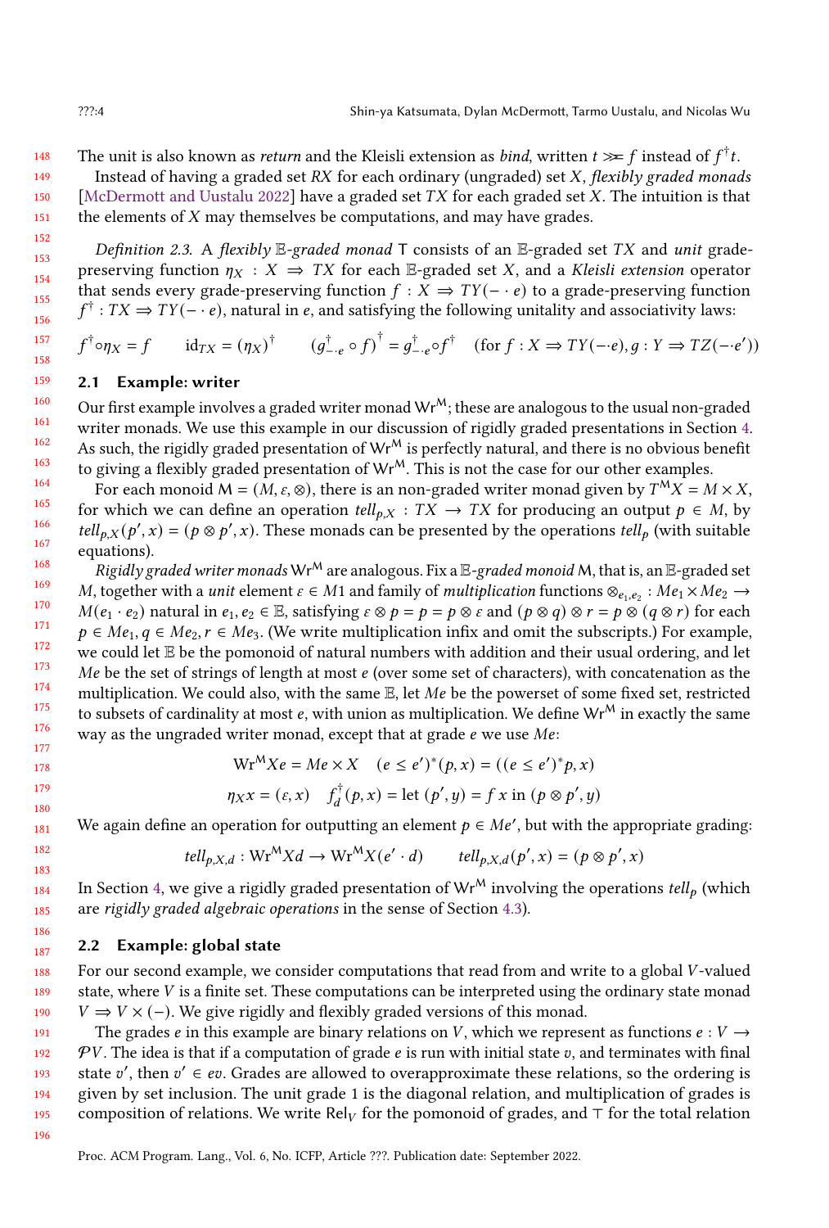The unit is also known as *return* and the Kleisli extension as *bind*, written  $t \gg f$  instead of  $f^{\dagger}t$ .

Instead of having a graded set  $RX$  for each ordinary (ungraded) set  $X$ , flexibly graded monads [\[McDermott and Uustalu](#page-27-8) [2022\]](#page-27-8) have a graded set  $TX$  for each graded set X. The intuition is that the elements of  $X$  may themselves be computations, and may have grades.

Definition 2.3. A flexibly E-graded monad T consists of an E-graded set TX and unit gradepreserving function  $\eta_X : X \implies TX$  for each E-graded set X, and a Kleisli extension operator that sends every grade-preserving function  $f : X \implies TY(-e)$  to a grade-preserving function  $f^{\dagger}$ :  $TX \Rightarrow TY(-e)$ , natural in e, and satisfying the following unitality and associativity laws:

$$
f^{\dagger} \circ \eta_X = f \qquad id_{TX} = (\eta_X)^{\dagger} \qquad (g_{-e}^{\dagger} \circ f)^{\dagger} = g_{-e}^{\dagger} \circ f^{\dagger} \quad (\text{for } f: X \Rightarrow TY(-e), g: Y \Rightarrow TZ(-e'))
$$

# <span id="page-3-0"></span>2.1 Example: writer

Our first example involves a graded writer monad  $Wr^{M}$ ; these are analogous to the usual non-graded writer monads. We use this example in our discussion of rigidly graded presentations in Section [4.](#page-9-0) As such, the rigidly graded presentation of  $Wr^M$  is perfectly natural, and there is no obvious benefit to giving a flexibly graded presentation of  $Wr^{M}$ . This is not the case for our other examples.

For each monoid M = (M,  $\varepsilon$ ,  $\otimes$ ), there is an non-graded writer monad given by  $T^MX = M \times X$ , for which we can define an operation  $tell_{p,X}: TX \to TX$  for producing an output  $p \in M$ , by tell<sub>p,X</sub>(p',x) = ( $p \otimes p'$ ,x). These monads can be presented by the operations tell<sub>p</sub> (with suitable equations).

168 169 170 171 172 173 174 175 176 177 Rigidly graded writer monads  $Wr^M$  are analogous. Fix a  $E$ -graded monoid M, that is, an  $E$ -graded set M, together with a *unit* element  $\varepsilon \in M1$  and family of *multiplication* functions  $\otimes_{e_1,e_2}$ :  $Me_1 \times Me_2 \to$  $M(e_1 \cdot e_2)$  natural in  $e_1, e_2 \in \mathbb{E}$ , satisfying  $\varepsilon \otimes p = p = p \otimes \varepsilon$  and  $(p \otimes q) \otimes r = p \otimes (q \otimes r)$  for each  $p \in Me_1, q \in Me_2, r \in Me_3$ . (We write multiplication infix and omit the subscripts.) For example, we could let E be the pomonoid of natural numbers with addition and their usual ordering, and let Me be the set of strings of length at most  $e$  (over some set of characters), with concatenation as the multiplication. We could also, with the same  $E$ , let  $Me$  be the powerset of some fixed set, restricted to subsets of cardinality at most  $e$ , with union as multiplication. We define Wr<sup>M</sup> in exactly the same way as the ungraded writer monad, except that at grade  $e$  we use  $Me$ :

$$
Wr^{M} Xe = Me \times X \quad (e \le e')^{*}(p, x) = ((e \le e')^{*} p, x)
$$
  

$$
\eta_{XX} = (\varepsilon, x) \quad f_{d}^{\dagger}(p, x) = \text{let } (p', y) = f x \text{ in } (p \otimes p', y)
$$

We again define an operation for outputting an element  $p \in Me'$ , but with the appropriate grading:

$$
tell_{p,X,d}: \mathbf{Wr}^M Xd \to \mathbf{Wr}^M X(e' \cdot d) \qquad tell_{p,X,d}(p',x) = (p \otimes p',x)
$$

In Section [4,](#page-9-0) we give a rigidly graded presentation of  $Wr^M$  involving the operations tell<sub>p</sub> (which are rigidly graded algebraic operations in the sense of Section [4.3\)](#page-12-0).

#### <span id="page-3-1"></span>2.2 Example: global state

For our second example, we consider computations that read from and write to a global V-valued state, where  $V$  is a finite set. These computations can be interpreted using the ordinary state monad  $V \Rightarrow V \times (-)$ . We give rigidly and flexibly graded versions of this monad.

191 192 193 194 195 The grades e in this example are binary relations on V, which we represent as functions  $e: V \rightarrow$  $PV$ . The idea is that if a computation of grade  $e$  is run with initial state  $v$ , and terminates with final state v', then  $v' \in \text{ev}$ . Grades are allowed to overapproximate these relations, so the ordering is given by set inclusion. The unit grade 1 is the diagonal relation, and multiplication of grades is composition of relations. We write Rel<sub>V</sub> for the pomonoid of grades, and ⊤ for the total relation

196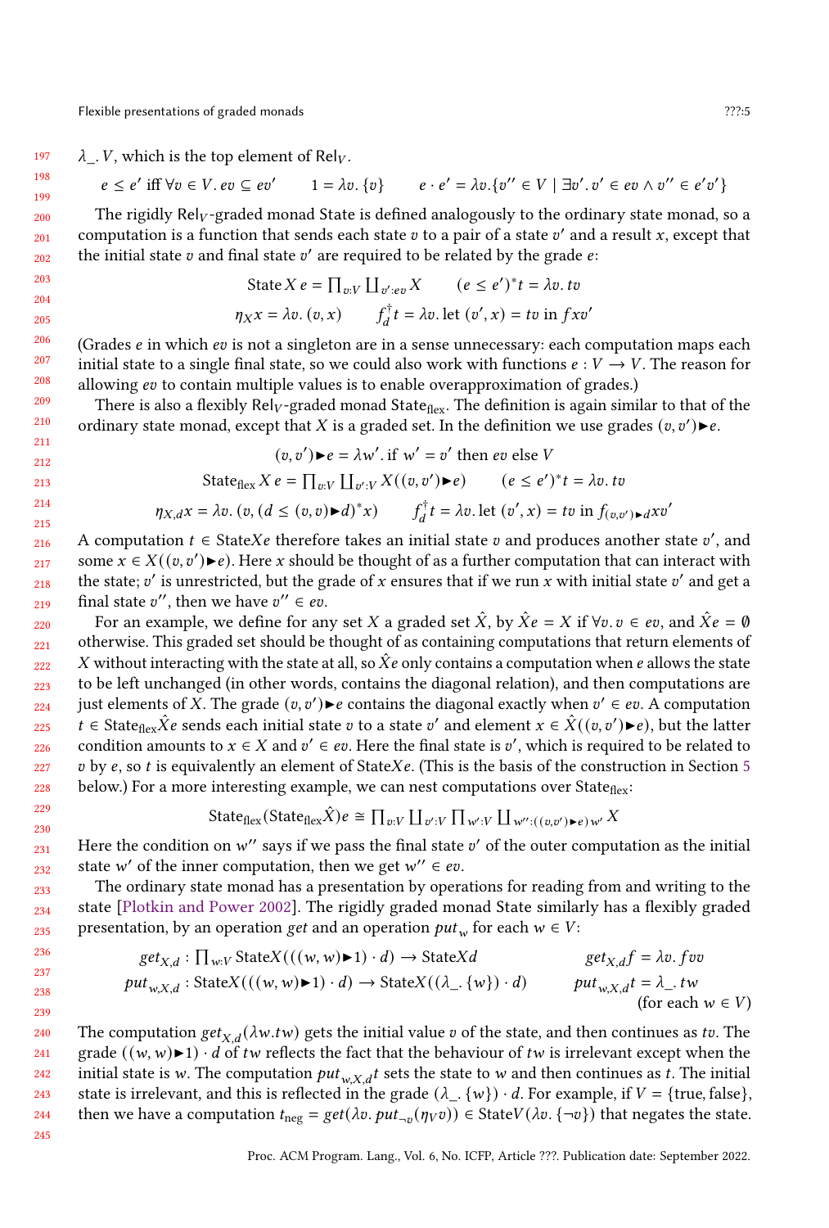229 230

197  $\lambda$ . V, which is the top element of Rel<sub>V</sub>.

$$
e \le e' \text{ iff } \forall v \in V. \text{ } ev \subseteq ev' \qquad 1 = \lambda v. \{v\} \qquad e \cdot e' = \lambda v. \{v'' \in V \mid \exists v'. v' \in ev \land v'' \in e'v'\}
$$

The rigidly  $Rel_V$ -graded monad State is defined analogously to the ordinary state monad, so a computation is a function that sends each state  $v$  to a pair of a state  $v'$  and a result x, except that the initial state  $v$  and final state  $v'$  are required to be related by the grade  $e$ :

State 
$$
X e = \prod_{v:V} \prod_{v':ev} X
$$
  $(e \le e')^* t = \lambda v$ .  
\n $\eta_X x = \lambda v$ .  $(v, x)$   $f_d^{\dagger} t = \lambda v$ .  
\nlet  $(v', x) = tv$  in  $f x v'$ 

(Grades  $e$  in which  $ev$  is not a singleton are in a sense unnecessary: each computation maps each initial state to a single final state, so we could also work with functions  $e : V \to V$ . The reason for allowing *ev* to contain multiple values is to enable overapproximation of grades.)

There is also a flexibly  $Rel_V$ -graded monad State<sub>flex</sub>. The definition is again similar to that of the ordinary state monad, except that X is a graded set. In the definition we use grades  $(v, v')\blacktriangleright e$ .

$$
(v, v') \blacktriangleright e = \lambda w'. \text{ if } w' = v' \text{ then } ev \text{ else } V
$$
  
State<sub>flex</sub>  $X e = \prod_{v:V} \prod_{v':V} X((v, v') \blacktriangleright e) \qquad (e \le e')^* t = \lambda v. tv$ 

$$
\eta_{X,d}x = \lambda v. \left(v, \left(d \le (v,v) \blacktriangleright d\right)^* x\right) \qquad f_d^\dagger t = \lambda v. \text{ let } (v',x) = tv \text{ in } f_{(v,v')} \blacktriangleright dxe
$$

216 217 218 219 A computation  $t \in$  StateXe therefore takes an initial state  $v$  and produces another state  $v'$ , and some  $x \in X((v, v') \blacktriangleright e)$ . Here x should be thought of as a further computation that can interact with the state:  $v'$  is unrestricted, but the grade of x ensures that if we run x with initial state  $v'$  and get a final state v'', then we have  $v'' \in ev$ .

220 221 222 223 224 225 226 227 228 For an example, we define for any set X a graded set  $\hat{X}$ , by  $\hat{X}e = X$  if  $\forall v. v \in ev$ , and  $\hat{X}e = \emptyset$ otherwise. This graded set should be thought of as containing computations that return elements of X without interacting with the state at all, so  $\hat{X}e$  only contains a computation when e allows the state to be left unchanged (in other words, contains the diagonal relation), and then computations are just elements of X. The grade  $(v, v') \triangleright e$  contains the diagonal exactly when  $v' \in ev$ . A computation  $t \in \text{State}_{\text{flex}}\hat{X}e$  sends each initial state v to a state v' and element  $x \in \hat{X}((v, v') \blacktriangleright e)$ , but the latter condition amounts to  $x \in X$  and  $v' \in ev$ . Here the final state is  $v'$ , which is required to be related to v by e, so t is equivalently an element of StateXe. (This is the basis of the construction in Section [5](#page-12-1) below.) For a more interesting example, we can nest computations over State $_{flex}$ :

State<sub>flex</sub>(State<sub>flex</sub>
$$
\hat{X}
$$
) $e \cong \prod_{v:V} \prod_{v':V} \prod_{w':V} \prod_{w'':\left(\lfloor (v,v')\cdot e \rfloor\right)w'} X$ 

231 232 Here the condition on  $w''$  says if we pass the final state  $v'$  of the outer computation as the initial state w' of the inner computation, then we get  $w'' \in ev$ .

233 234 235 The ordinary state monad has a presentation by operations for reading from and writing to the state [\[Plotkin and Power](#page-27-11) [2002\]](#page-27-11). The rigidly graded monad State similarly has a flexibly graded presentation, by an operation *get* and an operation  $put_w$  for each  $w \in V$ :

$$
get_{X,d} : \prod_{w:V} StateX(((w,w)\blacktriangleright 1) \cdot d) \rightarrow StateXd \qquad get_{X,d}f = \lambda v. fvv
$$
  
\n
$$
put_{w,X,d} : StateX(((w,w)\blacktriangleright 1) \cdot d) \rightarrow StateX((\lambda_{-}. \{w\}) \cdot d) \qquad put_{w,X,d}t = \lambda_{-}. tw
$$
  
\n(for each  $w \in V$ )

240 241 242 243 244 245 The computation  $get_{X,d}(\lambda w.tw)$  gets the initial value v of the state, and then continues as tv. The grade  $((w,w)\blacktriangleright 1) \cdot d$  of tw reflects the fact that the behaviour of tw is irrelevant except when the initial state is w. The computation  $put_{w \times d} t$  sets the state to w and then continues as t. The initial state is irrelevant, and this is reflected in the grade  $(\lambda_{-}, \{w\}) \cdot d$ . For example, if  $V = \{true, false\}$ , then we have a computation  $t_{\text{neg}} = get(\lambda v.\rho ut_{\neg v}(\eta v v)) \in \text{StateV}(\lambda v.\{\neg v\})$  that negates the state.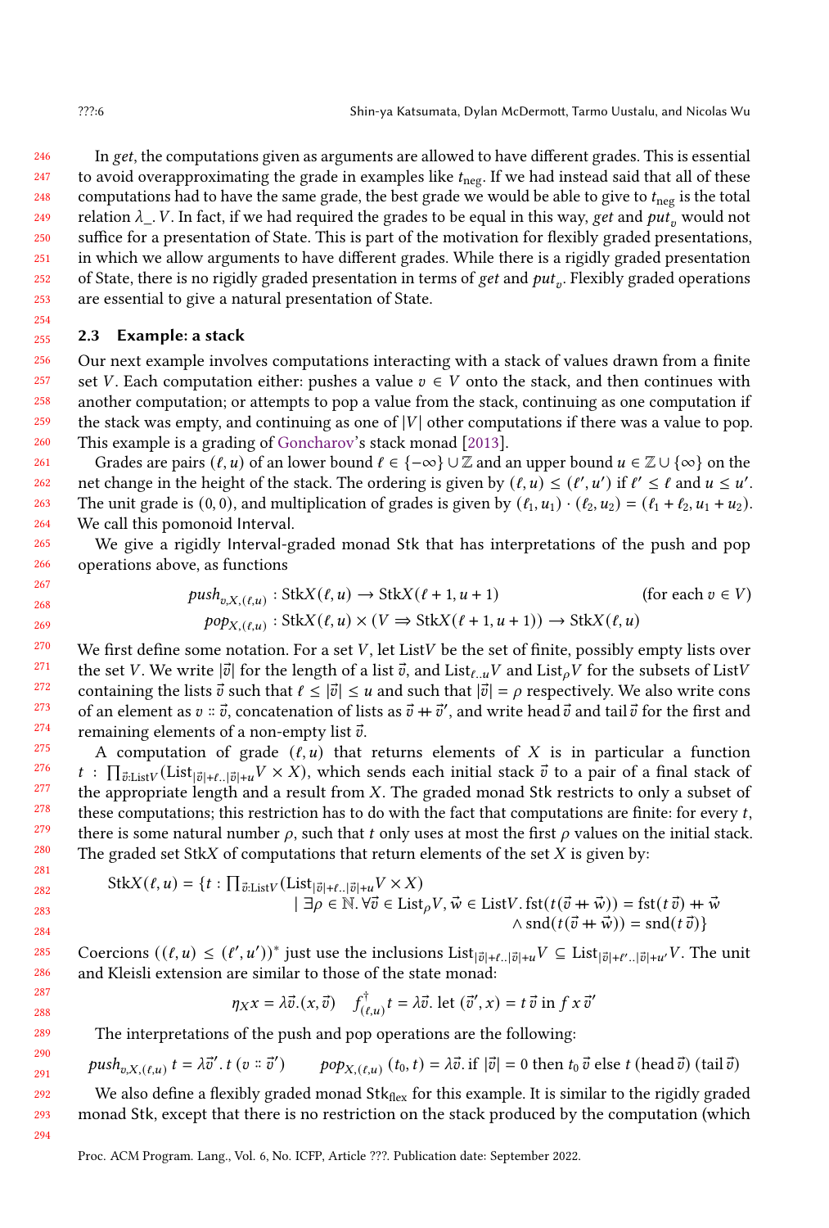246 247 248 249 250 251 252 253 In get, the computations given as arguments are allowed to have different grades. This is essential to avoid overapproximating the grade in examples like  $t_{\text{neg}}$ . If we had instead said that all of these computations had to have the same grade, the best grade we would be able to give to  $t_{\text{neg}}$  is the total relation  $\lambda_{\perp}$ . V. In fact, if we had required the grades to be equal in this way, get and put<sub>n</sub> would not suffice for a presentation of State. This is part of the motivation for flexibly graded presentations, in which we allow arguments to have different grades. While there is a rigidly graded presentation of State, there is no rigidly graded presentation in terms of get and  $put_v$ . Flexibly graded operations are essential to give a natural presentation of State.

#### <span id="page-5-0"></span>255 2.3 Example: a stack

256 257 258 259 260 Our next example involves computations interacting with a stack of values drawn from a finite set V. Each computation either: pushes a value  $v \in V$  onto the stack, and then continues with another computation; or attempts to pop a value from the stack, continuing as one computation if the stack was empty, and continuing as one of  $|V|$  other computations if there was a value to pop. This example is a grading of [Goncharov'](#page-27-12)s stack monad [\[2013\]](#page-27-12).

261 262 263 264 Grades are pairs  $(\ell, u)$  of an lower bound  $\ell \in \{-\infty\} \cup \mathbb{Z}$  and an upper bound  $u \in \mathbb{Z} \cup \{\infty\}$  on the net change in the height of the stack. The ordering is given by  $(\ell, u) \leq (\ell', u')$  if  $\ell' \leq \ell$  and  $u \leq u'$ . The unit grade is (0, 0), and multiplication of grades is given by  $(\ell_1, u_1) \cdot (\ell_2, u_2) = (\ell_1 + \ell_2, u_1 + u_2)$ . We call this pomonoid Interval.

We give a rigidly Interval-graded monad Stk that has interpretations of the push and pop operations above, as functions

$$
push_{v,X,(\ell,u)}: \text{Stk}(L,u) \to \text{Stk}(L+1,u+1) \qquad \text{(for each } v \in V)
$$
\n
$$
pop_{X,(\ell,u)}: \text{Stk}(L,u) \times (V \Rightarrow \text{Stk}(L+1,u+1)) \to \text{Stk}(L,u)
$$

We first define some notation. For a set  $V$ , let List $V$  be the set of finite, possibly empty lists over the set V. We write  $|\vec{v}|$  for the length of a list  $\vec{v}$ , and List<sub> $\ell, u$ </sub>V and List<sub>o</sub>V for the subsets of ListV containing the lists  $\vec{v}$  such that  $\ell \le |\vec{v}| \le u$  and such that  $|\vec{v}| = \rho$  respectively. We also write cons of an element as  $v = \vec{v}$ , concatenation of lists as  $\vec{v} + \vec{v}'$ , and write head  $\vec{v}$  and tail  $\vec{v}$  for the first and remaining elements of a non-empty list  $\vec{v}$ .

A computation of grade  $(t, u)$  that returns elements of X is in particular a function  $t$  :  $\prod_{\vec{v}:List} V(\text{List}_{|\vec{v}|+t} \dots |\vec{v}|+u} V \times X)$ , which sends each initial stack  $\vec{v}$  to a pair of a final stack of the appropriate length and a result from  $X$ . The graded monad Stk restricts to only a subset of these computations; this restriction has to do with the fact that computations are finite: for every  $t$ , there is some natural number  $\rho$ , such that t only uses at most the first  $\rho$  values on the initial stack. The graded set StkX of computations that return elements of the set  $X$  is given by:

$$
StkX(\ell, u) = \{t : \prod_{\vec{v}: ListV} (List_{|\vec{v}|+\ell..|\vec{v}|+u} V \times X) \mid \exists \rho \in \mathbb{N}. \forall \vec{v} \in List_{\rho} V, \vec{w} \in ListV. \text{fst}(t(\vec{v} + \vec{w})) = \text{fst}(t\vec{v}) + \vec{w} \land \text{snd}(t(\vec{v} + \vec{w})) = \text{snd}(t\vec{v})\}
$$

Coercions  $((\ell, u) \leq (\ell', u'))^*$  just use the inclusions  $List_{|\vec{v}|+\ell, |\vec{v}|+u}V \subseteq List_{|\vec{v}|+\ell', |\vec{v}|+u'}V$ . The unit and Kleisli extension are similar to those of the state monad:

$$
\eta_X x = \lambda \vec{v} \cdot (x, \vec{v}) \quad f^{\dagger}_{(\ell, u)} t = \lambda \vec{v} \cdot \text{let } (\vec{v}', x) = t \vec{v} \text{ in } f \times \vec{v}'
$$

The interpretations of the push and pop operations are the following:

$$
push_{v,X,(l,u)} t = \lambda \vec{v}'. t (v :: \vec{v}') \qquad pop_{X,(l,u)} (t_0, t) = \lambda \vec{v}. \text{ if } |\vec{v}| = 0 \text{ then } t_0 \vec{v} \text{ else } t \text{ (head } \vec{v}) \text{ (tail } \vec{v})
$$

We also define a flexibly graded monad  $Stk_{flex}$  for this example. It is similar to the rigidly graded monad Stk, except that there is no restriction on the stack produced by the computation (which

Proc. ACM Program. Lang., Vol. 6, No. ICFP, Article ???. Publication date: September 2022.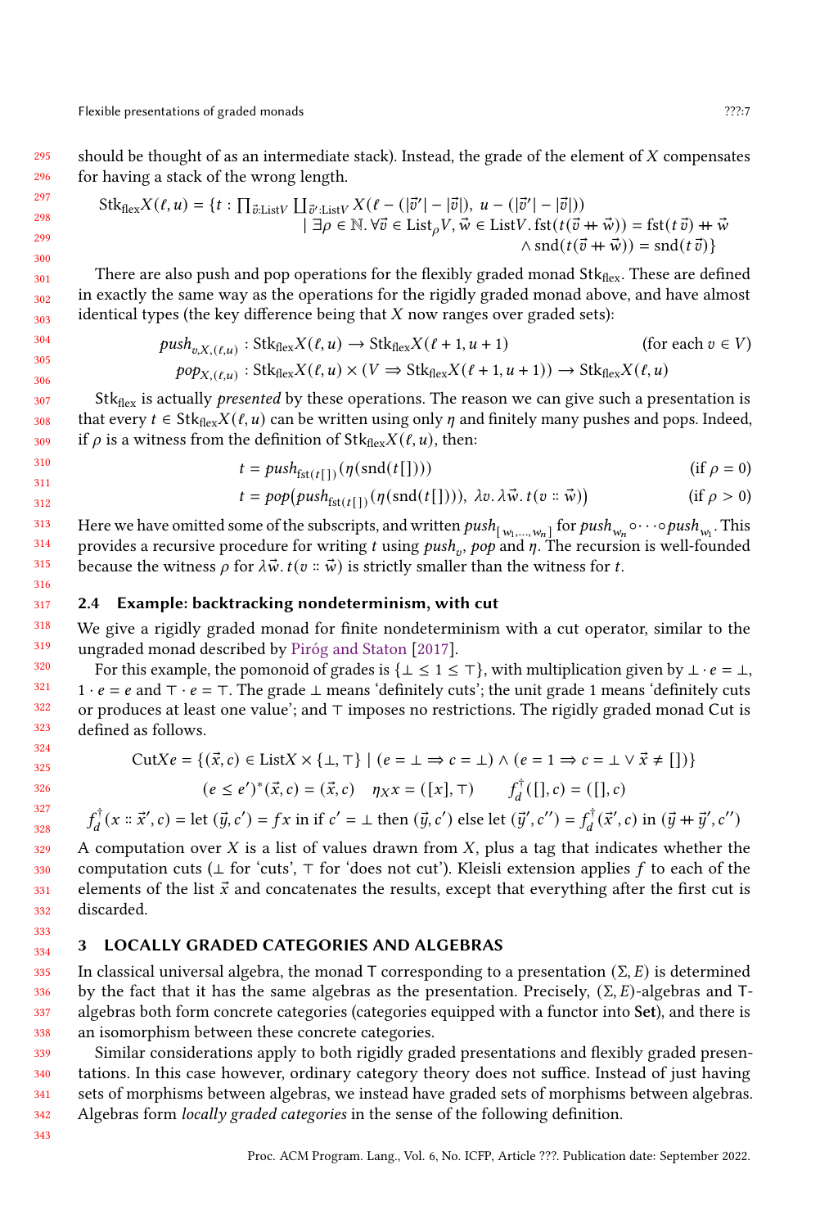316

295 296 should be thought of as an intermediate stack). Instead, the grade of the element of  $X$  compensates for having a stack of the wrong length.

$$
Stk_{flex}X(\ell, u) = \{t : \prod_{\vec{v}:ListV} \coprod_{\vec{v}':ListV} X(\ell - (|\vec{v}'| - |\vec{v}|), u - (|\vec{v}'| - |\vec{v}|))
$$
  

$$
|\exists \rho \in \mathbb{N}. \forall \vec{v} \in List_{\rho}V, \vec{w} \in ListV. \text{fst}(t(\vec{v} + \vec{w})) = \text{fst}(t\vec{v}) + \vec{w}
$$
  

$$
\wedge \text{snd}(t(\vec{v} + \vec{w})) = \text{snd}(t\vec{v})\}
$$

There are also push and pop operations for the flexibly graded monad  $Stk_{\text{flex}}$ . These are defined in exactly the same way as the operations for the rigidly graded monad above, and have almost identical types (the key difference being that  $X$  now ranges over graded sets):

$$
push_{v,X,(t,u)}: \text{Stk}_{\text{flex}}X(t,u) \to \text{Stk}_{\text{flex}}X(t+1,u+1) \qquad \text{(for each } v \in V)
$$
  

$$
pop_{X,(t,u)}: \text{Stk}_{\text{flex}}X(t,u) \times (V \Rightarrow \text{Stk}_{\text{flex}}X(t+1,u+1)) \to \text{Stk}_{\text{flex}}X(t,u)
$$

 $Stk<sub>flex</sub>$  is actually *presented* by these operations. The reason we can give such a presentation is that every  $t \in \text{Stk}_{\text{flex}}X(\ell, u)$  can be written using only  $\eta$  and finitely many pushes and pops. Indeed, if  $\rho$  is a witness from the definition of Stk $f_{\text{flex}}X(\ell, u)$ , then:

$$
t = push_{\text{fst}(t[1])}(\eta(\text{snd}(t[1)))) \qquad \text{(if } \rho = 0)
$$

$$
t = pop(push_{\text{fst}(t[\cdot]}(\eta(\text{snd}(t[\cdot]}))), \lambda v. \lambda \vec{w}. t(v::\vec{w})) \qquad (\text{if } \rho > 0)
$$

313 314 315 Here we have omitted some of the subscripts, and written  $push_{[w_1,...,w_n]}$  for  $push_{w_n} \circ \cdots \circ push_{w_1}$  . This provides a recursive procedure for writing t using push<sub>y</sub>, pop and  $\eta$ . The recursion is well-founded because the witness  $\rho$  for  $\lambda \vec{w}$ .  $t(v : \vec{w})$  is strictly smaller than the witness for t.

#### <span id="page-6-0"></span>317 2.4 Example: backtracking nondeterminism, with cut

318 319 We give a rigidly graded monad for finite nondeterminism with a cut operator, similar to the ungraded monad described by [Piróg and Staton](#page-27-3) [\[2017\]](#page-27-3).

320 321 322 323 For this example, the pomonoid of grades is  $\{\perp \leq 1 \leq \top\}$ , with multiplication given by  $\perp \cdot e = \perp$ ,  $1 \cdot e = e$  and  $\top \cdot e = \top$ . The grade  $\bot$  means 'definitely cuts'; the unit grade 1 means 'definitely cuts or produces at least one value'; and ⊤ imposes no restrictions. The rigidly graded monad Cut is defined as follows.

$$
\text{Cut}Xe = \{ (\vec{x}, c) \in \text{List}X \times \{\bot, \top\} \mid (e = \bot \Rightarrow c = \bot) \land (e = 1 \Rightarrow c = \bot \lor \vec{x} \neq [\ ] ) \}
$$

$$
(e \le e')^*(\vec{x}, c) = (\vec{x}, c) \quad \eta_X x = ([x], \top) \qquad f_d^{\dagger}([\ ], c) = ([\ ], c)
$$

$$
f_d^{\dagger}(x \times \vec{x}', c) = \text{let } (\vec{y}, c') = fx \text{ in if } c' = \perp \text{ then } (\vec{y}, c') \text{ else } \text{let } (\vec{y}', c'') = f_d^{\dagger}(\vec{x}', c) \text{ in } (\vec{y} + \vec{y}', c'')
$$

A computation over  $X$  is a list of values drawn from  $X$ , plus a tag that indicates whether the computation cuts ( $\perp$  for 'cuts', ⊤ for 'does not cut'). Kleisli extension applies f to each of the elements of the list  $\vec{x}$  and concatenates the results, except that everything after the first cut is discarded.

#### <span id="page-6-1"></span>334 3 LOCALLY GRADED CATEGORIES AND ALGEBRAS

335 336 337 338 In classical universal algebra, the monad T corresponding to a presentation  $(\Sigma, E)$  is determined by the fact that it has the same algebras as the presentation. Precisely,  $(\Sigma, E)$ -algebras and Talgebras both form concrete categories (categories equipped with a functor into Set), and there is an isomorphism between these concrete categories.

339 340 341 342 Similar considerations apply to both rigidly graded presentations and flexibly graded presentations. In this case however, ordinary category theory does not suffice. Instead of just having sets of morphisms between algebras, we instead have graded sets of morphisms between algebras. Algebras form locally graded categories in the sense of the following definition.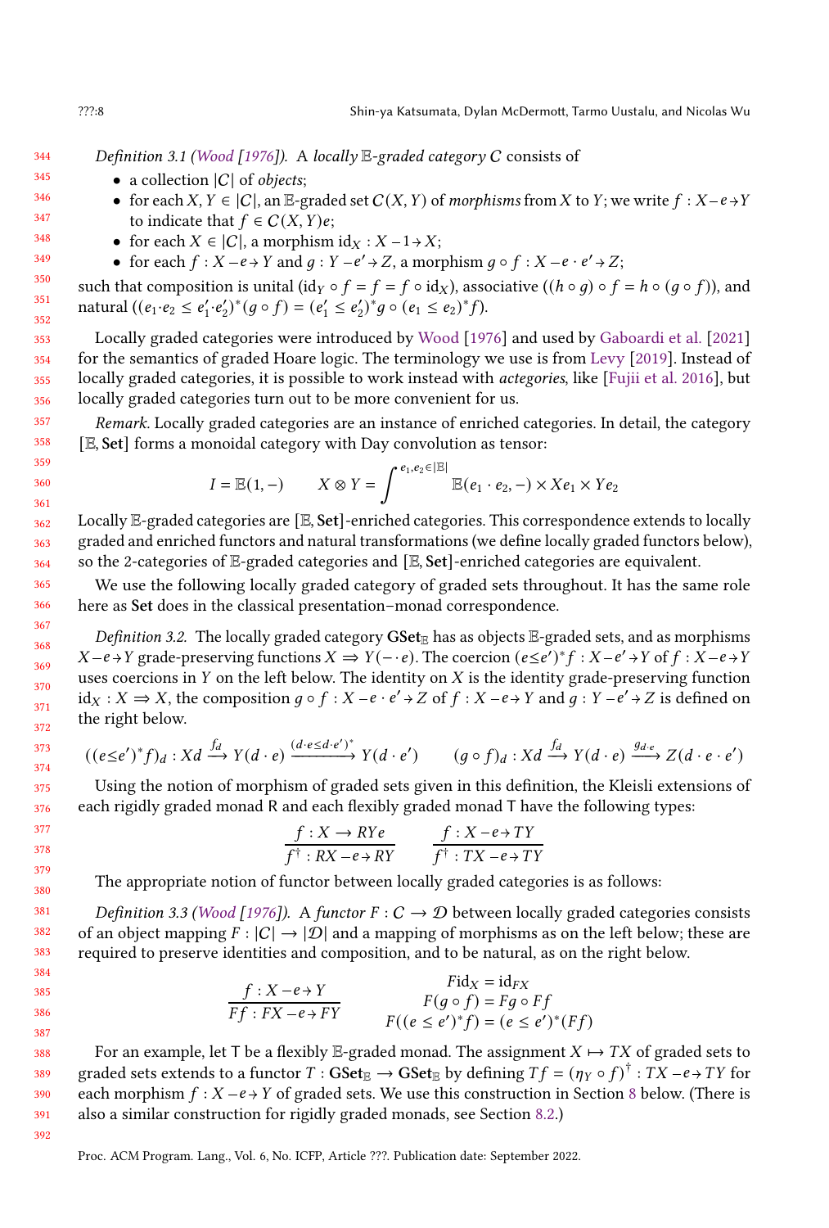344 Definition 3.1 [\(Wood](#page-28-1) [\[1976\]](#page-28-1)). A locally  $E$ -graded category C consists of

- a collection  $|C|$  of *objects*;
- for each X,  $Y \in |C|$ , an E-graded set  $C(X, Y)$  of morphisms from X to Y; we write  $f : X-e \rightarrow Y$ to indicate that  $f \in C(X, Y)e$ ;
	- for each  $X \in |C|$ , a morphism  $\mathrm{id}_X : X 1 \rightarrow X$ ;
	- for each  $f: X-e \rightarrow Y$  and  $g: Y-e' \rightarrow Z$ , a morphism  $g \circ f: X-e \cdot e' \rightarrow Z$ ;

such that composition is unital (id <sup>o</sup>  $f = f = f \circ id_X$ ), associative (( $h \circ q$ )  $\circ f = h \circ (q \circ f)$ ), and natural  $((e_1 \cdot e_2 \leq e'_1 \cdot e'_2)^*(g \circ f) = (e'_1 \leq e'_2)^*g \circ (e_1 \leq e_2)^*f).$ 

Locally graded categories were introduced by [Wood](#page-28-1) [\[1976\]](#page-28-1) and used by [Gaboardi et al.](#page-26-2) [\[2021\]](#page-26-2) for the semantics of graded Hoare logic. The terminology we use is from [Levy](#page-27-13) [\[2019\]](#page-27-13). Instead of locally graded categories, it is possible to work instead with actegories, like [\[Fujii et al.](#page-26-3) [2016\]](#page-26-3), but locally graded categories turn out to be more convenient for us.

Remark. Locally graded categories are an instance of enriched categories. In detail, the category [E, Set] forms a monoidal category with Day convolution as tensor:

$$
I = \mathbb{E}(1, -) \qquad X \otimes Y = \int^{e_1, e_2 \in |\mathbb{E}|} \mathbb{E}(e_1 \cdot e_2, -) \times X e_1 \times Y e_2
$$

Locally E-graded categories are [E, Set]-enriched categories. This correspondence extends to locally graded and enriched functors and natural transformations (we define locally graded functors below), so the 2-categories of E-graded categories and [E, Set]-enriched categories are equivalent.

We use the following locally graded category of graded sets throughout. It has the same role here as Set does in the classical presentation–monad correspondence.

Definition 3.2. The locally graded category  $\textbf{GSet}_{\mathbb{E}}$  has as objects  $\mathbb{E}\text{-graded sets}$ , and as morphisms  $X-e \rightarrow Y$  grade-preserving functions  $X \Rightarrow Y(-e)$ . The coercion  $(e \leq e')^* f : X-e' \rightarrow Y$  of  $f : X-e \rightarrow Y$ uses coercions in  $Y$  on the left below. The identity on  $X$  is the identity grade-preserving function  $\mathrm{id}_X : X \to X$ , the composition  $q \circ f : X - e \cdot e' \to Z$  of  $f : X - e \to Y$  and  $q : Y - e' \to Z$  is defined on the right below.

$$
((e \le e')^* f)_d : Xd \xrightarrow{f_d} Y(d \cdot e) \xrightarrow{(d \cdot e \le d \cdot e')^*} Y(d \cdot e') \qquad (g \circ f)_d : Xd \xrightarrow{f_d} Y(d \cdot e) \xrightarrow{g_{d \cdot e}} Z(d \cdot e \cdot e')
$$

Using the notion of morphism of graded sets given in this definition, the Kleisli extensions of each rigidly graded monad R and each flexibly graded monad T have the following types:

$$
\frac{f: X \to RYe}{f^{\dagger}: RX - e \to RY} \qquad \frac{f: X - e \to TY}{f^{\dagger}: TX - e \to TY}
$$

The appropriate notion of functor between locally graded categories is as follows:

Definition 3.3 [\(Wood](#page-28-1) [\[1976\]](#page-28-1)). A functor  $F : C \to D$  between locally graded categories consists of an object mapping  $F : |C| \to |D|$  and a mapping of morphisms as on the left below; these are required to preserve identities and composition, and to be natural, as on the right below.

$$
f: X - e \rightarrow Y
$$
  
\n
$$
Ff: FX - e \rightarrow FY
$$
  
\n
$$
F(g \circ f) = Fg \circ Ff
$$
  
\n
$$
F((e \le e')^*f) = (e \le e')^*(Ff)
$$

For an example, let T be a flexibly E-graded monad. The assignment  $X \mapsto TX$  of graded sets to graded sets extends to a functor  $T:\mathbf{GSet}_\mathbb{E}\to\mathbf{GSet}_\mathbb{E}$  by defining  $Tf=(\eta_Y\circ f)^\dagger:TX-e\to TY$  for each morphism  $f : X - e \rightarrow Y$  of graded sets. We use this construction in Section [8](#page-22-0) below. (There is also a similar construction for rigidly graded monads, see Section [8.2.](#page-25-0))

Proc. ACM Program. Lang., Vol. 6, No. ICFP, Article ???. Publication date: September 2022.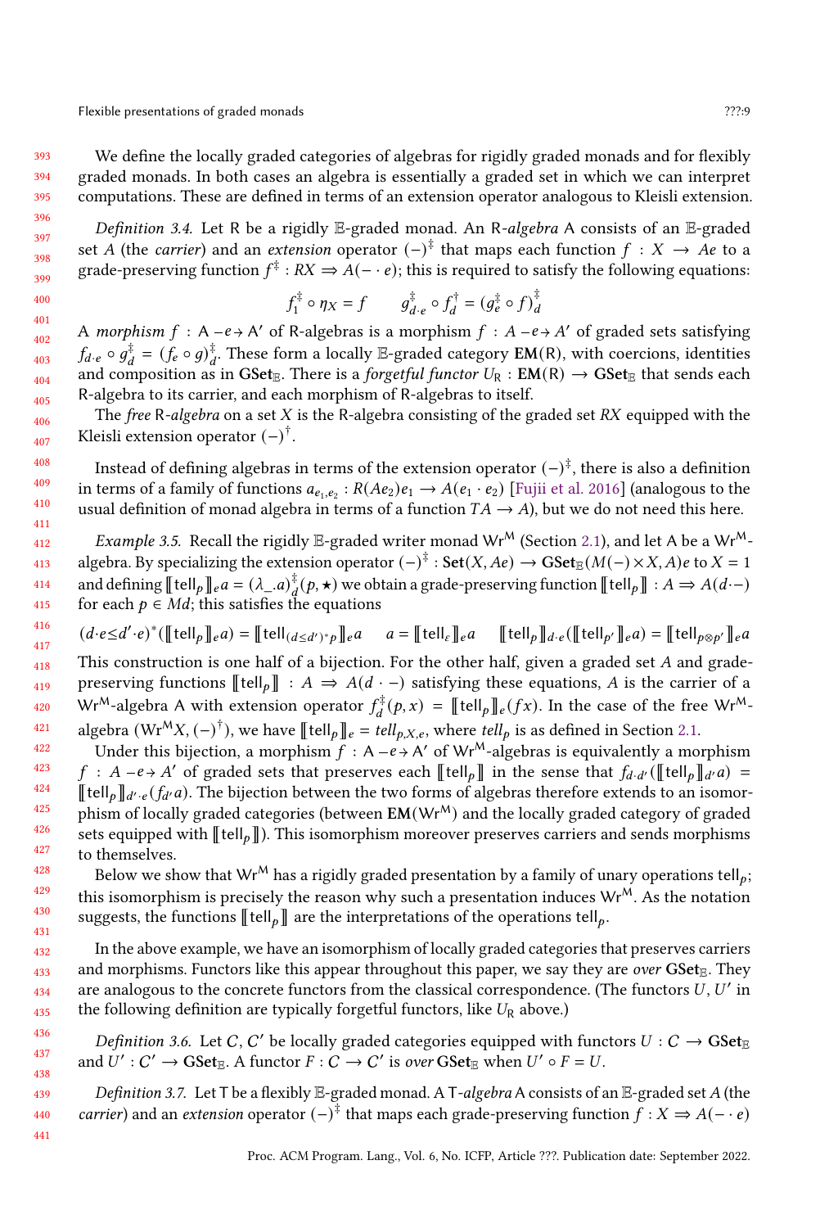We define the locally graded categories of algebras for rigidly graded monads and for flexibly graded monads. In both cases an algebra is essentially a graded set in which we can interpret computations. These are defined in terms of an extension operator analogous to Kleisli extension.

Definition 3.4. Let R be a rigidly  $E$ -graded monad. An R-algebra A consists of an  $E$ -graded set A (the *carrier*) and an *extension* operator  $(-)^{\frac{+}{7}}$  that maps each function  $f : X \to A$ e to a grade-preserving function  $f^{\ddagger}: RX \Rightarrow A(-e)$ ; this is required to satisfy the following equations:

$$
f_1^{\ddagger} \circ \eta_X = f \qquad g_{d \cdot e}^{\ddagger} \circ f_d^{\dagger} = (g_e^{\ddagger} \circ f)_d^{\ddagger}
$$

A morphism  $f : A - e \rightarrow A'$  of R-algebras is a morphism  $f : A - e \rightarrow A'$  of graded sets satisfying  $f_{d\cdot e}\circ g_d^{\ddagger}=(f_e\circ g)_d^{\ddagger}$ . These form a locally E-graded category EM(R), with coercions, identities and composition as in GSet<sub>E</sub>. There is a *forgetful functor*  $U_R : EM(R) \rightarrow GSet_E$  that sends each R-algebra to its carrier, and each morphism of R-algebras to itself.

The free R-algebra on a set  $X$  is the R-algebra consisting of the graded set  $RX$  equipped with the Kleisli extension operator  $(-)^{\dagger}$ .

Instead of defining algebras in terms of the extension operator  $(-)^{\ddagger},$  there is also a definition in terms of a family of functions  $a_{e_1,e_2}: R(Ae_2)e_1 \to A(e_1 \cdot e_2)$  [\[Fujii et al.](#page-26-3) [2016\]](#page-26-3) (analogous to the usual definition of monad algebra in terms of a function  $TA \rightarrow A$ ), but we do not need this here.

<span id="page-8-0"></span>Example 3.5. Recall the rigidly E-graded writer monad Wr<sup>M</sup> (Section [2.1\)](#page-3-0), and let A be a Wr<sup>M</sup>algebra. By specializing the extension operator  $(-)^{\ddagger}$  :  $\text{Set}(X, Ae) \rightarrow \text{GSet}_{\mathbb{E}}(M(-) \times X, A)e$  to  $X = 1$ and defining  $\llbracket\mathfrak{tel}|_p\rrbracket_e a = (\lambda_-,a)_d^\ddagger(p,\star)$  we obtain a grade-preserving function  $\llbracket\mathfrak{tel}|_p\rrbracket: A \Rightarrow A(d\cdot-)$ for each  $p \in Md$ ; this satisfies the equations

$$
(d \cdot e \leq d' \cdot e)^* (\llbracket \text{tell}_p \rrbracket_e a) = \llbracket \text{tell}_{(d \leq d')^*p} \rrbracket_e a \quad a = \llbracket \text{tell}_\varepsilon \rrbracket_e a \quad \llbracket \text{tell}_p \rrbracket_{d \cdot e} (\llbracket \text{tell}_{p'} \rrbracket_e a) = \llbracket \text{tell}_{p \otimes p'} \rrbracket_e a
$$

This construction is one half of a bijection. For the other half, given a graded set  $A$  and gradepreserving functions  $\llbracket \text{tell}_p \rrbracket : A \Rightarrow A(d \cdot -)$  satisfying these equations, A is the carrier of a Wr<sup>M</sup>-algebra A with extension operator  $f_d^{\ddagger}(p, x) = [\![\text{tell}_p]\!]_e(fx)$ . In the case of the free Wr<sup>M</sup>-algebra (Wr<sup>M</sup>X, (−)<sup>†</sup>), we have [[tell<sub>p</sub>]]<sub>e</sub> = tell<sub>p,X,e</sub>, where tell<sub>p</sub> is as defined in Section [2.1.](#page-3-0)

Under this bijection, a morphism  $\overline{f}$  : A -e > A' of Wr<sup>M</sup>-algebras is equivalently a morphism  $f : A - e + A'$  of graded sets that preserves each [[tell<sub>p</sub>]] in the sense that  $f_{d-d'}($  [[tell<sub>p</sub>]]<sub>d'</sub>a) =  $[\![\text{tell}_p]\!]_{d'\cdot e}(f_{d'}a)$ . The bijection between the two forms of algebras therefore extends to an isomorphism of locally graded categories (between  $EM(Wr^M)$  and the locally graded category of graded sets equipped with  $\llbracket \text{telL}_{\rho} \rrbracket$ . This isomorphism moreover preserves carriers and sends morphisms to themselves.

Below we show that Wr<sup>M</sup> has a rigidly graded presentation by a family of unary operations tell<sub>o</sub>; this isomorphism is precisely the reason why such a presentation induces  $Wr^M$ . As the notation suggests, the functions  $\llbracket \text{tell}_p \rrbracket$  are the interpretations of the operations tell<sub>p</sub>.

In the above example, we have an isomorphism of locally graded categories that preserves carriers and morphisms. Functors like this appear throughout this paper, we say they are over GSet<sub>E</sub>. They are analogous to the concrete functors from the classical correspondence. (The functors  $U, U'$  in the following definition are typically forgetful functors, like  $U_R$  above.)

Definition 3.6. Let C, C' be locally graded categories equipped with functors  $U : C \to \mathbf{GSet}_{\mathbb{E}}$ and  $U': C' \to \mathbf{GSet}_{\mathbb{E}}$ . A functor  $F: C \to C'$  is over  $\mathbf{GSet}_{\mathbb{E}}$  when  $U' \circ F = U$ .

Definition 3.7. Let T be a flexibly  $E$ -graded monad. A T-algebra A consists of an  $E$ -graded set A (the *carrier*) and an *extension* operator  $(-)^{\ddagger}$  that maps each grade-preserving function  $f : X \Rightarrow A(- \cdot e)$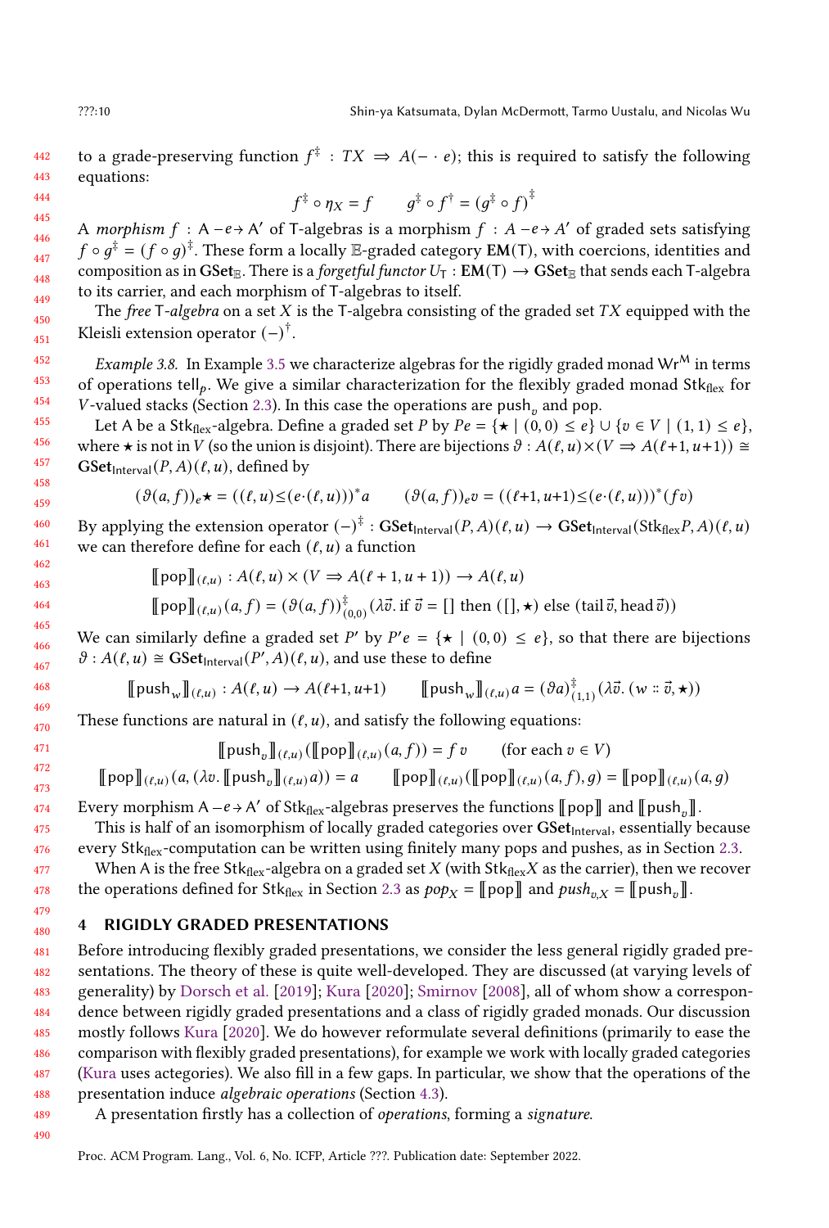442 443 to a grade-preserving function  $f^{\ddagger}$ :  $TX \Rightarrow A(-e)$ ; this is required to satisfy the following equations:

$$
\frac{444}{445}
$$

 $f^{\ddagger} \circ \eta_X = f \qquad g^{\ddagger} \circ f^{\dagger} = (g^{\ddagger} \circ f)^{\ddagger}$ 

A morphism  $f : A - e \rightarrow A'$  of T-algebras is a morphism  $f : A - e \rightarrow A'$  of graded sets satisfying  $f\circ g^{\ddagger}=(f\circ g)^{\ddagger}.$  These form a locally  $\mathbb E\text{-graded category }\mathsf{EM}(\mathsf{T}),$  with coercions, identities and composition as in GSet<sub>E</sub>. There is a *forgetful functor*  $U_T$  : **EM**(T)  $\rightarrow$  GSet<sub>E</sub> that sends each T-algebra to its carrier, and each morphism of T-algebras to itself.

The free T-algebra on a set  $X$  is the T-algebra consisting of the graded set  $TX$  equipped with the Kleisli extension operator  $(-)^{\dagger}$ .

<span id="page-9-1"></span>*Example 3.8.* In Example [3.5](#page-8-0) we characterize algebras for the rigidly graded monad Wr<sup>M</sup> in terms of operations tell<sub>p</sub>. We give a similar characterization for the flexibly graded monad  $Stk_{\text{flex}}$  for V-valued stacks (Section [2.3\)](#page-5-0). In this case the operations are push<sub>v</sub> and pop.

Let A be a Stk<sub>flex</sub>-algebra. Define a graded set P by  $Pe = \{ \star \mid (0,0) \leq e \} \cup \{ v \in V \mid (1,1) \leq e \},\$ where  $\star$  is not in V (so the union is disjoint). There are bijections  $\vartheta$  :  $A(\ell, u) \times (V \Rightarrow A(\ell+1, u+1)) \cong$ GSet $_{\text{Interval}}(P, A)(\ell, u)$ , defined by

$$
(\vartheta(a,f))_e \star = ((\ell,u) \leq (e \cdot (\ell,u)))^* a \qquad (\vartheta(a,f))_e v = ((\ell+1,u+1) \leq (e \cdot (\ell,u)))^*(fv)
$$

By applying the extension operator  $(-)^{\ddagger}:\mathbf{GSet}_{\mathsf{Interval}}(P,A)(\ell,u)\to \mathbf{GSet}_{\mathsf{Interval}}(\mathsf{Stk}_{\mathsf{flex}}P,A)(\ell,u)$ we can therefore define for each  $(\ell, u)$  a function

$$
[\![\operatorname{pop}]\!]_{(\ell,u)} : A(\ell,u) \times (V \Rightarrow A(\ell+1,u+1)) \to A(\ell,u)
$$

$$
\llbracket \text{pop} \rrbracket_{(\ell,u)}(a,f) = (\vartheta(a,f))_{(0,0)}^{\ddagger} (\lambda \vec{v} \cdot \text{if } \vec{v} = [] \text{ then } ([],\star) \text{ else } (\text{tail } \vec{v}, \text{head } \vec{v}))
$$

We can similarly define a graded set P' by  $P'e = \{ \star \mid (0,0) \leq e \}$ , so that there are bijections  $\vartheta$ :  $A(\ell, u) \cong \mathbf{GSet}_{\text{Interval}}(P', A)(\ell, u)$ , and use these to define

$$
\llbracket \mathrm{push}_w \rrbracket_{(\ell,u)} : A(\ell,u) \to A(\ell+1,u+1) \qquad \llbracket \mathrm{push}_w \rrbracket_{(\ell,u)} a = (\vartheta a)_{(1,1)}^{\ddagger} (\lambda \vec{v}. (w :: \vec{v},\star))
$$

These functions are natural in  $(\ell, u)$ , and satisfy the following equations:

$$
\llbracket \text{push}_v \rrbracket_{(\ell,u)} (\llbracket \text{pop} \rrbracket_{(\ell,u)} (a, f)) = f v \qquad \text{(for each } v \in V)
$$
\n
$$
\llbracket \text{pop} \rrbracket_{(\ell,u)} (a, (\lambda v. \llbracket \text{push}_v \rrbracket_{(\ell,u)} a)) = a \qquad \llbracket \text{pop} \rrbracket_{(\ell,u)} (\llbracket \text{pop} \rrbracket_{(\ell,u)} (a, f), g) = \llbracket \text{pop} \rrbracket_{(\ell,u)} (a, g)
$$

Every morphism A –  $e \rightarrow A'$  of Stk $_{\text{flex}}$ -algebras preserves the functions  $\llbracket \text{pop} \rrbracket$  and  $\llbracket \text{push}_v \rrbracket$ .

This is half of an isomorphism of locally graded categories over  $GSet<sub>Interval</sub>$ , essentially because every Stk<sub>flex</sub>-computation can be written using finitely many pops and pushes, as in Section [2.3.](#page-5-0)

When A is the free Stk<sub>flex</sub>-algebra on a graded set X (with Stk<sub>flex</sub>X as the carrier), then we recover the operations defined for Stk<sub>flex</sub> in Section [2.3](#page-5-0) as  $pop_X = \llbracket pop \rrbracket$  and  $push_{v,X} = \llbracket push_v \rrbracket$ .

# <span id="page-9-0"></span>4 RIGIDLY GRADED PRESENTATIONS

481 482 483 484 485 486 487 488 Before introducing flexibly graded presentations, we consider the less general rigidly graded presentations. The theory of these is quite well-developed. They are discussed (at varying levels of generality) by [Dorsch et al.](#page-26-0) [\[2019\]](#page-26-0); [Kura](#page-27-7) [\[2020\]](#page-27-7); [Smirnov](#page-27-1) [\[2008\]](#page-27-1), all of whom show a correspondence between rigidly graded presentations and a class of rigidly graded monads. Our discussion mostly follows [Kura](#page-27-7) [\[2020\]](#page-27-7). We do however reformulate several definitions (primarily to ease the comparison with flexibly graded presentations), for example we work with locally graded categories [\(Kura](#page-27-7) uses actegories). We also fill in a few gaps. In particular, we show that the operations of the presentation induce algebraic operations (Section [4.3\)](#page-12-0).

489 490 A presentation firstly has a collection of operations, forming a signature.

Proc. ACM Program. Lang., Vol. 6, No. ICFP, Article ???. Publication date: September 2022.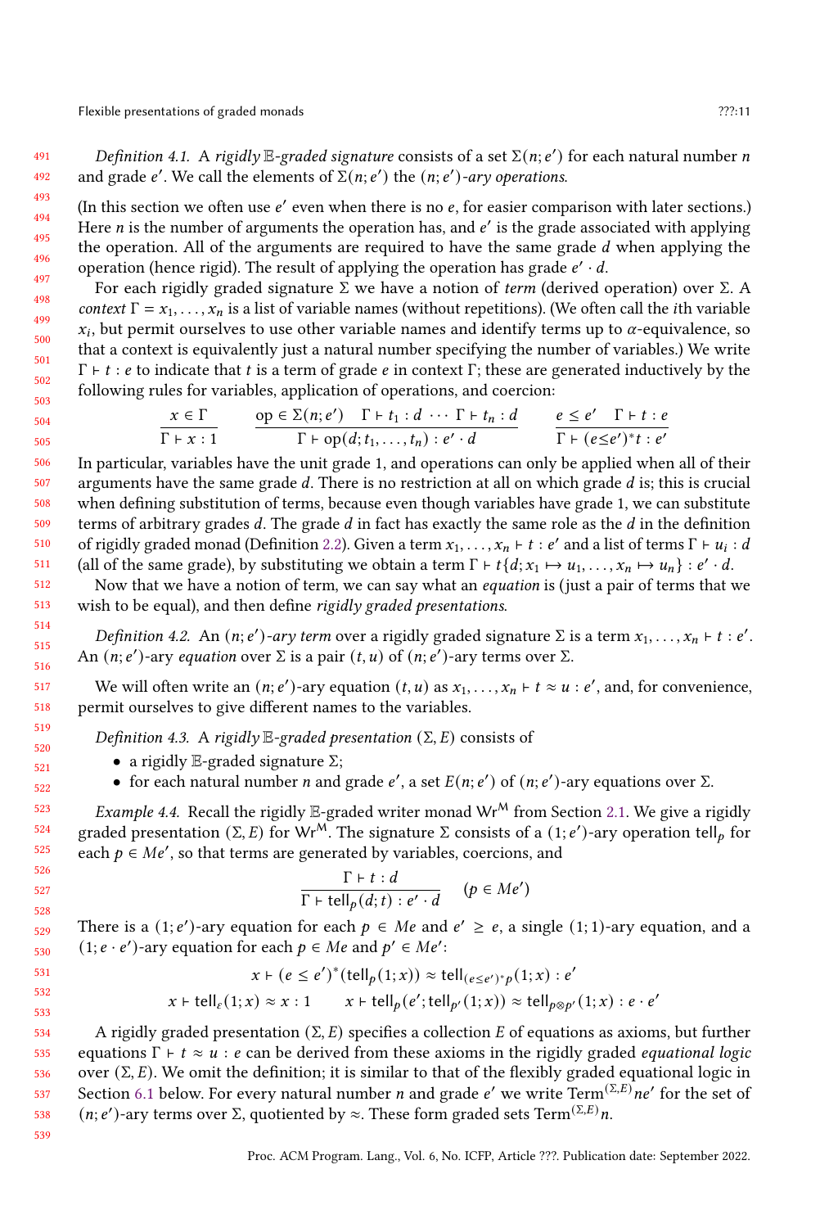Definition 4.1. A rigidly  $\mathbb{E}$ -graded signature consists of a set  $\Sigma(n; e')$  for each natural number n and grade e'. We call the elements of  $\Sigma(n; e')$  the  $(n; e')$ -ary operations.

(In this section we often use  $e'$  even when there is no  $e$ , for easier comparison with later sections.) Here *n* is the number of arguments the operation has, and  $e'$  is the grade associated with applying the operation. All of the arguments are required to have the same grade  $d$  when applying the operation (hence rigid). The result of applying the operation has grade  $e' \cdot d$ .

For each rigidly graded signature Σ we have a notion of term (derived operation) over Σ. A context  $\Gamma = x_1, \ldots, x_n$  is a list of variable names (without repetitions). (We often call the *i*th variable  $x_i$ , but permit ourselves to use other variable names and identify terms up to  $\alpha$ -equivalence, so that a context is equivalently just a natural number specifying the number of variables.) We write  $\Gamma$  + *t* : *e* to indicate that *t* is a term of grade *e* in context  $\Gamma$ ; these are generated inductively by the following rules for variables, application of operations, and coercion:

$$
\frac{x \in \Gamma}{\Gamma + x : 1} \qquad \frac{\text{op} \in \Sigma(n; e') \quad \Gamma + t_1 : d \cdots \Gamma + t_n : d}{\Gamma + \text{op}(d; t_1, \ldots, t_n) : e' \cdot d} \qquad \frac{e \le e' \quad \Gamma + t : e}{\Gamma + (e \le e')^* t : e'}
$$

In particular, variables have the unit grade 1, and operations can only be applied when all of their arguments have the same grade  $d$ . There is no restriction at all on which grade  $d$  is; this is crucial when defining substitution of terms, because even though variables have grade 1, we can substitute terms of arbitrary grades  $d$ . The grade  $d$  in fact has exactly the same role as the  $d$  in the definition of rigidly graded monad (Definition [2.2\)](#page-2-1). Given a term  $x_1, \ldots, x_n \vdash t : e'$  and a list of terms  $\Gamma \vdash u_i : d$ (all of the same grade), by substituting we obtain a term  $\Gamma \vdash t\{d; x_1 \mapsto u_1, \ldots, x_n \mapsto u_n\} : e' \cdot d$ .

Now that we have a notion of term, we can say what an *equation* is (just a pair of terms that we wish to be equal), and then define rigidly graded presentations.

Definition 4.2. An  $(n; e')$ -ary term over a rigidly graded signature  $\Sigma$  is a term  $x_1, \ldots, x_n \vdash t : e'$ . An  $(n; e')$ -ary equation over  $\Sigma$  is a pair  $(t, u)$  of  $(n; e')$ -ary terms over  $\Sigma$ .

We will often write an  $(n; e')$ -ary equation  $(t, u)$  as  $x_1, \ldots, x_n \vdash t \approx u : e'$ , and, for convenience, permit ourselves to give different names to the variables.

Definition 4.3. A rigidly  $\mathbb{E}$ -graded presentation  $(\Sigma, E)$  consists of

- a rigidly  $E$ -graded signature  $\Sigma$ ;
- for each natural number *n* and grade *e'*, a set  $E(n; e')$  of  $(n; e')$ -ary equations over  $\Sigma$ .

<span id="page-10-0"></span>*Example 4.4.* Recall the rigidly E-graded writer monad  $Wr^M$  from Section [2.1.](#page-3-0) We give a rigidly graded presentation (Σ, E) for Wr<sup>M</sup>. The signature Σ consists of a (1; e')-ary operation tell<sub>p</sub> for each  $p \in Me'$ , so that terms are generated by variables, coercions, and

$$
\frac{\Gamma \vdash t : d}{\Gamma \vdash \text{tell}_p(d; t) : e' \cdot d} \quad (p \in Me')
$$

529 530 There is a (1; e')-ary equation for each  $p \in Me$  and  $e' \geq e$ , a single (1; 1)-ary equation, and a  $(1; e \cdot e')$ -ary equation for each  $p \in Me$  and  $p' \in Me'$ :

$$
x \vdash (e \le e')^*(\text{tell}_p(1;x)) \approx \text{tell}_{(e \le e')^*p}(1;x) : e'
$$
  

$$
x \vdash \text{tell}_e(1;x) \approx x : 1 \qquad x \vdash \text{tell}_p(e';\text{tell}_{p'}(1;x)) \approx \text{tell}_{p\otimes p'}(1;x) : e \cdot e'
$$

534 535 536 537 538 A rigidly graded presentation ( $\Sigma$ , E) specifies a collection E of equations as axioms, but further equations  $\Gamma \vdash t \approx u : e$  can be derived from these axioms in the rigidly graded *equational logic* over  $(\Sigma, E)$ . We omit the definition; it is similar to that of the flexibly graded equational logic in Section [6.1](#page-15-0) below. For every natural number *n* and grade e' we write  $Term^{(\Sigma,E)}$ ne' for the set of (*n*; *e'*)-ary terms over Σ, quotiented by ≈. These form graded sets Term<sup>(Σ,*E*)</sup>*n*.

539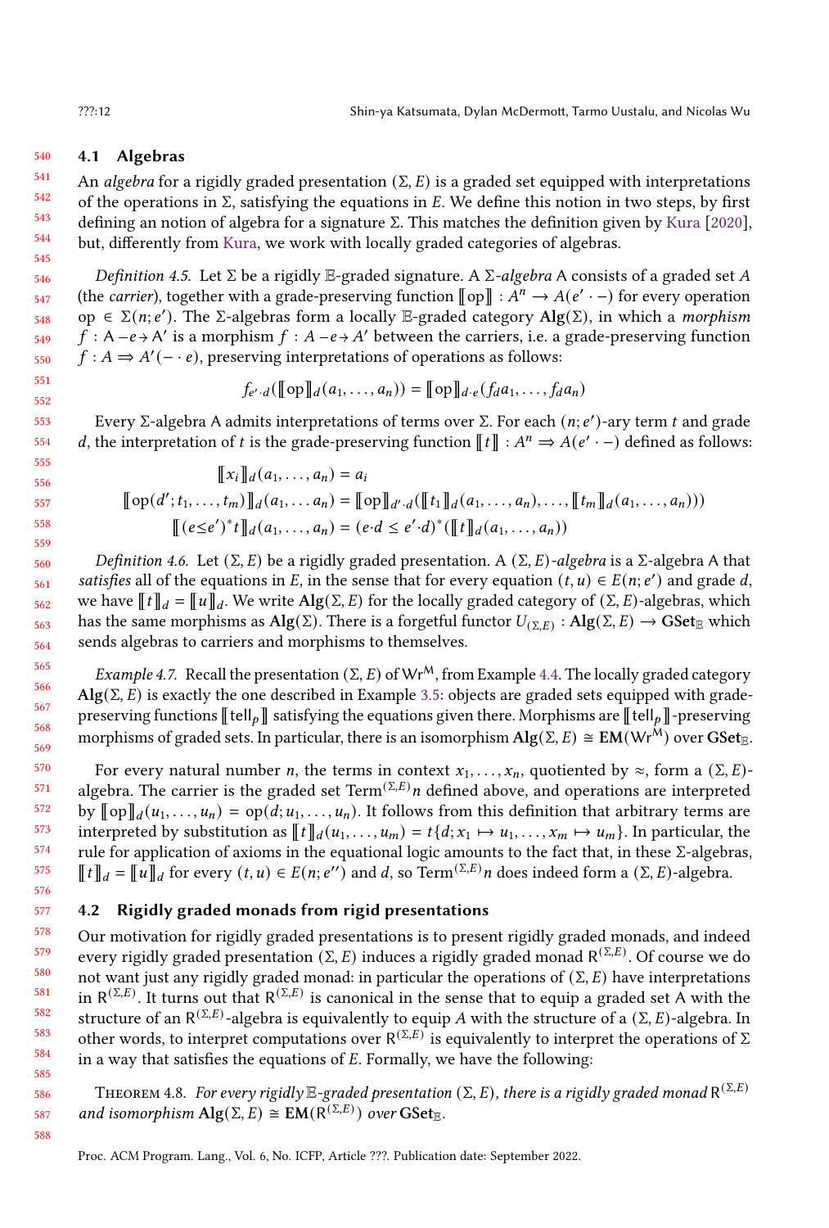#### 540 4.1 Algebras

541 542 543 544 545 An algebra for a rigidly graded presentation  $(\Sigma, E)$  is a graded set equipped with interpretations of the operations in  $\Sigma$ , satisfying the equations in E. We define this notion in two steps, by first defining an notion of algebra for a signature Σ. This matches the definition given by [Kura](#page-27-7) [\[2020\]](#page-27-7), but, differently from [Kura,](#page-27-7) we work with locally graded categories of algebras.

Definition 4.5. Let  $\Sigma$  be a rigidly E-graded signature. A  $\Sigma$ -algebra A consists of a graded set A (the *carrier*), together with a grade-preserving function  $\llbracket op \rrbracket : A^n \to A(e' \cdot -)$  for every operation op ∈ Σ(n; e'). The Σ-algebras form a locally E-graded category Alg(Σ), in which a *morphism*  $\hat{f}: A-e\rightarrow A'$  is a morphism  $f: A-e\rightarrow A'$  between the carriers, i.e. a grade-preserving function  $f : A \Rightarrow A'(-e)$ , preserving interpretations of operations as follows:

$$
f_{e'\cdot d}(\llbracket \operatorname{op} \rrbracket_d(a_1,\ldots,a_n)) = \llbracket \operatorname{op} \rrbracket_{d\cdot e}(f_d a_1,\ldots,f_d a_n)
$$

Every Σ-algebra A admits interpretations of terms over Σ. For each  $(n; e')$ -ary term t and grade d, the interpretation of t is the grade-preserving function  $\llbracket t \rrbracket : A^n \Rightarrow A(e' \cdot -)$  defined as follows:

$$
\llbracket x_i \rrbracket_d(a_1, \dots, a_n) = a_i
$$
  

$$
\llbracket \text{op}(d'; t_1, \dots, t_m) \rrbracket_d(a_1, \dots, a_n) = \llbracket \text{op} \rrbracket_{d'} \cdot d(\llbracket t_1 \rrbracket_d(a_1, \dots, a_n), \dots, \llbracket t_m \rrbracket_d(a_1, \dots, a_n)))
$$
  

$$
\llbracket (e \le e')^* t \rrbracket_d(a_1, \dots, a_n) = (e \cdot d \le e' \cdot d)^* (\llbracket t \rrbracket_d(a_1, \dots, a_n))
$$

Definition 4.6. Let  $(Σ, E)$  be a rigidly graded presentation. A  $(Σ, E)$ -algebra is a Σ-algebra A that satisfies all of the equations in E, in the sense that for every equation  $(t, u) \in E(n; e')$  and grade d, we have  $[[t]]_d = [[u]]_d$ . We write  $\text{Alg}(\Sigma, E)$  for the locally graded category of  $(\Sigma, E)$ -algebras, which has the same morphisms as  $Alg(\Sigma)$ . There is a forgetful functor  $U_{(\Sigma,E)} : Alg(\Sigma,E) \to GSet_{\mathbb{R}}$  which sends algebras to carriers and morphisms to themselves.

<span id="page-11-0"></span>Example 4.7. Recall the presentation  $(\Sigma, E)$  of Wr<sup>M</sup>, from Example [4.4.](#page-10-0) The locally graded category  $\text{Alg}(\Sigma, E)$  is exactly the one described in Example [3.5:](#page-8-0) objects are graded sets equipped with gradepreserving functions  $\llbracket \text{tell}_p \rrbracket$  satisfying the equations given there. Morphisms are  $\llbracket \text{tell}_p \rrbracket$ -preserving morphisms of graded sets. In particular, there is an isomorphism  $\text{Alg}(\Sigma, E) \cong \text{EM}(Wr^{\hat{M}})$  over  $\text{GSet}_{\mathbb{R}}$ .

For every natural number *n*, the terms in context  $x_1, \ldots, x_n$ , quotiented by  $\approx$ , form a  $(\Sigma, E)$ algebra. The carrier is the graded set Term<sup>(Σ,E)</sup>n defined above, and operations are interpreted by  $\llbracket \text{op} \rrbracket_d(u_1, \ldots, u_n) = \text{op}(d; u_1, \ldots, u_n)$ . It follows from this definition that arbitrary terms are interpreted by substitution as  $\llbracket t \rrbracket_d(u_1, \ldots, u_m) = t\{d; x_1 \mapsto u_1, \ldots, x_m \mapsto u_m\}$ . In particular, the rule for application of axioms in the equational logic amounts to the fact that, in these  $\Sigma$ -algebras,  $[[t]]_d = [[u]]_d$  for every  $(t, u) \in E(n; e^{\prime\prime})$  and d, so Term<sup>( $\Sigma, E$ )</sup> n does indeed form a  $(\Sigma, E)$ -algebra.

# 4.2 Rigidly graded monads from rigid presentations

578 579 580 581 582 583 584 585 Our motivation for rigidly graded presentations is to present rigidly graded monads, and indeed every rigidly graded presentation (Σ, E) induces a rigidly graded monad  $R^{(\Sigma,E)}$ . Of course we do not want just any rigidly graded monad: in particular the operations of  $(\Sigma, E)$  have interpretations in  $R^{(\Sigma,E)}$ . It turns out that  $R^{(\Sigma,E)}$  is canonical in the sense that to equip a graded set A with the structure of an  $R^{(\Sigma,E)}$ -algebra is equivalently to equip A with the structure of a  $(\Sigma, E)$ -algebra. In other words, to interpret computations over  $R^{(\Sigma,E)}$  is equivalently to interpret the operations of  $\Sigma$ in a way that satisfies the equations of  $E$ . Formally, we have the following:

THEOREM 4.8. For every rigidly  $\mathbb{E}\text{-graded presentation }(\Sigma, E)$ , there is a rigidly graded monad  $\mathsf{R}^{(\Sigma,E)}$ and isomorphism  $\mathrm{Alg}(\Sigma, E) \cong \mathrm{EM}(\mathrm{R}^{(\Sigma,E)})$  over  $\mathrm{GSet}_{\mathbb{E}}$ .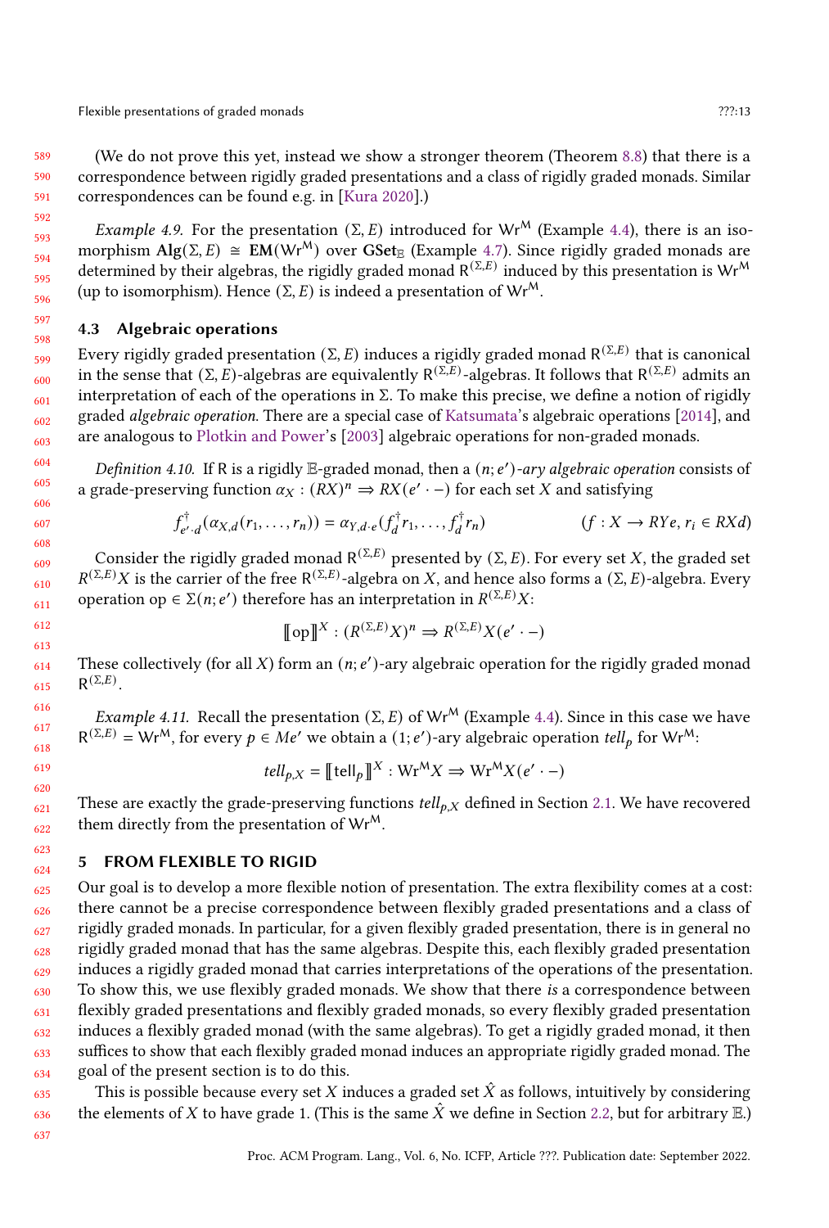Flexible presentations of graded monads **Example 2021** 27?:13

(We do not prove this yet, instead we show a stronger theorem (Theorem [8.8\)](#page-25-1) that there is a correspondence between rigidly graded presentations and a class of rigidly graded monads. Similar correspondences can be found e.g. in [\[Kura](#page-27-7) [2020\]](#page-27-7).)

Example 4.9. For the presentation ( $\Sigma$ , E) introduced for Wr<sup>M</sup> (Example [4.4\)](#page-10-0), there is an isomorphism  $\text{Alg}(\Sigma, E) \cong \text{EM}(Wr^M)$  over  $\text{GSet}_{\mathbb{E}}$  (Example [4.7\)](#page-11-0). Since rigidly graded monads are determined by their algebras, the rigidly graded monad  $R^{(\Sigma,E)}$  induced by this presentation is Wr<sup>M</sup> (up to isomorphism). Hence  $(\Sigma, E)$  is indeed a presentation of Wr<sup>M</sup>.

# <span id="page-12-0"></span>4.3 Algebraic operations

Every rigidly graded presentation (Σ, E) induces a rigidly graded monad R $^{(\Sigma,E)}$  that is canonical in the sense that  $(\Sigma, E)$ -algebras are equivalently  $R^{(\Sigma,E)}$ -algebras. It follows that  $R^{(\Sigma,E)}$  admits an interpretation of each of the operations in  $\Sigma$ . To make this precise, we define a notion of rigidly graded algebraic operation. There are a special case of [Katsumata'](#page-27-2)s algebraic operations [\[2014\]](#page-27-2), and are analogous to [Plotkin and Power'](#page-27-14)s [\[2003\]](#page-27-14) algebraic operations for non-graded monads.

Definition 4.10. If R is a rigidly  $\mathbb E$ -graded monad, then a  $(n; e')$ -ary algebraic operation consists of a grade-preserving function  $\alpha_X : (RX)^n \Rightarrow RX(e' \cdot -)$  for each set X and satisfying

$$
f_{e',d}^{\dagger}(\alpha_{X,d}(r_1,\ldots,r_n)) = \alpha_{Y,d\cdot e}(f_d^{\dagger}r_1,\ldots,f_d^{\dagger}r_n)
$$
 (f : X \to RYe, r\_i \in RXd)

Consider the rigidly graded monad  $R^{(\Sigma,E)}$  presented by  $(\Sigma, E)$ . For every set X, the graded set  $R^{(\Sigma,E)}X$  is the carrier of the free  $R^{(\Sigma,E)}$ -algebra on X, and hence also forms a  $(\Sigma, E)$ -algebra. Every operation op  $\in \Sigma(n; e')$  therefore has an interpretation in  $R^{(\Sigma,E)}X$ :

$$
\llbracket \text{op} \rrbracket^X : (R^{(\Sigma,E)}X)^n \Rightarrow R^{(\Sigma,E)}X(e' \cdot -)
$$

These collectively (for all X) form an  $(n; e')$ -ary algebraic operation for the rigidly graded monad  $R^{(\Sigma,E)}$ .

*Example 4.11.* Recall the presentation ( $\Sigma$ , E) of Wr<sup>M</sup> (Example [4.4\)](#page-10-0). Since in this case we have  $R^{(Σ,E)}$  = Wr<sup>M</sup>, for every *p* ∈ Me' we obtain a (1; e')-ary algebraic operation tell<sub>p</sub> for Wr<sup>M</sup>:

$$
tell_{p,X} = \llbracket \text{tell}_p \rrbracket^X : \text{Wr}^M X \Rightarrow \text{Wr}^M X (e' \cdot -)
$$

These are exactly the grade-preserving functions  $tell_{b,X}$  defined in Section [2.1.](#page-3-0) We have recovered them directly from the presentation of  $Wr^{M}$ .

# <span id="page-12-1"></span>5 FROM FLEXIBLE TO RIGID

625 626 627 628 629 630 631 632 633 634 Our goal is to develop a more flexible notion of presentation. The extra flexibility comes at a cost: there cannot be a precise correspondence between flexibly graded presentations and a class of rigidly graded monads. In particular, for a given flexibly graded presentation, there is in general no rigidly graded monad that has the same algebras. Despite this, each flexibly graded presentation induces a rigidly graded monad that carries interpretations of the operations of the presentation. To show this, we use flexibly graded monads. We show that there is a correspondence between flexibly graded presentations and flexibly graded monads, so every flexibly graded presentation induces a flexibly graded monad (with the same algebras). To get a rigidly graded monad, it then suffices to show that each flexibly graded monad induces an appropriate rigidly graded monad. The goal of the present section is to do this.

This is possible because every set X induces a graded set  $\hat{X}$  as follows, intuitively by considering the elements of X to have grade 1. (This is the same  $\hat{X}$  we define in Section [2.2,](#page-3-1) but for arbitrary  $\mathbb{E}$ .)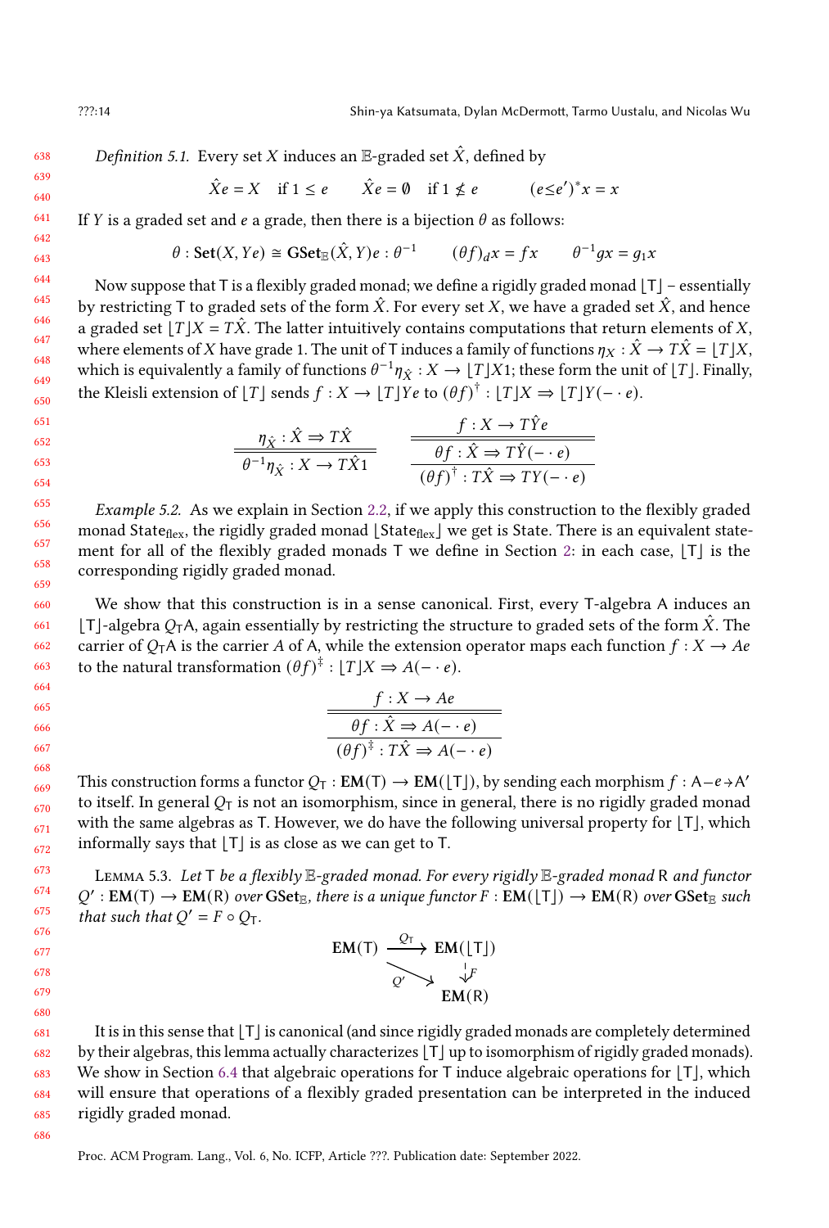Definition 5.1. Every set X induces an E-graded set  $\hat{X}$ , defined by

$$
\hat{X}e = X \quad \text{if } 1 \le e \qquad \hat{X}e = \emptyset \quad \text{if } 1 \nle e \qquad (e \le e')^*x = x
$$

If *Y* is a graded set and *e* a grade, then there is a bijection  $\theta$  as follows:

$$
\theta
$$
: Set(X, Ye)  $\cong$  GSet<sub>E</sub>( $\hat{X}$ , Y) $e$ :  $\theta^{-1}$  ( $\theta f$ )<sub>d</sub>x = fx  $\theta^{-1}gx = g_1x$ 

Now suppose that  $T$  is a flexibly graded monad; we define a rigidly graded monad  $|T|$  – essentially by restricting T to graded sets of the form  $\hat{X}$ . For every set X, we have a graded set  $\hat{X}$ , and hence a graded set  $|T|X = T\hat{X}$ . The latter intuitively contains computations that return elements of X, where elements of X have grade 1. The unit of T induces a family of functions  $\eta_X : \hat{X} \to T\hat{X} = |T|X$ , which is equivalently a family of functions  $\theta^{-1}\eta_{\hat{X}}:X\to [T]X1$ ; these form the unit of  $[T]$ . Finally, the Kleisli extension of  $[T]$  sends  $f : X \to [T]Ye$  to  $(\theta f)^{\dagger} : [T]X \Rightarrow [T]Y(-e)$ .

$$
\frac{\eta_{\hat{X}} : \hat{X} \Rightarrow T\hat{X}}{\theta^{-1}\eta_{\hat{X}} : X \to T\hat{X}1} \qquad \frac{f : X \to T\hat{Y}e}{\theta f : \hat{X} \Rightarrow T\hat{Y}(-\cdot e)}\n\qquad\n\frac{\theta f : \hat{X} \Rightarrow T\hat{Y}(-\cdot e)}{(\theta f)^{\dagger} : T\hat{X} \Rightarrow TY(-\cdot e)}
$$

Example 5.2. As we explain in Section [2.2,](#page-3-1) if we apply this construction to the flexibly graded monad State<sub>flex</sub>, the rigidly graded monad  $|\text{State}_{\text{flex}}|$  we get is State. There is an equivalent statement for all of the flexibly graded monads  $\bar{T}$  we define in Section [2:](#page-2-0) in each case,  $|\bar{T}|$  is the corresponding rigidly graded monad.

We show that this construction is in a sense canonical. First, every T-algebra A induces an  $|T|$ -algebra  $O_T A$ , again essentially by restricting the structure to graded sets of the form  $\hat{X}$ . The carrier of  $O_T A$  is the carrier A of A, while the extension operator maps each function  $f : X \to Ae$ to the natural transformation  $(\theta f)^{\ddagger} : [T]X \Rightarrow A(- \cdot e)$ .

$$
\frac{f: X \to Ae}{\theta f: \hat{X} \to A(- \cdot e)}
$$

$$
\overline{(\theta f)^{\hat{\tau}}: T\hat{X} \to A(- \cdot e)}
$$

This construction forms a functor  $Q_T : EM(T) \to EM(\lfloor T \rfloor)$ , by sending each morphism  $f : A-e \rightarrow A'$ to itself. In general  $O_T$  is not an isomorphism, since in general, there is no rigidly graded monad with the same algebras as T. However, we do have the following universal property for  $|T|$ , which informally says that  $|T|$  is as close as we can get to T.

<span id="page-13-0"></span>LEMMA 5.3. Let T be a flexibly E-graded monad. For every rigidly E-graded monad R and functor  $Q': EM(T) \to EM(R)$  over  $GSet_{E}$ , there is a unique functor  $F: EM(\lfloor T \rfloor) \to EM(R)$  over  $GSet_{E}$  such that such that  $Q' = F \circ Q_T$ .

| EM(T) | $\stackrel{Q_T}{\longrightarrow} EM(\lfloor T \rfloor)$ |  |
|-------|---------------------------------------------------------|--|
|       |                                                         |  |
|       | EM(R)                                                   |  |

It is in this sense that  $|T|$  is canonical (and since rigidly graded monads are completely determined by their algebras, this lemma actually characterizes  $|T|$  up to isomorphism of rigidly graded monads). We show in Section [6.4](#page-16-0) that algebraic operations for  $T$  induce algebraic operations for  $[T]$ , which will ensure that operations of a flexibly graded presentation can be interpreted in the induced rigidly graded monad.

685 686

Proc. ACM Program. Lang., Vol. 6, No. ICFP, Article ???. Publication date: September 2022.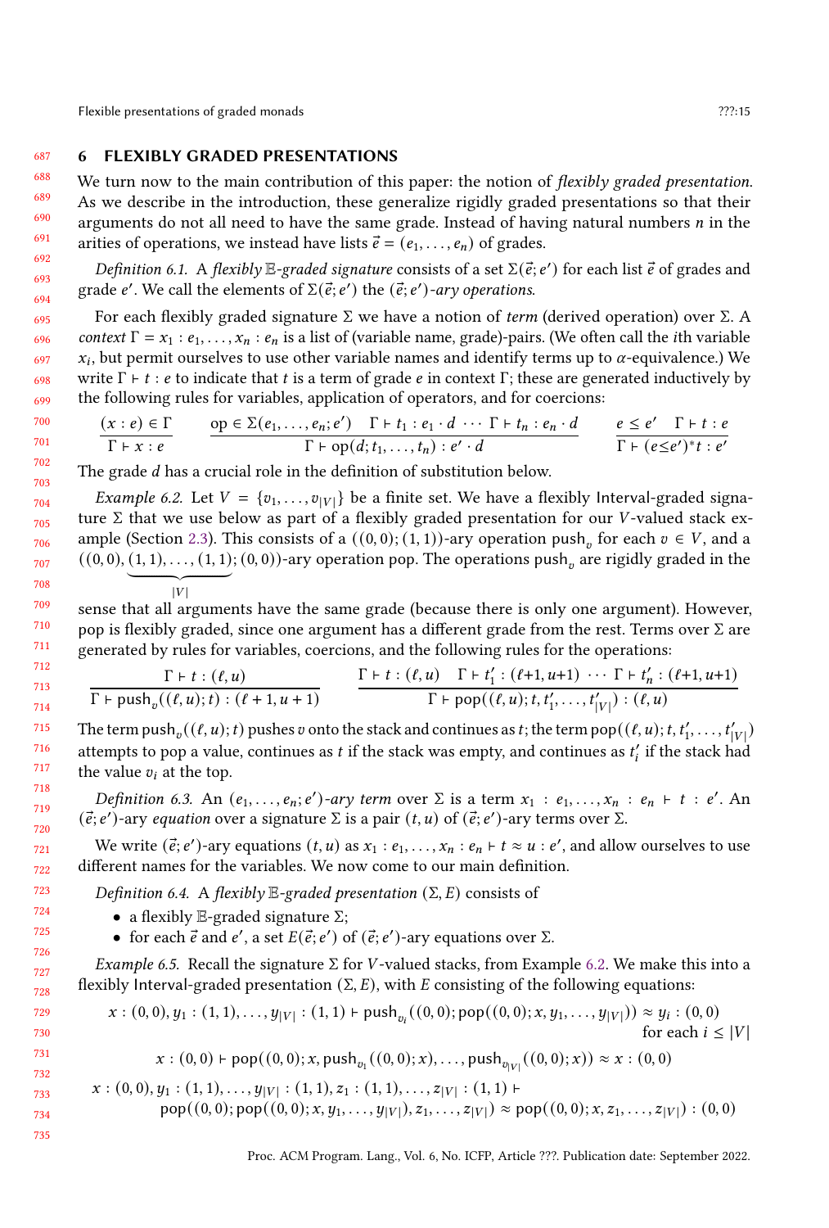# <span id="page-14-0"></span>6 FLEXIBLY GRADED PRESENTATIONS

We turn now to the main contribution of this paper: the notion of *flexibly graded presentation*. As we describe in the introduction, these generalize rigidly graded presentations so that their arguments do not all need to have the same grade. Instead of having natural numbers  $n$  in the arities of operations, we instead have lists  $\vec{e} = (e_1, \ldots, e_n)$  of grades.

Definition 6.1. A flexibly  $\mathbb{E}$ -graded signature consists of a set  $\Sigma(\vec{e}; e')$  for each list  $\vec{e}$  of grades and grade e'. We call the elements of  $\Sigma(\vec{e}; e')$  the  $(\vec{e}; e')$ -ary operations.

For each flexibly graded signature Σ we have a notion of term (derived operation) over Σ. A context  $\Gamma = x_1 : e_1, \ldots, x_n : e_n$  is a list of (variable name, grade)-pairs. (We often call the *i*th variable  $x_i$ , but permit ourselves to use other variable names and identify terms up to  $\alpha$ -equivalence.) We write  $\Gamma \vdash t : e$  to indicate that t is a term of grade  $e$  in context  $\Gamma$ ; these are generated inductively by the following rules for variables, application of operators, and for coercions:

$$
\frac{(x : e) \in \Gamma}{\Gamma + x : e} \qquad \frac{\text{op} \in \Sigma(e_1, \ldots, e_n; e') \quad \Gamma + t_1 : e_1 \cdot d \cdots \Gamma + t_n : e_n \cdot d}{\Gamma + \text{op}(d; t_1, \ldots, t_n) : e' \cdot d} \qquad \frac{e \le e' \quad \Gamma + t : e_n \cdot d}{\Gamma + (e \le e')^* t : e'}
$$

<span id="page-14-1"></span>The grade *d* has a crucial role in the definition of substitution below.

*Example 6.2.* Let  $V = \{v_1, \ldots, v_{|V|}\}$  be a finite set. We have a flexibly Interval-graded signature Σ that we use below as part of a flexibly graded presentation for our *V*-valued stack ex-ample (Section [2.3\)](#page-5-0). This consists of a  $((0,0); (1,1))$ -ary operation push<sub>v</sub> for each  $v \in V$ , and a  $((0,0),(1,1),\ldots,(1,1);(0,0))$ -ary operation pop. The operations push<sub>v</sub> are rigidly graded in the  $|V|$ 

sense that all arguments have the same grade (because there is only one argument). However, pop is flexibly graded, since one argument has a different grade from the rest. Terms over  $\Sigma$  are generated by rules for variables, coercions, and the following rules for the operations:

$$
\frac{\Gamma \vdash t : (\ell, u)}{\Gamma \vdash \text{push}_v((\ell, u); t) : (\ell + 1, u + 1)} \qquad \frac{\Gamma \vdash t : (\ell, u) \quad \Gamma \vdash t'_1 : (\ell + 1, u + 1) \cdots \Gamma \vdash t'_n : (\ell + 1, u + 1)}{\Gamma \vdash \text{pop}((\ell, u); t, t'_1, \ldots, t'_{|V|}) : (\ell, u)}
$$

The term  $push_v((\ell, u); t)$  pushes  $v$  onto the stack and continues as  $t$ ; the term  $pop((\ell, u); t, t'_1, \ldots, t'_{|V|})$ attempts to pop a value, continues as  $t$  if the stack was empty, and continues as  $t_i^\prime$  if the stack had the value  $v_i$  at the top.

Definition 6.3. An  $(e_1, \ldots, e_n; e')$ -ary term over  $\Sigma$  is a term  $x_1 : e_1, \ldots, x_n : e_n \vdash t : e'$ . An  $(\vec{e}; e')$ -ary equation over a signature  $\Sigma$  is a pair  $(t, u)$  of  $(\vec{e}; e')$ -ary terms over  $\Sigma$ .

We write  $(\vec{e}; e')$ -ary equations  $(t, u)$  as  $x_1 : e_1, \ldots, x_n : e_n \vdash t \approx u : e'$ , and allow ourselves to use different names for the variables. We now come to our main definition.

Definition 6.4. A flexibly  $\mathbb{E}$ -graded presentation  $(\Sigma, E)$  consists of

- a flexibly E-graded signature  $\Sigma$ ;
- for each  $\vec{e}$  and  $e'$ , a set  $E(\vec{e}; e')$  of  $(\vec{e}; e')$ -ary equations over  $\Sigma$ .

<span id="page-14-2"></span>Example 6.5. Recall the signature  $\Sigma$  for *V*-valued stacks, from Example [6.2.](#page-14-1) We make this into a flexibly Interval-graded presentation  $(\Sigma, E)$ , with E consisting of the following equations:

$$
x:(0,0), y_1:(1,1),...,y_{|V|}:(1,1) \vdash \text{push}_{v_i}((0,0); \text{pop}((0,0);x,y_1,...,y_{|V|})) \approx y_i:(0,0) \text{ for each } i \leq |V|
$$

$$
x:(0,0) \vdash \text{pop}((0,0);x,\text{push}_{v_1}((0,0);x),\ldots,\text{push}_{v_{|V|}}((0,0);x)) \approx x:(0,0)
$$

$$
x:(0,0), y_1:(1,1),..., y_{|V|}:(1,1), z_1:(1,1),..., z_{|V|}:(1,1) \vdash
$$
  
pop((0,0); pop((0,0); x, y\_1,..., y\_{|V|}), z\_1,..., z\_{|V|}) \approx pop((0,0); x, z\_1,..., z\_{|V|}): (0,0)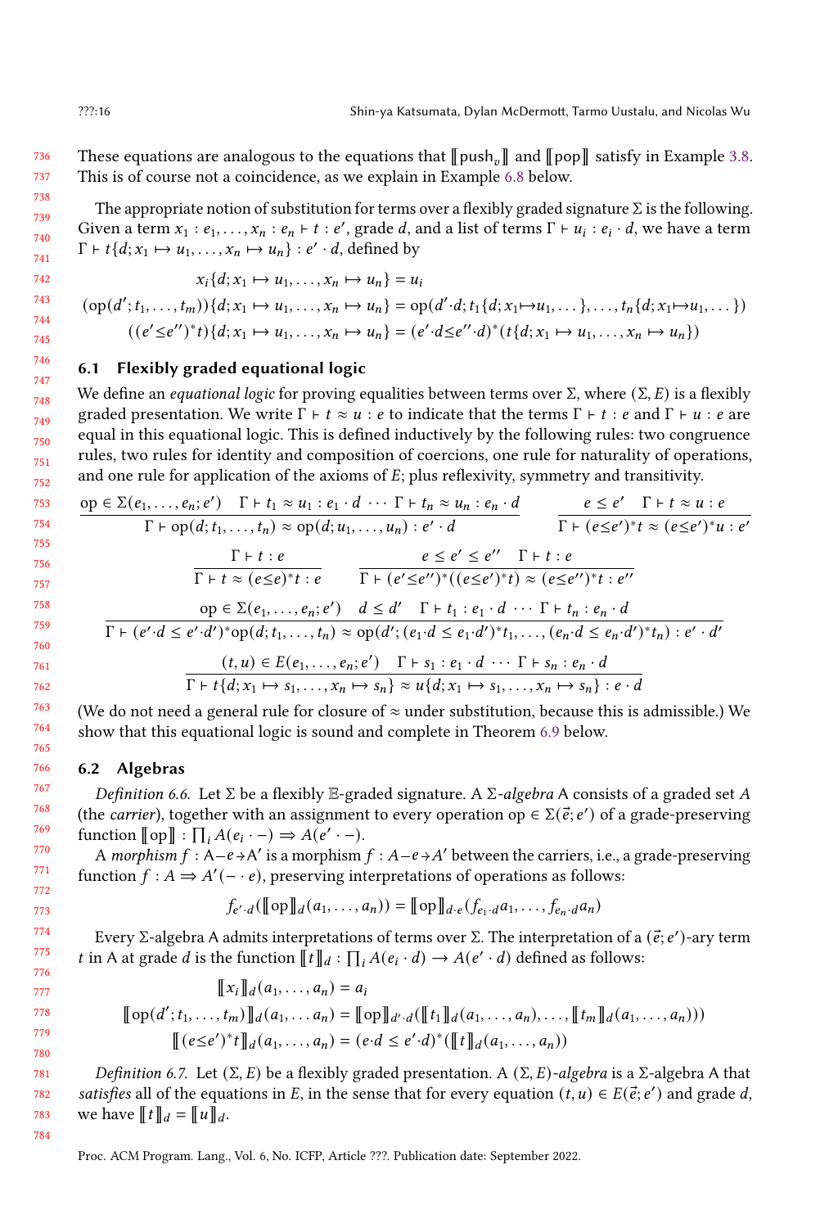736 737 These equations are analogous to the equations that  $\llbracket \text{push}_n \rrbracket$  and  $\llbracket \text{pop} \rrbracket$  satisfy in Example [3.8.](#page-9-1) This is of course not a coincidence, as we explain in Example [6.8](#page-15-1) below.

The appropriate notion of substitution for terms over a flexibly graded signature  $\Sigma$  is the following. Given a term  $x_1 : e_1, \ldots, x_n : e_n \vdash t : e'$ , grade d, and a list of terms  $\Gamma \vdash u_i : e_i \cdot d$ , we have a term  $\Gamma \vdash t \{d; x_1 \mapsto u_1, \ldots, x_n \mapsto u_n\} : e' \cdot d$ , defined by

$$
x_i\{d;x_1\mapsto u_1,\ldots,x_n\mapsto u_n\}=u_i
$$

$$
(\text{op}(d'; t_1, \ldots, t_m))\{d; x_1 \mapsto u_1, \ldots, x_n \mapsto u_n\} = \text{op}(d'\cdot d; t_1\{d; x_1 \mapsto u_1, \ldots\}, \ldots, t_n\{d; x_1 \mapsto u_1, \ldots\})
$$

$$
((e' \leq e'')^* t)\{d; x_1 \mapsto u_1, \ldots, x_n \mapsto u_n\} = (e' \cdot d \leq e'' \cdot d)^*\{t\{d; x_1 \mapsto u_1, \ldots, x_n \mapsto u_n\})
$$

# <span id="page-15-0"></span>6.1 Flexibly graded equational logic

We define an *equational logic* for proving equalities between terms over  $\Sigma$ , where  $(\Sigma, E)$  is a flexibly graded presentation. We write  $\Gamma \vdash t \approx u : e$  to indicate that the terms  $\Gamma \vdash t : e$  and  $\Gamma \vdash u : e$  are equal in this equational logic. This is defined inductively by the following rules: two congruence rules, two rules for identity and composition of coercions, one rule for naturality of operations, and one rule for application of the axioms of  $E$ ; plus reflexivity, symmetry and transitivity.

$$
\frac{op \in \Sigma(e_1, \ldots, e_n; e') \quad \Gamma \vdash t_1 \approx u_1 : e_1 \cdot d \cdots \Gamma \vdash t_n \approx u_n : e_n \cdot d}{\Gamma \vdash op(d; t_1, \ldots, t_n) \approx op(d; u_1, \ldots, u_n) : e' \cdot d} \qquad \frac{e \le e' \quad \Gamma \vdash t \approx u : e}{\Gamma \vdash (e \le e')^* t \approx (e \le e')^* u : e'}
$$
\n
$$
\frac{\Gamma \vdash t : e}{\Gamma \vdash t \approx (e \le e)^* t : e} \qquad \frac{e \le e' \le e'' \quad \Gamma \vdash t : e}{\Gamma \vdash (e' \le e'')^* (e \le e')^* t \approx (e \le e'')^* t : e''}
$$
\n
$$
\frac{op \in \Sigma(e_1, \ldots, e_n; e') \quad d \le d' \quad \Gamma \vdash t_1 : e_1 \cdot d \cdots \Gamma \vdash t_n : e_n \cdot d}{\Gamma \vdash (e' \cdot d \le e' \cdot d')^* op(d; t_1, \ldots, t_n) \approx op(d'; (e_1 \cdot d \le e_1 \cdot d')^* t_1, \ldots, (e_n \cdot d \le e_n \cdot d')^* t_n) : e' \cdot d'}
$$
\n
$$
\frac{(t, u) \in E(e_1, \ldots, e_n; e') \quad \Gamma \vdash s_1 : e_1 \cdot d \cdots \Gamma \vdash s_n : e_n \cdot d}{\Gamma \vdash t \{d; x_1 \mapsto s_1, \ldots, x_n \mapsto s_n\} \approx u \{d; x_1 \mapsto s_1, \ldots, x_n \mapsto s_n\} : e \cdot d}
$$

(We do not need a general rule for closure of  $\approx$  under substitution, because this is admissible.) We show that this equational logic is sound and complete in Theorem [6.9](#page-16-1) below.

### 6.2 Algebras

Definition 6.6. Let  $\Sigma$  be a flexibly  $\mathbb{E}$ -graded signature. A  $\Sigma$ -algebra A consists of a graded set A (the *carrier*), together with an assignment to every operation op  $\in \Sigma(\vec{e}; e')$  of a grade-preserving function  $[\![\text{op}]\!] : \prod_i A(e_i \cdot -) \Rightarrow A(e' \cdot -).$ 

A morphism  $f : A-e\rightarrow A'$  is a morphism  $f : A-e\rightarrow A'$  between the carriers, i.e., a grade-preserving function  $f : A \Rightarrow A'(-e)$ , preserving interpretations of operations as follows:

$$
f_{e',d}(\llbracket op \rrbracket_d(a_1,\ldots,a_n)) = \llbracket op \rrbracket_{d \cdot e}(f_{e_1 \cdot d}a_1,\ldots,f_{e_n \cdot d}a_n)
$$

Every Σ-algebra A admits interpretations of terms over Σ. The interpretation of a  $(\vec{e}; e')$ -ary term t in A at grade *d* is the function  $\llbracket t \rrbracket_d : \prod_i A(e_i \cdot d) \rightarrow A(e' \cdot d)$  defined as follows:

$$
\llbracket x_i \rrbracket_d(a_1, ..., a_n) = a_i
$$
  

$$
\llbracket \text{op}(d'; t_1, ..., t_m) \rrbracket_d(a_1, ..., a_n) = \llbracket \text{op} \rrbracket_{d'} \cdot d(\llbracket t_1 \rrbracket_d(a_1, ..., a_n), ..., \llbracket t_m \rrbracket_d(a_1, ..., a_n))
$$
  

$$
\llbracket (e \le e')^* t \rrbracket_d(a_1, ..., a_n) = (e \cdot d \le e' \cdot d)^* (\llbracket t \rrbracket_d(a_1, ..., a_n))
$$

Definition 6.7. Let  $(\Sigma, E)$  be a flexibly graded presentation. A  $(\Sigma, E)$ -algebra is a Σ-algebra A that satisfies all of the equations in E, in the sense that for every equation  $(t, u) \in E(\vec{e}; e')$  and grade d, we have  $[[t]]_d = [[u]]_d$ .

<span id="page-15-1"></span>Proc. ACM Program. Lang., Vol. 6, No. ICFP, Article ???. Publication date: September 2022.

738 739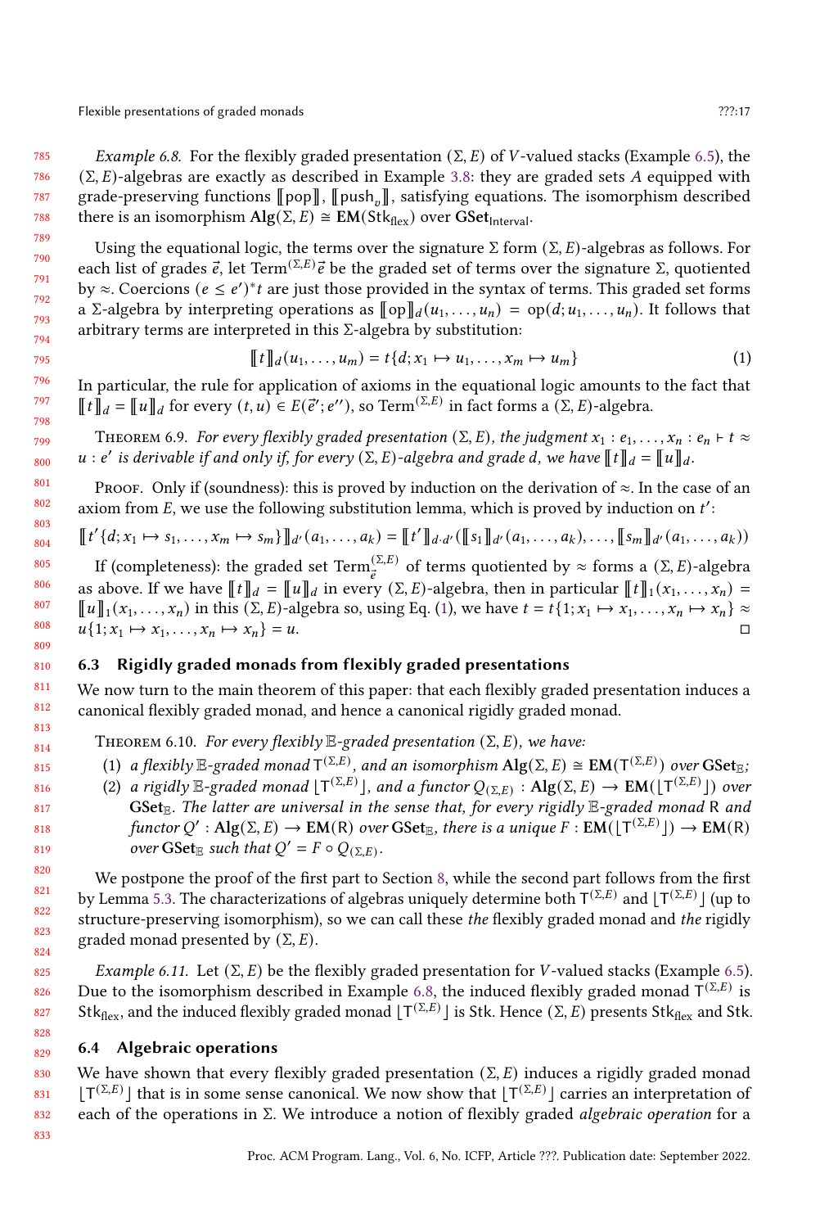Flexible presentations of graded monads **Properties** 27?:17

785 786 787 788 Example 6.8. For the flexibly graded presentation ( $\Sigma$ , E) of *V*-valued stacks (Example [6.5\)](#page-14-2), the  $(\Sigma, E)$ -algebras are exactly as described in Example [3.8:](#page-9-1) they are graded sets A equipped with grade-preserving functions  $\llbracket \text{pop} \rrbracket$ ,  $\llbracket \text{push}_n \rrbracket$ , satisfying equations. The isomorphism described there is an isomorphism  $\text{Alg}(\Sigma, E) \cong \text{EM}(\text{Stk}_{\text{flex}})$  over  $\text{GSet}_{\text{Interval}}$ .

Using the equational logic, the terms over the signature  $\Sigma$  form  $(\Sigma, E)$ -algebras as follows. For each list of grades  $\vec{e}$ , let Term<sup>(Σ,E)</sup> $\vec{e}$  be the graded set of terms over the signature Σ, quotiented by  $\approx$ . Coercions ( $e \leq e$ )<sup>\*</sup>t are just those provided in the syntax of terms. This graded set forms a Σ-algebra by interpreting operations as  $[\![\text{op}]\!]_d(u_1, \ldots, u_n) = \text{op}(d; u_1, \ldots, u_n)$ . It follows that arbitrary terms are interpreted in this Σ-algebra by substitution:

<span id="page-16-2"></span>
$$
\llbracket t \rrbracket_d(u_1,\ldots,u_m) = t\{d;x_1\mapsto u_1,\ldots,x_m\mapsto u_m\} \tag{1}
$$

In particular, the rule for application of axioms in the equational logic amounts to the fact that  $[[t]]_d = [[u]]_d$  for every  $(t, u) \in E(\vec{e}'; e'')$ , so Term $^{(\Sigma,E)}$  in fact forms a  $(\Sigma, E)$ -algebra.

<span id="page-16-1"></span>THEOREM 6.9. For every flexibly graded presentation (Σ, E), the judgment  $x_1 : e_1, \ldots, x_n : e_n \vdash t \approx$ u : e' is derivable if and only if, for every  $(\Sigma, E)$ -algebra and grade d, we have  $[\![t]\!]_d = [\![u]\!]_d$ .

PROOF. Only if (soundness): this is proved by induction on the derivation of  $\approx$ . In the case of an axiom from  $E$ , we use the following substitution lemma, which is proved by induction on  $t'$ :

$$
\llbracket t'\{d;x_1\mapsto s_1,\ldots,x_m\mapsto s_m\}\rrbracket_{d'}(a_1,\ldots,a_k)=\llbracket t'\rrbracket_{d\cdot d'}(\llbracket s_1\rrbracket_{d'}(a_1,\ldots,a_k),\ldots,\llbracket s_m\rrbracket_{d'}(a_1,\ldots,a_k))
$$

If (completeness): the graded set  $\mathrm{Term}_{\vec{e}}^{(\Sigma,E)}$  of terms quotiented by  $\approx$  forms a (Σ, E)-algebra as above. If we have  $\llbracket t \rrbracket_d = \llbracket u \rrbracket_d$  in every  $(\Sigma, E)$ -algebra, then in particular  $\llbracket t \rrbracket_1(x_1, \ldots, x_n) =$  $\llbracket u \rrbracket_1(x_1, \ldots, x_n)$  in this  $(\Sigma, E)$ -algebra so, using Eq. [\(1\)](#page-16-2), we have  $t = t\{1; x_1 \mapsto x_1, \ldots, x_n \mapsto x_n\} \approx$  $u\{1; x_1 \mapsto x_1, \ldots, x_n \mapsto x_n\} = u.$ 

# 6.3 Rigidly graded monads from flexibly graded presentations

We now turn to the main theorem of this paper: that each flexibly graded presentation induces a canonical flexibly graded monad, and hence a canonical rigidly graded monad.

<span id="page-16-3"></span>THEOREM 6.10. For every flexibly  $E$ -graded presentation  $(\Sigma, E)$ , we have:

- (1) a flexibly  $\mathbb{E}$ -graded monad  $T^{(\Sigma,E)}$ , and an isomorphism  $\mathrm{Alg}(\Sigma,E)\cong \mathrm{EM}(T^{(\Sigma,E)})$  over  $\mathrm{GSet}_\mathbb{E}$ ;
- (2) a rigidly  $\mathbb{E}$ -graded monad  $[T^{(\Sigma,E)}]$ , and a functor  $Q_{(\Sigma,E)} : Alg(\Sigma,E) \to EM([T^{(\Sigma,E)}])$  over GSet<sub> $\mathbb{R}$ </sub>. The latter are universal in the sense that, for every rigidly  $\mathbb{E}$ -graded monad R and functor  $Q' : Alg(\Sigma, E) \to EM(R)$  over  $GSet_{E}$ , there is a unique  $F : EM(\lfloor T^{(\Sigma,E)} \rfloor) \to EM(R)$ over  $\text{GSet}_{\mathbb{E}}$  such that  $Q' = F \circ Q_{(\Sigma,E)}$ .

We postpone the proof of the first part to Section [8,](#page-22-0) while the second part follows from the first by Lemma [5.3.](#page-13-0) The characterizations of algebras uniquely determine both  $T^{(\Sigma,E)}$  and  $[T^{(\Sigma,E)}]$  (up to structure-preserving isomorphism), so we can call these the flexibly graded monad and the rigidly graded monad presented by  $(\Sigma, E)$ .

Example 6.11. Let  $(\Sigma, E)$  be the flexibly graded presentation for *V*-valued stacks (Example [6.5\)](#page-14-2). Due to the isomorphism described in Example [6.8,](#page-15-1) the induced flexibly graded monad  $\overline{T}^{(\Sigma,E)}$  is Stk<sub>flex</sub>, and the induced flexibly graded monad  $[T^{(\Sigma,E)}]$  is Stk. Hence  $(\Sigma, E)$  presents Stk<sub>flex</sub> and Stk.

### <span id="page-16-0"></span>6.4 Algebraic operations

830 831 832 We have shown that every flexibly graded presentation ( $\Sigma$ , E) induces a rigidly graded monad  $[T^{(\Sigma,E)}]$  that is in some sense canonical. We now show that  $[T^{(\Sigma,E)}]$  carries an interpretation of each of the operations in  $\Sigma$ . We introduce a notion of flexibly graded *algebraic operation* for a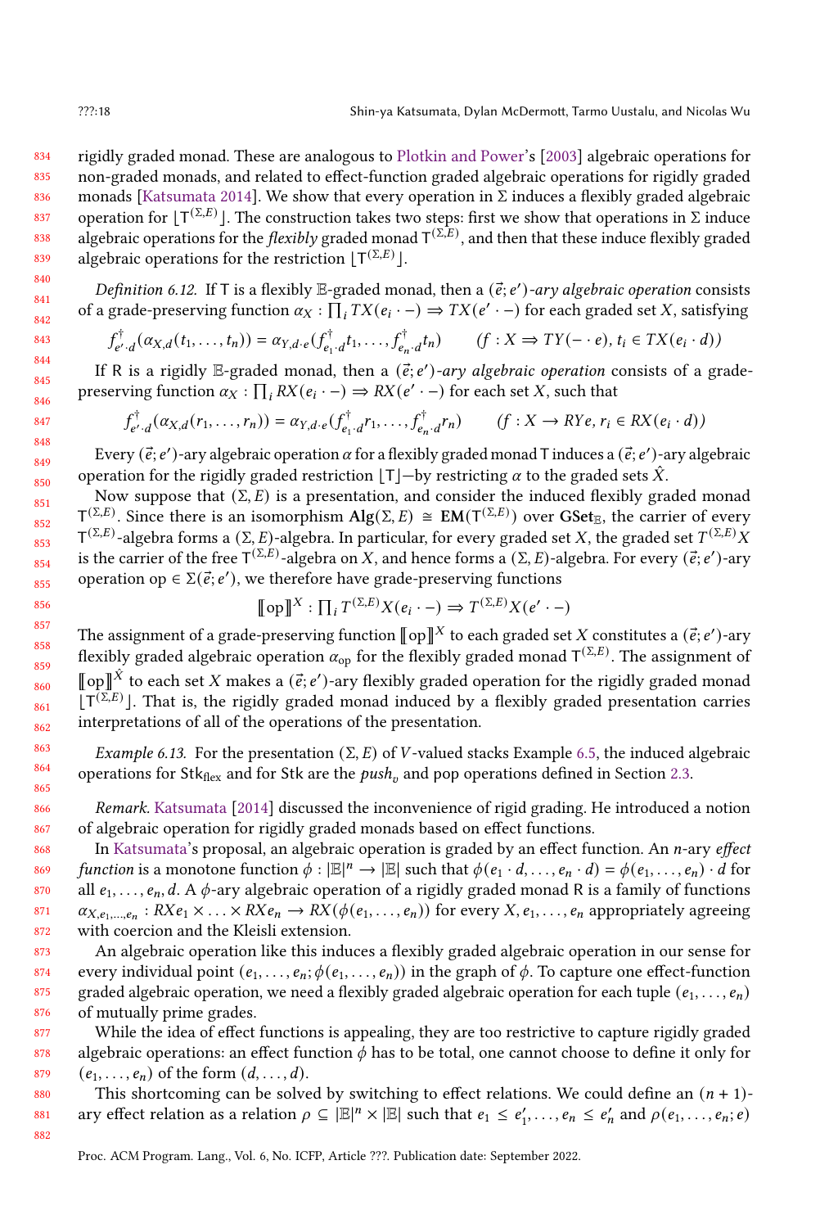834 835 836 837 838 839 rigidly graded monad. These are analogous to [Plotkin and Power'](#page-27-14)s [\[2003\]](#page-27-14) algebraic operations for non-graded monads, and related to effect-function graded algebraic operations for rigidly graded monads [\[Katsumata](#page-27-2) [2014\]](#page-27-2). We show that every operation in  $\Sigma$  induces a flexibly graded algebraic operation for  $[T^{(\Sigma,E)}]$ . The construction takes two steps: first we show that operations in  $\Sigma$  induce algebraic operations for the *flexibly* graded monad  $T^{(\Sigma,E)}$ , and then that these induce flexibly graded algebraic operations for the restriction  $[T^{(\Sigma,E)}]$ .

Definition 6.12. If T is a flexibly E-graded monad, then a  $(\vec{e}; e')$ -ary algebraic operation consists of a grade-preserving function  $\alpha_X : \prod_i TX(e_i \cdot -) \Rightarrow TX(e' \cdot -)$  for each graded set X, satisfying

$$
f_{e',d}^{\dagger}(\alpha_{X,d}(t_1,\ldots,t_n))=\alpha_{Y,d\cdot e}(f_{e_1\cdot d}^{\dagger}t_1,\ldots,f_{e_n\cdot d}^{\dagger}t_n) \qquad (f:X\Rightarrow TY(-\cdot e), t_i\in TX(e_i\cdot d))
$$

If R is a rigidly E-graded monad, then a  $(\vec{e}; e')$ -ary algebraic operation consists of a gradepreserving function  $\alpha_X : \prod_i RX(e_i \cdot -) \Rightarrow RX(e' \cdot -)$  for each set X, such that

$$
f_{e',d}^{\dagger}(\alpha_{X,d}(r_1,\ldots,r_n))=\alpha_{Y,d\cdot e}(f_{e_1\cdot d}^{\dagger}r_1,\ldots,f_{e_n\cdot d}^{\dagger}r_n) \qquad (f:X\to RYe, r_i\in RX(e_i\cdot d))
$$

Every ( $\vec{e}$ ;  $e'$ )-ary algebraic operation  $\alpha$  for a flexibly graded monad T induces a ( $\vec{e}$ ;  $e'$ )-ary algebraic operation for the rigidly graded restriction  $|T|$ —by restricting  $\alpha$  to the graded sets  $\hat{X}$ .

Now suppose that  $(\Sigma, E)$  is a presentation, and consider the induced flexibly graded monad  $T^{(\Sigma,E)}$ . Since there is an isomorphism Alg(Σ, E) ≅ EM(T<sup>(Σ,E)</sup>) over GSet<sub>E</sub>, the carrier of every  $T^{(\Sigma,E)}$ -algebra forms a (Σ, E)-algebra. In particular, for every graded set X, the graded set  $T^{(\Sigma,E)}$  X is the carrier of the free  $T^{(\Sigma,E)}$ -algebra on X, and hence forms a ( $\Sigma$ , E)-algebra. For every ( $\vec{e}$ ; e')-ary operation op  $\in \Sigma(\vec{e}; e'),$  we therefore have grade-preserving functions

$$
\llbracket \text{op} \rrbracket^X : \prod_i T^{(\Sigma, E)} X(e_i \cdot -) \Rightarrow T^{(\Sigma, E)} X(e' \cdot -)
$$

The assignment of a grade-preserving function  $\llbracket op \rrbracket^X$  to each graded set X constitutes a  $(\vec{e}; e')$ -ary flexibly graded algebraic operation  $\alpha_{op}$  for the flexibly graded monad  $T^{(\Sigma,E)}$ . The assignment of  $\llbracket$  op $\rrbracket$ <sup> $\hat{X}$ </sup> to each set X makes a ( $\vec{e}$ ; e')-ary flexibly graded operation for the rigidly graded monad  $[T^{(\Sigma,E)}]$ . That is, the rigidly graded monad induced by a flexibly graded presentation carries interpretations of all of the operations of the presentation.

Example 6.13. For the presentation  $(\Sigma, E)$  of *V*-valued stacks Example [6.5,](#page-14-2) the induced algebraic operations for Stk<sub>flex</sub> and for Stk are the  $push_v$  and pop operations defined in Section [2.3.](#page-5-0)

Remark. [Katsumata](#page-27-2) [\[2014\]](#page-27-2) discussed the inconvenience of rigid grading. He introduced a notion of algebraic operation for rigidly graded monads based on effect functions.

In [Katsumata'](#page-27-2)s proposal, an algebraic operation is graded by an effect function. An  $n$ -ary *effect* function is a monotone function  $\phi : |\mathbb{E}|^n \to |\mathbb{E}|$  such that  $\phi(e_1 \cdot d, \ldots, e_n \cdot d) = \phi(e_1, \ldots, e_n) \cdot d$  for all  $e_1, \ldots, e_n, d$ . A  $\phi$ -ary algebraic operation of a rigidly graded monad R is a family of functions  $\alpha_{X,e_1,...,e_n}: R X e_1 \times ... \times R X e_n \to R X (\phi(e_1,...,e_n))$  for every  $X, e_1,...,e_n$  appropriately agreeing with coercion and the Kleisli extension.

An algebraic operation like this induces a flexibly graded algebraic operation in our sense for every individual point  $(e_1, \ldots, e_n; \phi(e_1, \ldots, e_n))$  in the graph of  $\phi$ . To capture one effect-function graded algebraic operation, we need a flexibly graded algebraic operation for each tuple  $(e_1, \ldots, e_n)$ of mutually prime grades.

877 878 879 While the idea of effect functions is appealing, they are too restrictive to capture rigidly graded algebraic operations: an effect function  $\phi$  has to be total, one cannot choose to define it only for  $(e_1, \ldots, e_n)$  of the form  $(d, \ldots, d)$ .

880 881 This shortcoming can be solved by switching to effect relations. We could define an  $(n + 1)$ ary effect relation as a relation  $\rho \subseteq |\mathbb{E}|^n \times |\mathbb{E}|$  such that  $e_1 \leq e'_1, \ldots, e_n \leq e'_n$  and  $\rho(e_1, \ldots, e_n; e)$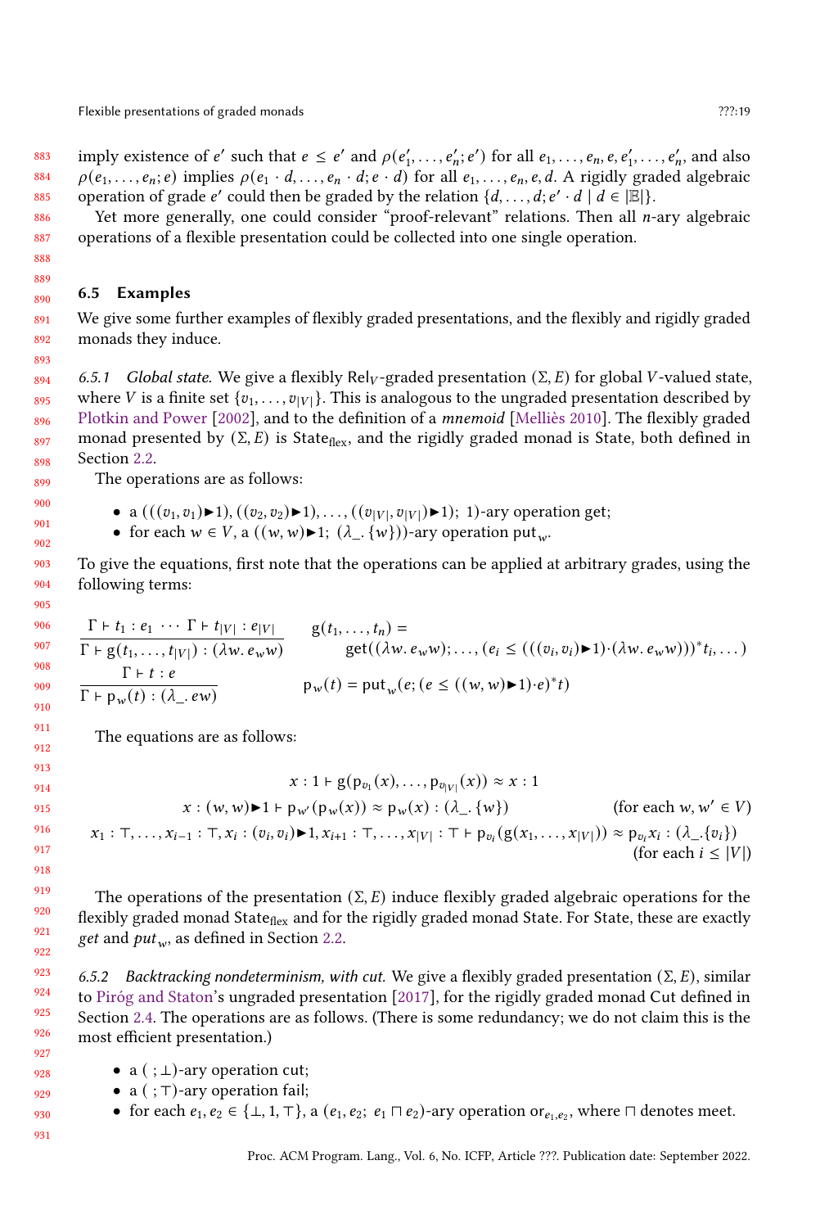Flexible presentations of graded monads **Properties** 27?:19

883 884 885 imply existence of e' such that  $e \le e'$  and  $\rho(e'_1, \ldots, e'_n; e')$  for all  $e_1, \ldots, e_n, e, e'_1, \ldots, e'_n$ , and also  $\rho(e_1, \ldots, e_n; e)$  implies  $\rho(e_1 \cdot d, \ldots, e_n \cdot d; e \cdot d)$  for all  $e_1, \ldots, e_n, e, d$ . A rigidly graded algebraic operation of grade e' could then be graded by the relation  $\{d, \ldots, d; e' \cdot d \mid d \in |E|\}.$ 

Yet more generally, one could consider "proof-relevant" relations. Then all *n*-ary algebraic operations of a flexible presentation could be collected into one single operation.

### 6.5 Examples

891 892 We give some further examples of flexibly graded presentations, and the flexibly and rigidly graded monads they induce.

6.5.1 Global state. We give a flexibly Rel<sub>V</sub>-graded presentation  $(\Sigma, E)$  for global *V*-valued state, where V is a finite set { $v_1, \ldots, v_{|V|}$ }. This is analogous to the ungraded presentation described by [Plotkin and Power](#page-27-11) [\[2002\]](#page-27-11), and to the definition of a mnemoid [\[Melliès](#page-27-15) [2010\]](#page-27-15). The flexibly graded monad presented by  $(\Sigma, E)$  is State<sub>flex</sub>, and the rigidly graded monad is State, both defined in Section [2.2.](#page-3-1)

The operations are as follows:

- a  $(((v_1, v_1) \blacktriangleright 1), ((v_2, v_2) \blacktriangleright 1), ..., ((v_{|V|}, v_{|V|}) \blacktriangleright 1); 1)$ -ary operation get;
- for each  $w \in V$ , a  $((w,w) \blacktriangleright 1; (\lambda_-, \{w\}))$ -ary operation put<sub>w</sub>.

To give the equations, first note that the operations can be applied at arbitrary grades, using the following terms:

$$
\frac{\Gamma \vdash t_1 : e_1 \cdots \Gamma \vdash t_{|V|} : e_{|V|}}{\Gamma \vdash g(t_1, \ldots, t_{|V|}) : (\lambda w. e_w w)} \qquad \begin{array}{l}\ng(t_1, \ldots, t_n) = \\
\text{get}((\lambda w. e_w w); \ldots, (e_i \le ((v_i, v_i) \blacktriangleright 1) \cdot (\lambda w. e_w w)))^* t_i, \ldots) \\
\frac{\Gamma \vdash t : e}{\Gamma \vdash p_w(t) : (\lambda \ldots e w)} \qquad \qquad p_w(t) = \text{put}_w(e; (e \le ((w, w) \blacktriangleright 1) \cdot e)^* t)\n\end{array}
$$

The equations are as follows:

$$
x: 1 \vdash g(p_{v_1}(x), ..., p_{v_{|V|}}(x)) \approx x: 1
$$
  

$$
x: (w, w) \blacktriangleright 1 \vdash p_{w'}(p_w(x)) \approx p_w(x): (\lambda_{-}. \{w\})
$$
 (for each  $w, w' \in V$ )  

$$
x_1: \top, ..., x_{i-1}: \top, x_i: (v_i, v_i) \blacktriangleright 1, x_{i+1}: \top, ..., x_{|V|}: \top \vdash p_{v_i}(g(x_1, ..., x_{|V|})) \approx p_{v_i}x_i: (\lambda_{-}. \{v_i\})
$$
  
(for each  $i \leq |V|$ )

The operations of the presentation  $(\Sigma, E)$  induce flexibly graded algebraic operations for the flexibly graded monad State<sub>flex</sub> and for the rigidly graded monad State. For State, these are exactly get and  $put_w$ , as defined in Section [2.2.](#page-3-1)

6.5.2 Backtracking nondeterminism, with cut. We give a flexibly graded presentation  $(\Sigma, E)$ , similar to [Piróg and Staton'](#page-27-3)s ungraded presentation [\[2017\]](#page-27-3), for the rigidly graded monad Cut defined in Section [2.4.](#page-6-0) The operations are as follows. (There is some redundancy; we do not claim this is the most efficient presentation.)

- a  $( ; \bot)$ -ary operation cut;
- a ( ; ⊤)-ary operation fail;
- for each  $e_1, e_2 \in \{\bot, 1, \top\}$ , a  $(e_1, e_2; e_1 \sqcap e_2)$ -ary operation or $e_1, e_2$ , where  $\sqcap$  denotes meet.
	- Proc. ACM Program. Lang., Vol. 6, No. ICFP, Article ???. Publication date: September 2022.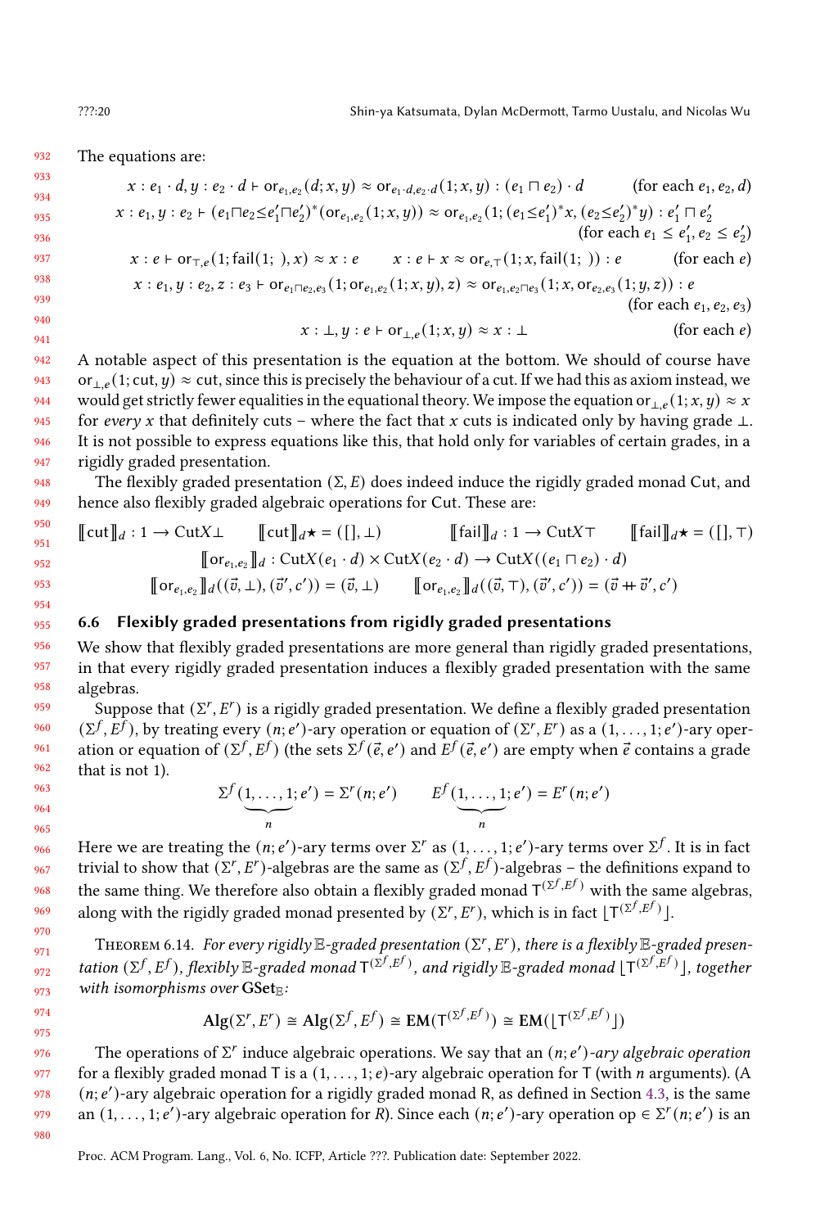932 The equations are:

$$
x: e_1 \cdot d, y: e_2 \cdot d \vdash \text{or}_{e_1, e_2}(d; x, y) \approx \text{or}_{e_1 \cdot d, e_2 \cdot d}(1; x, y): (e_1 \sqcap e_2) \cdot d \qquad \text{(for each } e_1, e_2, d)
$$
\n
$$
x: e_1, y: e_2 \vdash (e_1 \sqcap e_2 \le e_1' \sqcap e_2')^*(\text{or}_{e_1, e_2}(1; x, y)) \approx \text{or}_{e_1, e_2}(1; (e_1 \le e_1')^* x, (e_2 \le e_2')^* y): e_1' \sqcap e_2'
$$
\n(for each  $e_1 \le e_1', e_2 \le e_2'$ )

\n
$$
x: e \vdash \text{or}_{\top, e}(1; \text{fail}(1; ), x) \approx x: e \qquad x: e \vdash x \approx \text{or}_{e, \top}(1; x, \text{fail}(1; )): e \qquad \text{(for each } e)
$$
\n
$$
x: e_1, y: e_2, z: e_3 \vdash \text{or}_{e_1 \sqcap e_2, e_3}(1; \text{or}_{e_1, e_2}(1; x, y), z) \approx \text{or}_{e_1, e_2 \sqcap e_3}(1; x, \text{or}_{e_2, e_3}(1; y, z)): e \qquad \text{(for each } e_1, e_2, e_3)
$$
\n
$$
x: \bot, y: e \vdash \text{or}_{\bot, e}(1; x, y) \approx x: \bot \qquad \text{(for each } e)
$$

942 943 944 945 946 947 A notable aspect of this presentation is the equation at the bottom. We should of course have or<sub>⊥e</sub>(1; cut,  $y$ ) ≈ cut, since this is precisely the behaviour of a cut. If we had this as axiom instead, we would get strictly fewer equalities in the equational theory. We impose the equation or  $(e^{i}(\cdot; x, y) \approx x)$ for every x that definitely cuts – where the fact that x cuts is indicated only by having grade  $\perp$ . It is not possible to express equations like this, that hold only for variables of certain grades, in a rigidly graded presentation.

The flexibly graded presentation  $(\Sigma, E)$  does indeed induce the rigidly graded monad Cut, and hence also flexibly graded algebraic operations for Cut. These are:

$$
\llbracket \text{cut} \rrbracket_d : 1 \to \text{Cut} \times \bot \qquad \llbracket \text{cut} \rrbracket_d \star = (\llbracket \cdot, \bot \rangle \qquad \qquad \llbracket \text{fail} \rrbracket_d : 1 \to \text{Cut} \times \top \qquad \llbracket \text{fail} \rrbracket_d \star = (\llbracket \cdot, \top \rrbracket) \land \text{Cut} \times (\ell_1 \cdot d) \times \text{Cut} \times (\ell_2 \cdot d) \to \text{Cut} \times ((\ell_1 \sqcap \ell_2) \cdot d) \land \text{Var}_{\ell_1, \ell_2} \rrbracket_d \cdot (\vec{v}, \bot), (\vec{v}', c') = (\vec{v}, \bot) \qquad \llbracket \text{or}_{\ell_1, \ell_2} \rrbracket_d ((\vec{v}, \top), (\vec{v}', c')) = (\vec{v}, \bot)
$$

# 6.6 Flexibly graded presentations from rigidly graded presentations

We show that flexibly graded presentations are more general than rigidly graded presentations, in that every rigidly graded presentation induces a flexibly graded presentation with the same algebras.

 $\widetilde{\mathcal{S}}$ uppose that  $(\Sigma^r,E^r)$  is a rigidly graded presentation. We define a flexibly graded presentation  $(\Sigma^f, \overline{E}^f)$ , by treating every  $(n, e')$ -ary operation or equation of  $(\Sigma^r, E^r)$  as a  $(1, \ldots, 1; e')$ -ary operation or equation of  $(\Sigma^f, E^f)$  (the sets  $\Sigma^f(\vec{e}, e')$  and  $E^f(\vec{e}, e')$  are empty when  $\vec{e}$  contains a grade that is not 1).

$$
\sum^{f}(\underbrace{1,\ldots,1}_{n};e') = \sum^{r}(n;e') \qquad E^{f}(\underbrace{1,\ldots,1}_{n};e') = E^{r}(n;e')
$$

Here we are treating the  $(n; e')$ -ary terms over  $\Sigma^r$  as  $(1, \ldots, 1; e')$ -ary terms over  $\Sigma^f$ . It is in fact trivial to show that  $(\Sigma^r, E^r)$ -algebras are the same as  $(\Sigma^f, E^f)$ -algebras – the definitions expand to the same thing. We therefore also obtain a flexibly graded monad  $T^{(\Sigma^{f},E^{f})}$  with the same algebras, along with the rigidly graded monad presented by  $(\Sigma^r, E^r)$ , which is in fact  $[T^{(\Sigma^f, E^f)}]$ .

THEOREM 6.14. For every rigidly  $\mathbb{E}\text{-graded presentation }(\Sigma^r,E^r)$ , there is a flexibly  $\mathbb{E}\text{-graded presen-}$ tation ( $\Sigma^f$ ,  $E^f$ ), flexibly  $\mathbb{E}$ -graded monad  $\mathsf{T}^{(\hat{\Sigma}^f,E^f)}$ , and rigidly  $\mathbb{E}$ -graded monad  $\mathsf{T}^{(\Sigma^f,E^f)}$ ], together with isomorphisms over  $GSet_{\mathbb{E}}$ :

$$
\mathrm{Alg}(\Sigma^r, E^r) \cong \mathrm{Alg}(\Sigma^f, E^f) \cong \mathrm{EM}(\mathsf{T}^{(\Sigma^f, E^f)}) \cong \mathrm{EM}(\lfloor \mathsf{T}^{(\Sigma^f, E^f)} \rfloor)
$$

The operations of  $\Sigma^r$  induce algebraic operations. We say that an  $(n; e')$ -ary algebraic operation for a flexibly graded monad T is a  $(1, \ldots, 1; e)$ -ary algebraic operation for T (with *n* arguments). (A  $(n; e')$ -ary algebraic operation for a rigidly graded monad R, as defined in Section [4.3,](#page-12-0) is the same an  $(1, \ldots, 1; e')$ -ary algebraic operation for R). Since each  $(n; e')$ -ary operation op  $\in \Sigma^r(n; e')$  is an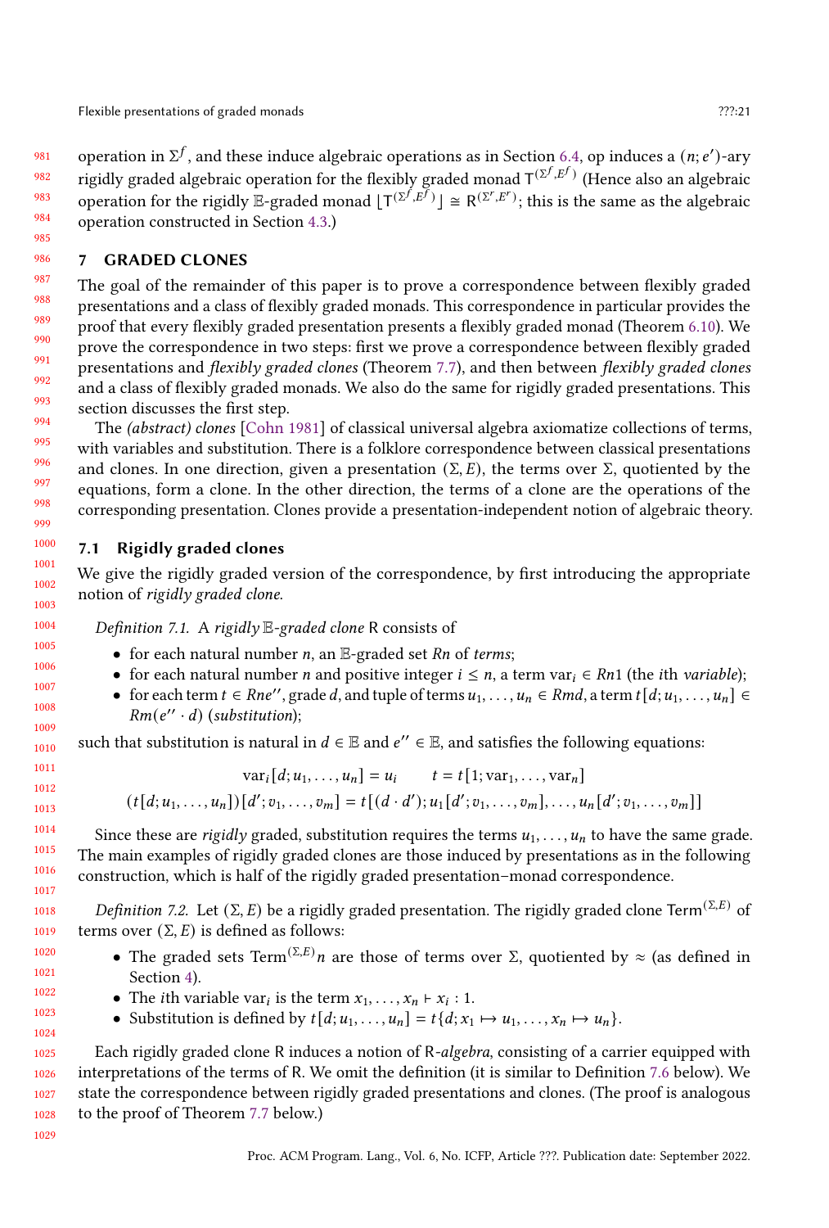981 982 983 984 operation in  $\Sigma^f$ , and these induce algebraic operations as in Section [6.4,](#page-16-0) op induces a  $(n; e')$ -ary rigidly graded algebraic operation for the flexibly graded monad  $T^{(\Sigma^{f},E^{f})}$  (Hence also an algebraic operation for the rigidly E-graded monad  $[T^{(\Sigma^{f}, E^{f})}] \cong R^{(\Sigma^{r}, E^{r})}$ ; this is the same as the algebraic operation constructed in Section [4.3.](#page-12-0))

# <span id="page-20-0"></span>7 GRADED CLONES

The goal of the remainder of this paper is to prove a correspondence between flexibly graded presentations and a class of flexibly graded monads. This correspondence in particular provides the proof that every flexibly graded presentation presents a flexibly graded monad (Theorem [6.10\)](#page-16-3). We prove the correspondence in two steps: first we prove a correspondence between flexibly graded presentations and flexibly graded clones (Theorem [7.7\)](#page-21-0), and then between flexibly graded clones and a class of flexibly graded monads. We also do the same for rigidly graded presentations. This section discusses the first step.

The (abstract) clones [\[Cohn](#page-26-4) [1981\]](#page-26-4) of classical universal algebra axiomatize collections of terms, with variables and substitution. There is a folklore correspondence between classical presentations and clones. In one direction, given a presentation ( $\Sigma$ , E), the terms over  $\Sigma$ , quotiented by the equations, form a clone. In the other direction, the terms of a clone are the operations of the corresponding presentation. Clones provide a presentation-independent notion of algebraic theory.

# 7.1 Rigidly graded clones

We give the rigidly graded version of the correspondence, by first introducing the appropriate notion of rigidly graded clone.

Definition 7.1. A rigidly  $E$ -graded clone R consists of

- for each natural number  $n$ , an  $E$ -graded set  $Rn$  of terms;
- for each natural number *n* and positive integer  $i \leq n$ , a term var $i \in Rn1$  (the *i*th *variable*);
- for each term  $t \in Rne''$ , grade d, and tuple of terms  $u_1, \ldots, u_n \in Rmd$ , a term  $t[d; u_1, \ldots, u_n] \in$  $Rm(e'' \cdot d)$  (substitution);

such that substitution is natural in  $d \in \mathbb{E}$  and  $e'' \in \mathbb{E}$ , and satisfies the following equations:

$$
\text{var}_{i}[d; u_{1}, \dots, u_{n}] = u_{i} \qquad t = t[1; \text{var}_{1}, \dots, \text{var}_{n}]
$$

$$
(t[d; u_{1}, \dots, u_{n}])[d'; v_{1}, \dots, v_{m}] = t[(d \cdot d'); u_{1}[d'; v_{1}, \dots, v_{m}], \dots, u_{n}[d'; v_{1}, \dots, v_{m}]]
$$

Since these are *rigidly* graded, substitution requires the terms  $u_1, \ldots, u_n$  to have the same grade. The main examples of rigidly graded clones are those induced by presentations as in the following construction, which is half of the rigidly graded presentation–monad correspondence.

Definition 7.2. Let (Σ, E) be a rigidly graded presentation. The rigidly graded clone Term<sup>(Σ,E)</sup> of terms over  $(Σ, E)$  is defined as follows:

- The graded sets Term $^{(\Sigma,E)}$ n are those of terms over Σ, quotiented by  $\approx$  (as defined in Section [4\)](#page-9-0).
- The *i*th variable var<sub>*i*</sub> is the term  $x_1, \ldots, x_n \vdash x_i : 1$ .
- Substitution is defined by  $t[d; u_1, \ldots, u_n] = t\{d; x_1 \mapsto u_1, \ldots, x_n \mapsto u_n\}.$

Each rigidly graded clone R induces a notion of R-algebra, consisting of a carrier equipped with interpretations of the terms of R. We omit the definition (it is similar to Definition [7.6](#page-21-1) below). We state the correspondence between rigidly graded presentations and clones. (The proof is analogous to the proof of Theorem [7.7](#page-21-0) below.)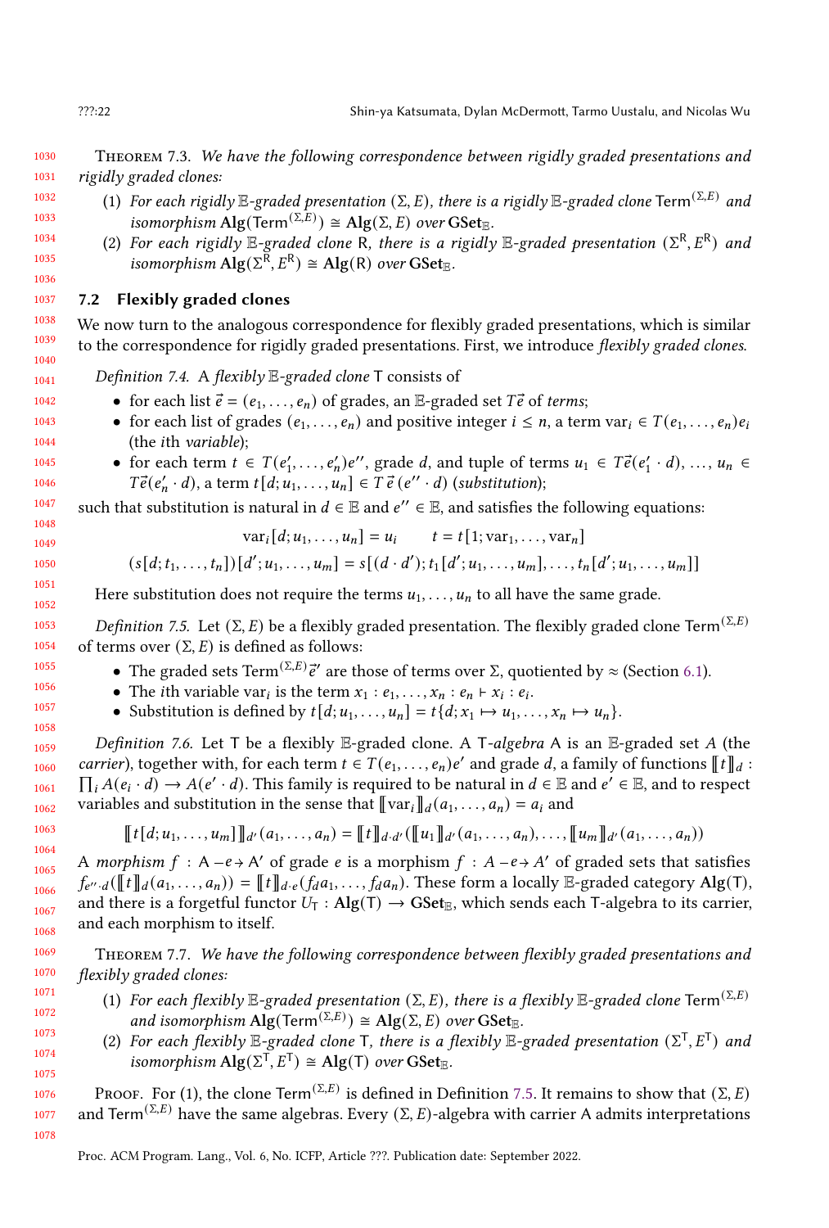1030 1031 THEOREM 7.3. We have the following correspondence between rigidly graded presentations and rigidly graded clones:

- 1032 1033 1034 (1) For each rigidly  $\mathbb{E}\text{-graded presentation }(\Sigma, E)$ , there is a rigidly  $\mathbb{E}\text{-graded clone Term}^{(\Sigma,E)}$  and isomorphism  $\mathrm{Alg}(\mathrm{Term}^{(\Sigma,\mathrm{E})}) \cong \mathrm{Alg}(\Sigma,\mathrm{E})$  over  $\mathrm{GSet}_{\mathbb{E}}$ .
	- (2) For each rigidly  $\mathbb{E}$ -graded clone R, there is a rigidly  $\mathbb{E}$ -graded presentation  $(\Sigma^R, E^R)$  and isomorphism  $\text{Alg}(\Sigma^{\overline{R}}, E^R) \cong \text{Alg}(R)$  over  $\text{GSet}_{\mathbb{E}}$ .

# 7.2 Flexibly graded clones

1038 1039 1040 We now turn to the analogous correspondence for flexibly graded presentations, which is similar to the correspondence for rigidly graded presentations. First, we introduce flexibly graded clones.

Definition 7.4. A flexibly  $E$ -graded clone  $T$  consists of

- for each list  $\vec{e} = (e_1, \ldots, e_n)$  of grades, an E-graded set  $T\vec{e}$  of terms;
- for each list of grades  $(e_1, \ldots, e_n)$  and positive integer  $i \leq n$ , a term var $_i \in T(e_1, \ldots, e_n)e_i$ (the *i*th variable);
	- for each term  $t \in T(e'_1, \ldots, e'_n)e''$ , grade d, and tuple of terms  $u_1 \in T\vec{e}(e'_1 \cdot d), \ldots, u_n \in$  $T\vec{e}(e'_n \cdot d)$ , a term  $t[d; u_1, \ldots, u_n] \in \overline{T} \vec{e}(e'' \cdot d)$  (substitution);

such that substitution is natural in  $d \in \mathbb{E}$  and  $e'' \in \mathbb{E}$ , and satisfies the following equations:

$$
\text{var}_i[d; u_1, \dots, u_n] = u_i \qquad t = t[1; \text{var}_1, \dots, \text{var}_n]
$$

$$
(s[d; t_1, \dots, t_n])[d'; u_1, \dots, u_m] = s[(d \cdot d'); t_1[d'; u_1, \dots, u_m], \dots, t_n[d'; u_1, \dots, u_m]]
$$

Here substitution does not require the terms  $u_1, \ldots, u_n$  to all have the same grade.

<span id="page-21-2"></span>Definition 7.5. Let  $(\Sigma, E)$  be a flexibly graded presentation. The flexibly graded clone Term<sup>( $(\Sigma, E)$ </sup>) of terms over  $(\Sigma, E)$  is defined as follows:

- The graded sets Term<sup>(Σ,Ε)</sup> $\vec{e}$ ' are those of terms over Σ, quotiented by  $\approx$  (Section [6.1\)](#page-15-0).
- The *i*th variable var<sub>*i*</sub> is the term  $x_1 : e_1, \ldots, x_n : e_n \vdash x_i : e_i$ .
- Substitution is defined by  $t[d; u_1, \ldots, u_n] = t\{d; x_1 \mapsto u_1, \ldots, x_n \mapsto u_n\}.$

<span id="page-21-1"></span>Definition 7.6. Let T be a flexibly E-graded clone. A T-algebra A is an E-graded set A (the *carrier*), together with, for each term  $t \in T(e_1, \ldots, e_n)e'$  and grade d, a family of functions  $[\![t]\!]_d$ :  $\prod_i A(e_i \cdot d) \to A(e' \cdot d)$ . This family is required to be natural in  $d \in \mathbb{E}$  and  $e' \in \mathbb{E}$ , and to respect variables and substitution in the sense that  $\left[\nabla \text{ar}_{i}\right]_{d}(a_{1}, \ldots, a_{n}) = a_{i}$  and

$$
[[t[d;u_1,\ldots,u_m]]]_{d'}(a_1,\ldots,a_n) = [[t]]_{d'd'}([u_1]]_{d'}(a_1,\ldots,a_n),\ldots,[u_m]]_{d'}(a_1,\ldots,a_n))
$$

A morphism  $f : A - e + A'$  of grade e is a morphism  $f : A - e + A'$  of graded sets that satisfies  $f_{e'',d}(\llbracket t \rrbracket_d(a_1,\ldots,a_n)) = \llbracket t \rrbracket_{d \cdot e}(f_d a_1,\ldots,f_d a_n)$ . These form a locally  $\mathbb{E}\text{-graded category } \mathrm{Alg}(T)$ , and there is a forgetful functor  $U_T : Alg(T) \rightarrow GSet_E$ , which sends each T-algebra to its carrier, and each morphism to itself.

<span id="page-21-0"></span>Theorem 7.7. We have the following correspondence between flexibly graded presentations and flexibly graded clones:

- (1) For each flexibly E-graded presentation ( $\Sigma$ , E), there is a flexibly E-graded clone Term $(\Sigma, E)$ and isomorphism  $\text{Alg}(\text{Term}^{(\Sigma,E)}) \cong \text{Alg}(\Sigma,E)$  over  $\text{GSet}_{\mathbb{E}}$ .
- (2) For each flexibly  $\mathbb{E}$ -graded clone T, there is a flexibly  $\mathbb{E}$ -graded presentation  $(\Sigma^\mathsf{T}, E^\mathsf{T})$  and isomorphism  $\text{Alg}(\Sigma^{\mathsf{T}}, E^{\mathsf{T}}) \cong \text{Alg}(\mathsf{T})$  over  $\text{GSet}_{\mathbb{E}}$ .

Proof. For (1), the clone Term $^{(\Sigma,E)}$  is defined in Definition [7.5.](#page-21-2) It remains to show that  $(\Sigma,E)$ and Term<sup>(Σ,E)</sup> have the same algebras. Every (Σ, E)-algebra with carrier A admits interpretations

1035 1036 1037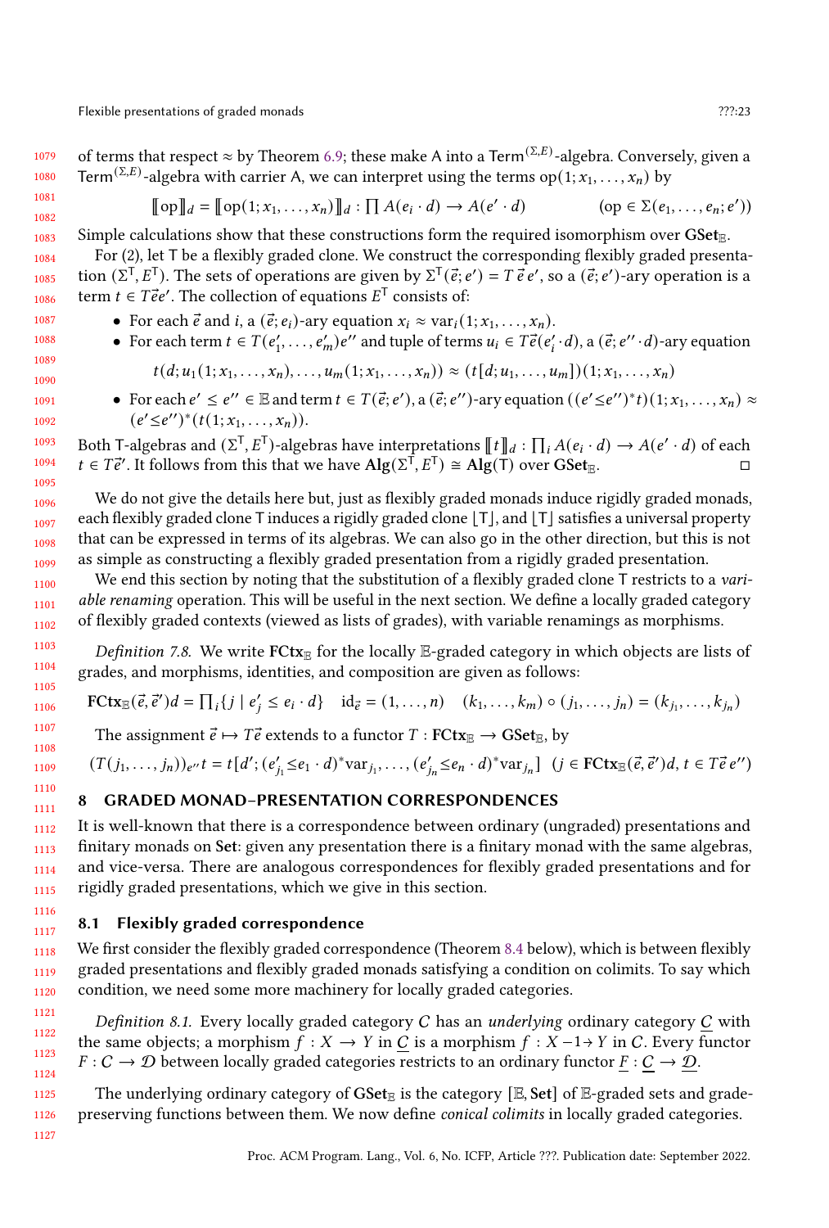$$
\llbracket \text{op} \rrbracket_d = \llbracket \text{op}(1; x_1, \dots, x_n) \rrbracket_d : \prod A(e_i \cdot d) \to A(e' \cdot d) \tag{op} \in \Sigma(e_1, \dots, e_n; e'))
$$

Simple calculations show that these constructions form the required isomorphism over  $\text{GSet}_{\mathbb{R}}$ .

1084 1085 1086 For (2), let T be a flexibly graded clone. We construct the corresponding flexibly graded presentation  $(\Sigma^T, E^T)$ . The sets of operations are given by  $\Sigma^T(\vec{e}; e') = T \vec{e} e'$ , so a  $(\vec{e}; e')$ -ary operation is a term  $t \in T \vec{e} e'$ . The collection of equations  $E^T$  consists of:

- For each  $\vec{e}$  and  $i$ , a  $(\vec{e}; e_i)$ -ary equation  $x_i \approx \text{var}_i(1; x_1, \ldots, x_n)$ .
- For each term  $t \in T(e'_1, \ldots, e'_m)e''$  and tuple of terms  $u_i \in T\vec{e}(e'_i \cdot d)$ , a  $(\vec{e}; e'' \cdot d)$ -ary equation

$$
t(d; u_1(1; x_1, \ldots, x_n), \ldots, u_m(1; x_1, \ldots, x_n)) \approx (t[d; u_1, \ldots, u_m])(1; x_1, \ldots, x_n)
$$

• For each  $e' \leq e'' \in \mathbb{E}$  and term  $t \in T(\vec{e}; e'),$  a  $(\vec{e}; e'')$ -ary equation  $((e' \leq e'')^*t)(1; x_1, \ldots, x_n) \approx$  $(e' \leq e'')^*(t(1; x_1, \ldots, x_n)).$ 

Both T-algebras and  $(\Sigma^T, E^T)$ -algebras have interpretations  $[[t]]_d : \prod_i A(e_i \cdot d) \to A(e' \cdot d)$  of each  $t \in T\vec{e}'$ . It follows from this that we have  $\text{Alg}(\Sigma^T, E^T) \cong \text{Alg}(T)$  over  $\text{GSet}_{\mathbb{E}}$ .

We do not give the details here but, just as flexibly graded monads induce rigidly graded monads, each flexibly graded clone T induces a rigidly graded clone [T], and [T] satisfies a universal property that can be expressed in terms of its algebras. We can also go in the other direction, but this is not as simple as constructing a flexibly graded presentation from a rigidly graded presentation.

We end this section by noting that the substitution of a flexibly graded clone T restricts to a variable renaming operation. This will be useful in the next section. We define a locally graded category of flexibly graded contexts (viewed as lists of grades), with variable renamings as morphisms.

Definition 7.8. We write  $FCtx_E$  for the locally E-graded category in which objects are lists of grades, and morphisms, identities, and composition are given as follows:

$$
\text{FCtx}_{\mathbb{E}}(\vec{e}, \vec{e}')d = \prod_{i} \{j \mid e'_{i} \leq e_{i} \cdot d\} \quad \text{id}_{\vec{e}} = (1, \dots, n) \quad (k_{1}, \dots, k_{m}) \circ (j_{1}, \dots, j_{n}) = (k_{j_{1}}, \dots, k_{j_{n}})
$$

The assignment  $\vec{e} \mapsto T\vec{e}$  extends to a functor  $T : F\text{Ctx}_{\mathbb{E}} \to \text{GSet}_{\mathbb{E}}$ , by

 $(T(j_1,...,j_n))_{e''}t = t[d'; (e'_{j_1} \leq e_1 \cdot d)^* \text{var}_{j_1},..., (e'_{j_n} \leq e_n \cdot d)^* \text{var}_{j_n}]$   $(j \in \text{FCtx}_{\mathbb{E}}(\vec{e}, \vec{e}')d, t \in T \vec{e} e'')$ 

# <span id="page-22-0"></span>8 GRADED MONAD–PRESENTATION CORRESPONDENCES

1112 1113 1114 1115 It is well-known that there is a correspondence between ordinary (ungraded) presentations and finitary monads on Set: given any presentation there is a finitary monad with the same algebras, and vice-versa. There are analogous correspondences for flexibly graded presentations and for rigidly graded presentations, which we give in this section.

#### 1117 8.1 Flexibly graded correspondence

1118 1119 1120 We first consider the flexibly graded correspondence (Theorem [8.4](#page-23-0) below), which is between flexibly graded presentations and flexibly graded monads satisfying a condition on colimits. To say which condition, we need some more machinery for locally graded categories.

Definition 8.1. Every locally graded category  $C$  has an underlying ordinary category  $C$  with the same objects; a morphism  $f : X \to Y$  in C is a morphism  $f : X - 1 \to Y$  in C. Every functor  $F: C \to D$  between locally graded categories restricts to an ordinary functor  $F: C \to D$ .

The underlying ordinary category of  $GSet_\mathbb{E}$  is the category [E, Set] of E-graded sets and gradepreserving functions between them. We now define conical colimits in locally graded categories.

1116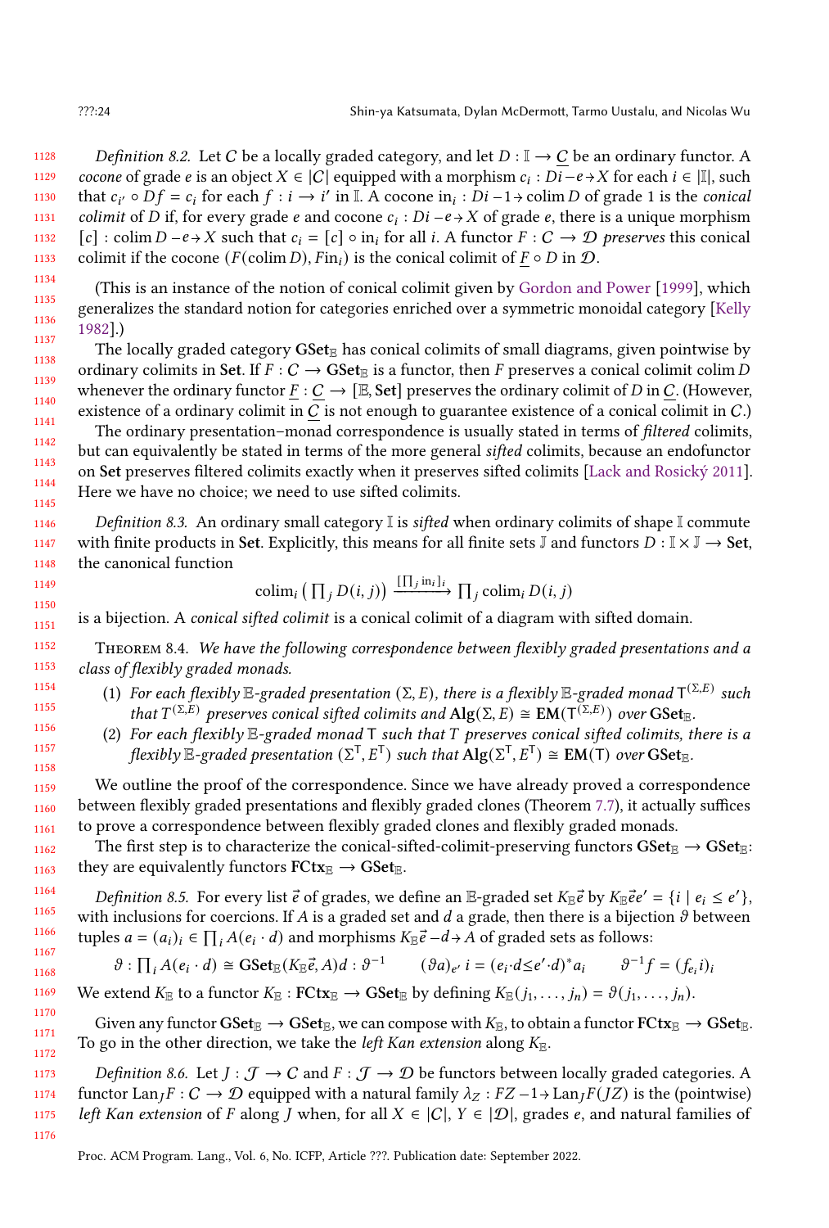1128 1129 1130 1131 1132 1133 Definition 8.2. Let C be a locally graded category, and let  $D : \mathbb{I} \to C$  be an ordinary functor. A *cocone* of grade *e* is an object  $X \in |C|$  equipped with a morphism  $c_i : \overline{Di} - e \rightarrow X$  for each  $i \in |\mathbb{I}|$ , such that  $c_{i'} \circ Df = c_i$  for each  $f : i \to i'$  in I. A cocone in<sub>i</sub> :  $Di-1$   $\to$  colim D of grade 1 is the *conical colimit* of D if, for every grade e and cocone  $c_i$ :  $Di - e \rightarrow X$  of grade e, there is a unique morphism  $[c]$ : colim  $D - e \rightarrow X$  such that  $c_i = [c] \circ in_i$  for all i. A functor  $F : C \rightarrow \mathcal{D}$  preserves this conical colimit if the cocone ( $F$ (colim $D$ ),  $Fin_i$ ) is the conical colimit of  $F \circ D$  in  $D$ .

(This is an instance of the notion of conical colimit given by [Gordon and Power](#page-27-16) [\[1999\]](#page-27-16), which generalizes the standard notion for categories enriched over a symmetric monoidal category [\[Kelly](#page-27-17) [1982\]](#page-27-17).)

1137 1138 1139 1140 1141 The locally graded category  $GSet_{\mathbb{E}}$  has conical colimits of small diagrams, given pointwise by ordinary colimits in Set. If  $F : C \to \mathbf{GSet}_{\mathbb{E}}$  is a functor, then F preserves a conical colimit colim D whenever the ordinary functor  $\underline{F}: C \to [\mathbb{E}, \mathsf{Set}]$  preserves the ordinary colimit of D in C. (However, existence of a ordinary colimit in  $C$  is not enough to guarantee existence of a conical colimit in  $C$ .)

1142 1143 1144 1145 The ordinary presentation–monad correspondence is usually stated in terms of *filtered* colimits, but can equivalently be stated in terms of the more general sifted colimits, because an endofunctor on Set preserves filtered colimits exactly when it preserves sifted colimits [\[Lack and Rosický](#page-27-18) [2011\]](#page-27-18). Here we have no choice; we need to use sifted colimits.

1146 1147 1148 *Definition 8.3.* An ordinary small category  $\mathbb{I}$  is *sifted* when ordinary colimits of shape  $\mathbb{I}$  commute with finite products in Set. Explicitly, this means for all finite sets J and functors  $D: \mathbb{I} \times \mathbb{J} \to$  Set, the canonical function

$$
\operatorname{colim}_i \left( \prod_j D(i,j) \right) \xrightarrow{\left[ \prod_j \operatorname{in}_i \right]_i} \prod_j \operatorname{colim}_i D(i,j)
$$

1151 is a bijection. A conical sifted colimit is a conical colimit of a diagram with sifted domain.

<span id="page-23-0"></span>1152 1153 THEOREM 8.4. We have the following correspondence between flexibly graded presentations and a class of flexibly graded monads.

- (1) For each flexibly E-graded presentation (Σ, E), there is a flexibly E-graded monad  $\mathsf{T}^{(\Sigma,E)}$  such that  $T^{(\Sigma,E)}$  preserves conical sifted colimits and  $\text{Alg}(\Sigma,E) \cong \text{EM}(T^{(\Sigma,E)})$  over  $\text{GSet}_{\mathbb{E}}$ .
- (2) For each flexibly  $E$ -graded monad  $T$  such that  $T$  preserves conical sifted colimits, there is a flexibly  $\mathbb{E}\text{-graded presentation }(\Sigma^\textsf{T},E^\textsf{T})$  such that  $\mathbf{Alg}(\Sigma^\textsf{T},E^\textsf{T}) \cong \mathbf{EM}(\textsf{T})$  over  $\mathbf{GSet}_\mathbb{E}$ .

We outline the proof of the correspondence. Since we have already proved a correspondence between flexibly graded presentations and flexibly graded clones (Theorem [7.7\)](#page-21-0), it actually suffices to prove a correspondence between flexibly graded clones and flexibly graded monads.

The first step is to characterize the conical-sifted-colimit-preserving functors  $GSet_{\mathbb{E}} \to GSet_{\mathbb{E}}$ : they are equivalently functors  $FCtx_\mathbb{E} \rightarrow GSet_\mathbb{E}$ .

Definition 8.5. For every list  $\vec{e}$  of grades, we define an  $\mathbb{E}$ -graded set  $K_{\mathbb{E}}\vec{e}$  by  $K_{\mathbb{E}}\vec{e}e' = \{i \mid e_i \leq e'\}$ , with inclusions for coercions. If A is a graded set and d a grade, then there is a bijection  $\vartheta$  between tuples  $a = (a_i)_i \in \prod_i A(e_i \cdot d)$  and morphisms  $K_{\mathbb{E}} \vec{e} - d \rightarrow A$  of graded sets as follows:

$$
\vartheta : \prod_i A(e_i \cdot d) \cong \mathbf{GSet}_{\mathbb{E}}(K_{\mathbb{E}}\vec{e}, A)d : \vartheta^{-1} \qquad (\vartheta a)_{e'} i = (e_i \cdot d \leq e' \cdot d)^* a_i \qquad \vartheta^{-1} f = (f_{e_i} i)_i
$$

1169 We extend  $K_{\mathbb{E}}$  to a functor  $K_{\mathbb{E}} : \text{FCtx}_{\mathbb{E}} \to \text{GSet}_{\mathbb{E}}$  by defining  $K_{\mathbb{E}}(j_1, \ldots, j_n) = \vartheta(j_1, \ldots, j_n)$ .

Given any functor  $GSet_{\mathbb{E}} \to GSet_{\mathbb{E}}$ , we can compose with  $K_{\mathbb{E}}$ , to obtain a functor  $FCat_{\mathbb{E}} \to GSet_{\mathbb{E}}$ . To go in the other direction, we take the *left Kan extension* along  $K_{\mathbb{R}}$ .

1173 1174 1175 Definition 8.6. Let  $J : \mathcal{J} \to \mathcal{C}$  and  $F : \mathcal{J} \to \mathcal{D}$  be functors between locally graded categories. A functor  $\text{Lan}_I F : C \to \mathcal{D}$  equipped with a natural family  $\lambda_Z : FZ - 1 \to \text{Lan}_I F(JZ)$  is the (pointwise) left Kan extension of F along *J* when, for all  $X \in |C|$ ,  $Y \in |D|$ , grades e, and natural families of

1134 1135 1136

1149 1150

1170 1171 1172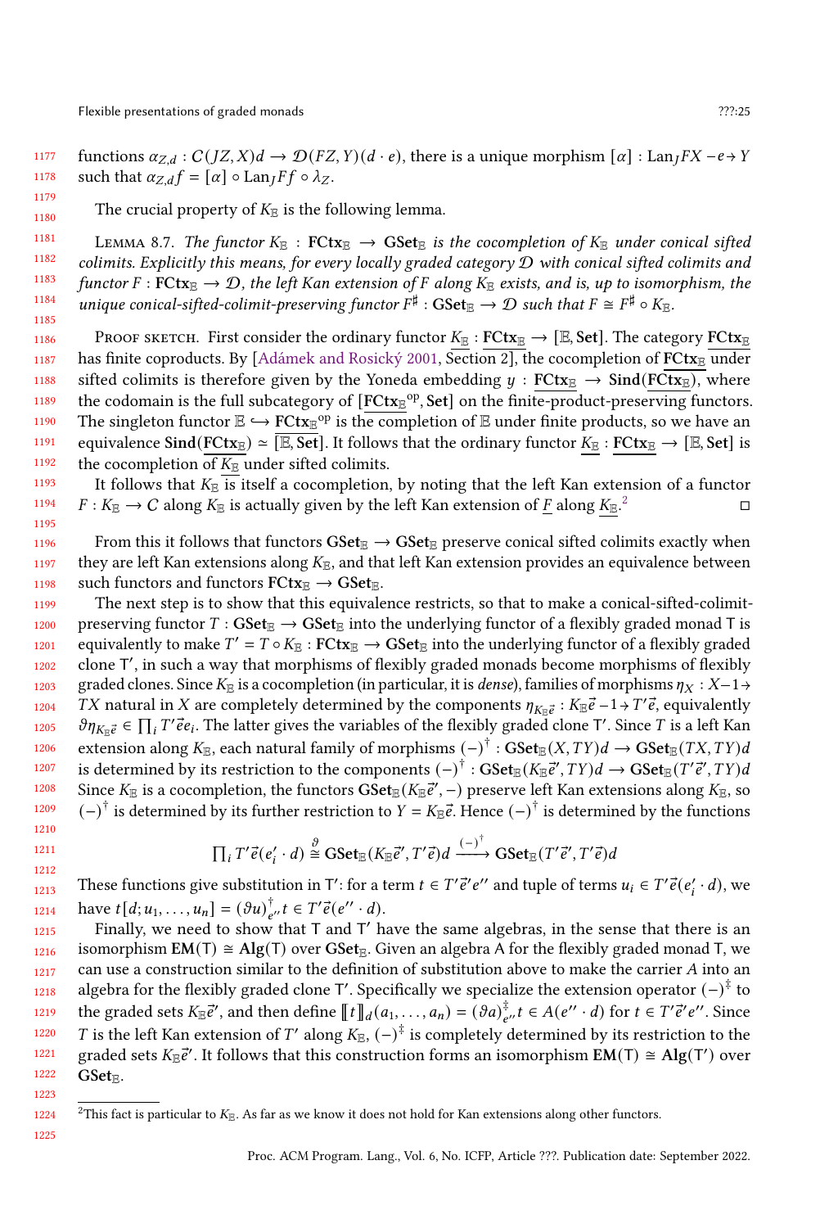1195

1177 1178 functions  $\alpha_{Z,d}: C(JZ,X)d \to \mathcal{D}(FZ,Y)(d \cdot e)$ , there is a unique morphism  $[\alpha] : \text{Lan}_I FX - e \to Y$ such that  $\alpha_{Z,d} f = [\alpha] \circ \text{Lan}_I F f \circ \lambda_Z$ .

1180 The crucial property of  $K_{\mathbb{E}}$  is the following lemma.

1181 1182 1183 1184 1185 LEMMA 8.7. The functor  $K_{\mathbb{E}}$ : FCtx $_{\mathbb{E}} \to \text{GSet}_{\mathbb{E}}$  is the cocompletion of  $K_{\mathbb{E}}$  under conical sifted colimits. Explicitly this means, for every locally graded category D with conical sifted colimits and functor  $F : F\text{Ctx}_{\mathbb{E}} \to \mathcal{D}$ , the left Kan extension of F along  $K_{\mathbb{E}}$  exists, and is, up to isomorphism, the unique conical-sifted-colimit-preserving functor  $F^\sharp:\mathbf{GSet}_\mathbb{E}\to \mathcal{D}$  such that  $F\cong F^\sharp\circ K_\mathbb{E}.$ 

1186 1187 1188 1189 1190 1191 1192 PROOF SKETCH. First consider the ordinary functor  $K_{\mathbb{E}} : FClx_{\mathbb{E}} \to [E, Set]$ . The category  $FClx_{\mathbb{E}}$ has finite coproducts. By [\[Adámek and Rosický](#page-26-5) [2001,](#page-26-5) Section 2], the cocompletion of  $FCtx_E$  under sifted colimits is therefore given by the Yoneda embedding  $y : FClx_{\mathbb{E}} \to \text{Sind}(FCtx_{\mathbb{E}})$ , where the codomain is the full subcategory of [FCtx<sub>E</sub><sup>op</sup>, Set] on the finite-product-preserving functors. The singleton functor  $\mathbb{E} \hookrightarrow \text{FCtx}_{\mathbb{E}}^{\text{op}}$  is the completion of  $\mathbb E$  under finite products, so we have an equivalence Sind(FCtx<sub>E</sub>)  $\simeq$  [E, Set]. It follows that the ordinary functor  $K_{\mathbb{E}}$  : FCtx<sub>E</sub>  $\rightarrow$  [E, Set] is the cocompletion of  $K_{\mathbb{E}}$  under sifted colimits.

1193 1194 It follows that  $K_{\mathbb{R}}$  is itself a cocompletion, by noting that the left Kan extension of a functor  $F: K_{\mathbb{E}} \to C$  along  $K_{\mathbb{E}}$  is actually given by the left Kan extension of F along  $K_{\mathbb{E}}$ .<sup>2</sup> [2](#page-24-0)  $\Box$ 

1196 1197 1198 From this it follows that functors  $GSet_{\mathbb{E}} \to GSet_{\mathbb{E}}$  preserve conical sifted colimits exactly when they are left Kan extensions along  $K_{\mathbb{E}}$ , and that left Kan extension provides an equivalence between such functors and functors  $FCtx_{\mathbb{R}} \rightarrow GSet_{\mathbb{R}}$ .

1199 1200 1201 1202 1203 1204 1205 1206 1207 1208 1209 1210 The next step is to show that this equivalence restricts, so that to make a conical-sifted-colimitpreserving functor  $T : GSet_{\mathbb{E}} \to GSet_{\mathbb{E}}$  into the underlying functor of a flexibly graded monad T is equivalently to make  $T' = T \circ K_{\mathbb{E}} : \textbf{FCtx}_{\mathbb{E}} \to \textbf{GSet}_{\mathbb{E}}$  into the underlying functor of a flexibly graded clone T ′ , in such a way that morphisms of flexibly graded monads become morphisms of flexibly graded clones. Since  $K_{\mathbb{E}}$  is a cocompletion (in particular, it is *dense*), families of morphisms  $\eta_X : X-1 \rightarrow$ TX natural in X are completely determined by the components  $\eta_{K_{\mathbb{E}}\vec{e}}:K_{\mathbb{E}}\vec{e}-1 \rightarrow T'\vec{e}$ , equivalently  $\partial \eta_{K_E^E} \in \prod_i T^i \vec{e} e_i$ . The latter gives the variables of the flexibly graded clone T'. Since T is a left Kan extension along  $K_{\mathbb{E}}$ , each natural family of morphisms  $(-)^{\dagger}:\mathbf{GSet}_{\mathbb{E}}(X,TY)d\to \mathbf{GSet}_{\mathbb{E}}(TX,TY)d$ is determined by its restriction to the components  $(-)^{\dagger}:\mathbf{GSet}_{\mathbb{E}}(K_{\mathbb{E}}\vec{e}',TY)d\to \mathbf{GSet}_{\mathbb{E}}(T'\vec{e}',TY)d$ Since  $K_\mathbb{E}$  is a cocompletion, the functors  $\bar{\bf SSet}_\mathbb{E}(K_\mathbb{E}$ ẽ′′, −) preserve left Kan extensions along  $K_\mathbb{E}$ , so  $(-)^{\dagger}$  is determined by its further restriction to  $Y = K_{\mathbb{E}}\vec{e}$ . Hence  $(-)^{\dagger}$  is determined by the functions

$$
\prod_i T' \vec{e}(e'_i \cdot d) \stackrel{\vartheta}{\cong} \mathrm{GSet}_{\mathbb{E}}(K_{\mathbb{E}} \vec{e}', T' \vec{e}) d \xrightarrow{(-)} \mathrm{GSet}_{\mathbb{E}}(T' \vec{e}', T' \vec{e}) d
$$

1213 1214 These functions give substitution in T': for a term  $t \in T' \vec{e}' e''$  and tuple of terms  $u_i \in T' \vec{e}(e'_i \cdot d)$ , we have  $t[d; u_1, \ldots, u_n] = (\partial u)^{\dagger}_{e''} t \in T' \vec{e}(e'' \cdot d).$ 

1215 1216 1217 1218 1219 1220 1221 1222 Finally, we need to show that T and T' have the same algebras, in the sense that there is an isomorphism  $EM(T) \cong Alg(T)$  over GSet<sub>E</sub>. Given an algebra A for the flexibly graded monad T, we can use a construction similar to the definition of substitution above to make the carrier  $A$  into an algebra for the flexibly graded clone T′. Specifically we specialize the extension operator  $(-)^{\ddagger}$  to the graded sets  $K_{\mathbb{E}}\vec{e}',$  and then define  $[\![t]\!]_d(a_1,\ldots,a_n)=(\vartheta a)_{e''}^{\ddagger},$   $t\in A(e''\cdot d)$  for  $t\in T'\vec{e}'e''.$  Since *T* is the left Kan extension of *T'* along  $K_{\mathbb{E}}$ ,  $(-)^{\frac{1}{4}}$  is completely determined by its restriction to the graded sets  $K_{\mathbb{E}}\vec{e}'$ . It follows that this construction forms an isomorphism  $\mathbf{EM}(T) \cong \mathbf{Alg}(T')$  over  $GSet_{\mathbb{R}}$ .

1225

1223

<span id="page-24-0"></span><sup>1224</sup> <sup>2</sup>This fact is particular to  $K_{\mathbb{R}}$ . As far as we know it does not hold for Kan extensions along other functors.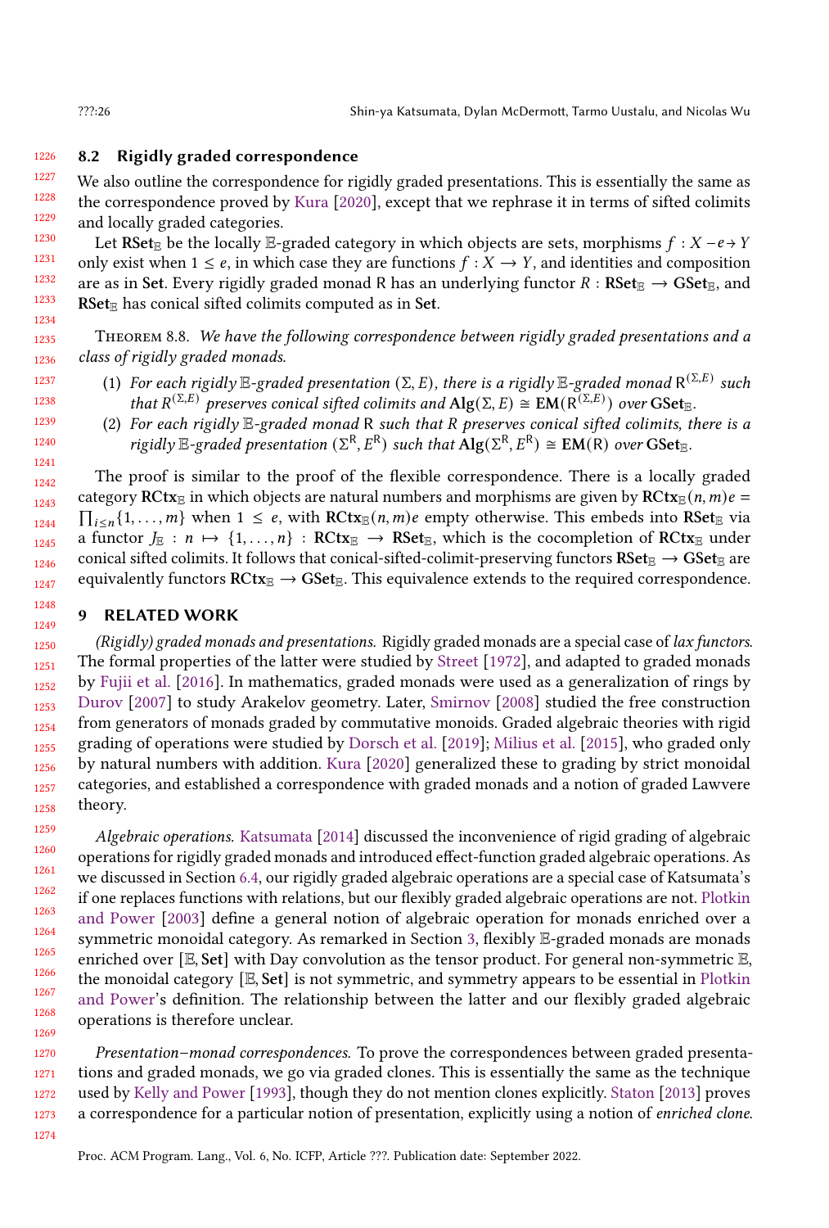#### <span id="page-25-0"></span>1226 8.2 Rigidly graded correspondence

1227 1228 1229 1230 We also outline the correspondence for rigidly graded presentations. This is essentially the same as the correspondence proved by [Kura](#page-27-7) [\[2020\]](#page-27-7), except that we rephrase it in terms of sifted colimits and locally graded categories.

1231 1232 1233 1234 Let RSet<sub>E</sub> be the locally E-graded category in which objects are sets, morphisms  $f : X - e \rightarrow Y$ only exist when  $1 \leq e$ , in which case they are functions  $f : X \to Y$ , and identities and composition are as in Set. Every rigidly graded monad R has an underlying functor  $R : \text{RSet}_{\mathbb{E}} \to \text{GSet}_{\mathbb{E}}$ , and  $RSet_{\mathbb{E}}$  has conical sifted colimits computed as in Set.

<span id="page-25-1"></span>THEOREM 8.8. We have the following correspondence between rigidly graded presentations and a class of rigidly graded monads.

- (1) For each rigidly  $\mathbb{E}\text{-graded presentation }(\Sigma,E)$ , there is a rigidly  $\mathbb{E}\text{-graded monad }\mathsf{R}^{(\Sigma,E)}$  such that  $R^{(\Sigma,E)}$  preserves conical sifted colimits and  $\text{Alg}(\Sigma, E) \cong \text{EM}(R^{(\Sigma,E)})$  over  $\text{GSet}_{\mathbb{E}}$ .
	- (2) For each rigidly  $E$ -graded monad R such that R preserves conical sifted colimits, there is a rigidly  $\mathbb{E}$ -graded presentation ( $\Sigma^R$ ,  $E^R$ ) such that  $\overline{Alg}(\Sigma^R, E^R) \cong EM(R)$  over  $GSet_{\mathbb{E}}$ .

The proof is similar to the proof of the flexible correspondence. There is a locally graded category RCtx<sub>E</sub> in which objects are natural numbers and morphisms are given by RCtx<sub>E</sub> $(n, m)e =$  $\prod_{i\leq n}\{1,\ldots,m\}$  when  $1\leq e$ , with  $RCtx_{\mathbb{E}}(n,m)e$  empty otherwise. This embeds into  $RSet_{\mathbb{E}}$  via a functor  $J_{\mathbb{E}} : n \mapsto \{1, \ldots, n\} : \mathbb{RCtx}_{\mathbb{E}} \to \mathbb{R}\mathbb{C}$ t $\mathbb{E}$ , which is the cocompletion of  $\mathbb{RCtx}_{\mathbb{E}}$  under conical sifted colimits. It follows that conical-sifted-colimit-preserving functors  $\text{RSet}_{\mathbb{E}} \to \text{GSet}_{\mathbb{E}}$  are equivalently functors  $RCtx_E \rightarrow GSet_E$ . This equivalence extends to the required correspondence.

# 9 RELATED WORK

1250 1251 1252 1253 1254 1255 1256 1258  $(Rigidly)$  graded monads and presentations. Rigidly graded monads are a special case of lax functors. The formal properties of the latter were studied by [Street](#page-27-19) [\[1972\]](#page-27-19), and adapted to graded monads by [Fujii et al.](#page-26-3) [\[2016\]](#page-26-3). In mathematics, graded monads were used as a generalization of rings by [Durov](#page-26-6) [\[2007\]](#page-26-6) to study Arakelov geometry. Later, [Smirnov](#page-27-1) [\[2008\]](#page-27-1) studied the free construction from generators of monads graded by commutative monoids. Graded algebraic theories with rigid grading of operations were studied by [Dorsch et al.](#page-26-0) [\[2019\]](#page-26-0); [Milius et al.](#page-27-6) [\[2015\]](#page-27-6), who graded only by natural numbers with addition. [Kura](#page-27-7) [\[2020\]](#page-27-7) generalized these to grading by strict monoidal categories, and established a correspondence with graded monads and a notion of graded Lawvere theory.

Algebraic operations. [Katsumata](#page-27-2) [\[2014\]](#page-27-2) discussed the inconvenience of rigid grading of algebraic operations for rigidly graded monads and introduced effect-function graded algebraic operations. As we discussed in Section [6.4,](#page-16-0) our rigidly graded algebraic operations are a special case of Katsumata's if one replaces functions with relations, but our flexibly graded algebraic operations are not. [Plotkin](#page-27-14) [and Power](#page-27-14) [\[2003\]](#page-27-14) define a general notion of algebraic operation for monads enriched over a symmetric monoidal category. As remarked in Section [3,](#page-6-1) flexibly E-graded monads are monads enriched over  $[E, Set]$  with Day convolution as the tensor product. For general non-symmetric  $E$ , the monoidal category  $[E, Set]$  is not symmetric, and symmetry appears to be essential in [Plotkin](#page-27-14) [and Power'](#page-27-14)s definition. The relationship between the latter and our flexibly graded algebraic operations is therefore unclear.

1270 1271 1272 1273 Presentation–monad correspondences. To prove the correspondences between graded presentations and graded monads, we go via graded clones. This is essentially the same as the technique used by [Kelly and Power](#page-27-20) [\[1993\]](#page-27-20), though they do not mention clones explicitly. [Staton](#page-27-21) [\[2013\]](#page-27-21) proves a correspondence for a particular notion of presentation, explicitly using a notion of enriched clone.

1257

Proc. ACM Program. Lang., Vol. 6, No. ICFP, Article ???. Publication date: September 2022.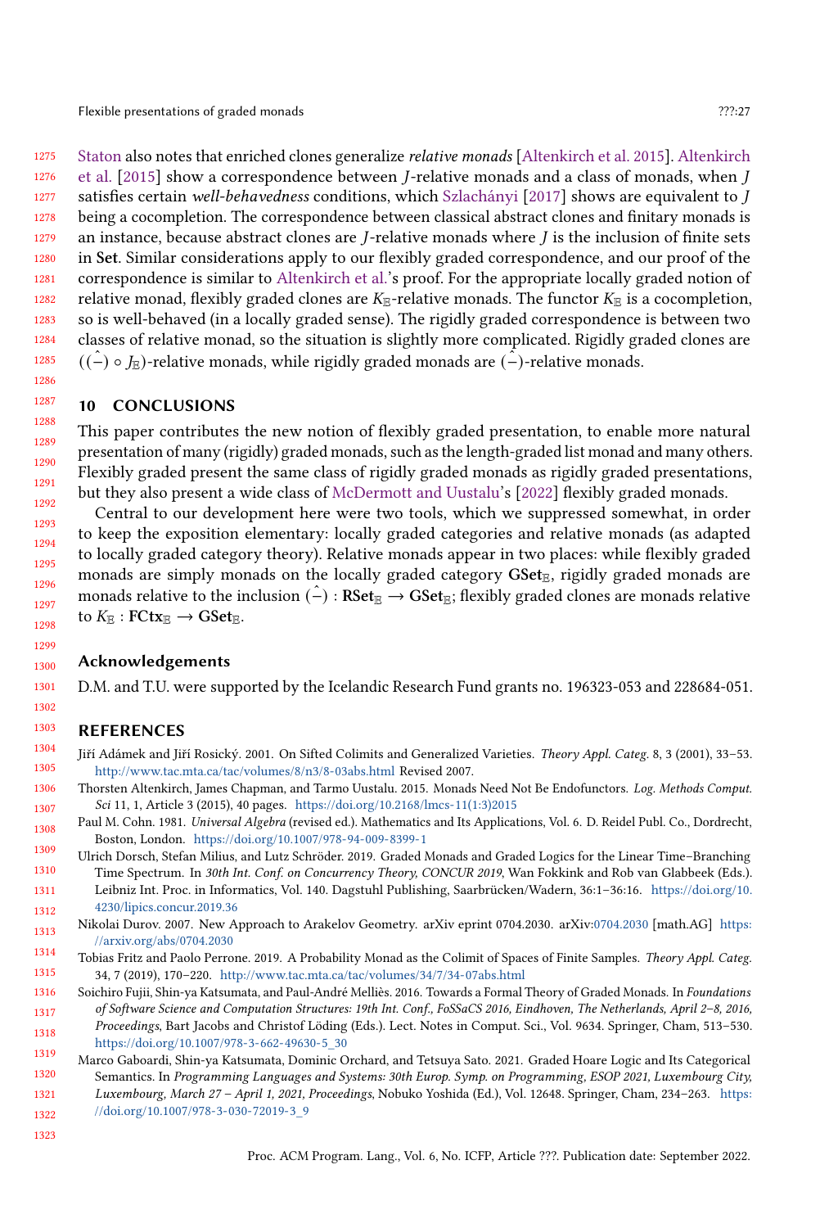Flexible presentations of graded monads **Properties** 27?:27 and 27.27 and 27.27 and 27.27 and 27.27 and 27.27 and 27.27 and 27.27 and 27.27 and 27.27 and 27.27 and 27.27 and 27.27 and 27.27 and 27.27 and 27.27 and 27.27 an

1275 1276 1277 1278 1279 1280 1281 1282 1283 1284 1285 [Staton](#page-27-21) also notes that enriched clones generalize relative monads [\[Altenkirch et al.](#page-26-7) [2015\]](#page-26-7). [Altenkirch](#page-26-7) [et al.](#page-26-7)  $[2015]$  show a correspondence between *J*-relative monads and a class of monads, when *J* satisfies certain well-behavedness conditions, which [Szlachányi](#page-28-2) [\[2017\]](#page-28-2) shows are equivalent to  $J$ being a cocompletion. The correspondence between classical abstract clones and finitary monads is an instance, because abstract clones are  $J$ -relative monads where  $J$  is the inclusion of finite sets in Set. Similar considerations apply to our flexibly graded correspondence, and our proof of the correspondence is similar to [Altenkirch et al.'](#page-26-7)s proof. For the appropriate locally graded notion of relative monad, flexibly graded clones are  $K_{\mathbb{E}}$ -relative monads. The functor  $K_{\mathbb{E}}$  is a cocompletion, so is well-behaved (in a locally graded sense). The rigidly graded correspondence is between two classes of relative monad, so the situation is slightly more complicated. Rigidly graded clones are  $((\hat{-}) \circ J_{\mathbb{E}})$ -relative monads, while rigidly graded monads are  $(\hat{-})$ -relative monads.

# 10 CONCLUSIONS

1286 1287

1291

1288 1289 1290 1292 This paper contributes the new notion of flexibly graded presentation, to enable more natural presentation of many (rigidly) graded monads, such as the length-graded list monad and many others. Flexibly graded present the same class of rigidly graded monads as rigidly graded presentations, but they also present a wide class of [McDermott and Uustalu'](#page-27-8)s [\[2022\]](#page-27-8) flexibly graded monads.

Central to our development here were two tools, which we suppressed somewhat, in order to keep the exposition elementary: locally graded categories and relative monads (as adapted to locally graded category theory). Relative monads appear in two places: while flexibly graded monads are simply monads on the locally graded category  $GSet_{E}$ , rigidly graded monads are monads relative to the inclusion  $(\hat{-}): \text{RSet}_{\mathbb{E}} \to \text{GSet}_{\mathbb{E}}$ ; flexibly graded clones are monads relative to  $K_{\mathbb{E}}$ : FCtx $_{\mathbb{E}} \to \text{GSet}_{\mathbb{E}}$ .

### Acknowledgements

D.M. and T.U. were supported by the Icelandic Research Fund grants no. 196323-053 and 228684-051.

### REFERENCES

- <span id="page-26-5"></span>Jiří Adámek and Jiří Rosický. 2001. On Sifted Colimits and Generalized Varieties. Theory Appl. Categ. 8, 3 (2001), 33–53. <http://www.tac.mta.ca/tac/volumes/8/n3/8-03abs.html> Revised 2007.
- <span id="page-26-7"></span>Thorsten Altenkirch, James Chapman, and Tarmo Uustalu. 2015. Monads Need Not Be Endofunctors. Log. Methods Comput. Sci 11, 1, Article 3 (2015), 40 pages. [https://doi.org/10.2168/lmcs-11\(1:3\)2015](https://doi.org/10.2168/lmcs-11(1:3)2015)
- <span id="page-26-4"></span>1308 1309 Paul M. Cohn. 1981. Universal Algebra (revised ed.). Mathematics and Its Applications, Vol. 6. D. Reidel Publ. Co., Dordrecht, Boston, London. <https://doi.org/10.1007/978-94-009-8399-1>
- <span id="page-26-0"></span>1310 1311 1312 Ulrich Dorsch, Stefan Milius, and Lutz Schröder. 2019. Graded Monads and Graded Logics for the Linear Time–Branching Time Spectrum. In 30th Int. Conf. on Concurrency Theory, CONCUR 2019, Wan Fokkink and Rob van Glabbeek (Eds.). Leibniz Int. Proc. in Informatics, Vol. 140. Dagstuhl Publishing, Saarbrücken/Wadern, 36:1–36:16. [https://doi.org/10.](https://doi.org/10.4230/lipics.concur.2019.36) [4230/lipics.concur.2019.36](https://doi.org/10.4230/lipics.concur.2019.36)
- <span id="page-26-6"></span>1313 1314 Nikolai Durov. 2007. New Approach to Arakelov Geometry. arXiv eprint 0704.2030. arXiv[:0704.2030](https://arxiv.org/abs/0704.2030) [math.AG] [https:](https://arxiv.org/abs/0704.2030) [//arxiv.org/abs/0704.2030](https://arxiv.org/abs/0704.2030)
- <span id="page-26-1"></span>1315 Tobias Fritz and Paolo Perrone. 2019. A Probability Monad as the Colimit of Spaces of Finite Samples. Theory Appl. Categ. 34, 7 (2019), 170–220. <http://www.tac.mta.ca/tac/volumes/34/7/34-07abs.html>
- <span id="page-26-3"></span>1316 1317 1318 Soichiro Fujii, Shin-ya Katsumata, and Paul-André Melliès. 2016. Towards a Formal Theory of Graded Monads. In Foundations of Software Science and Computation Structures: 19th Int. Conf., FoSSaCS 2016, Eindhoven, The Netherlands, April 2–8, 2016, Proceedings, Bart Jacobs and Christof Löding (Eds.). Lect. Notes in Comput. Sci., Vol. 9634. Springer, Cham, 513–530. [https://doi.org/10.1007/978-3-662-49630-5\\_30](https://doi.org/10.1007/978-3-662-49630-5_30)
- <span id="page-26-2"></span>1319 1320 1321 1322 Marco Gaboardi, Shin-ya Katsumata, Dominic Orchard, and Tetsuya Sato. 2021. Graded Hoare Logic and Its Categorical Semantics. In Programming Languages and Systems: 30th Europ. Symp. on Programming, ESOP 2021, Luxembourg City, Luxembourg, March 27 – April 1, 2021, Proceedings, Nobuko Yoshida (Ed.), Vol. 12648. Springer, Cham, 234–263. [https:](https://doi.org/10.1007/978-3-030-72019-3_9) [//doi.org/10.1007/978-3-030-72019-3\\_9](https://doi.org/10.1007/978-3-030-72019-3_9)
- 1323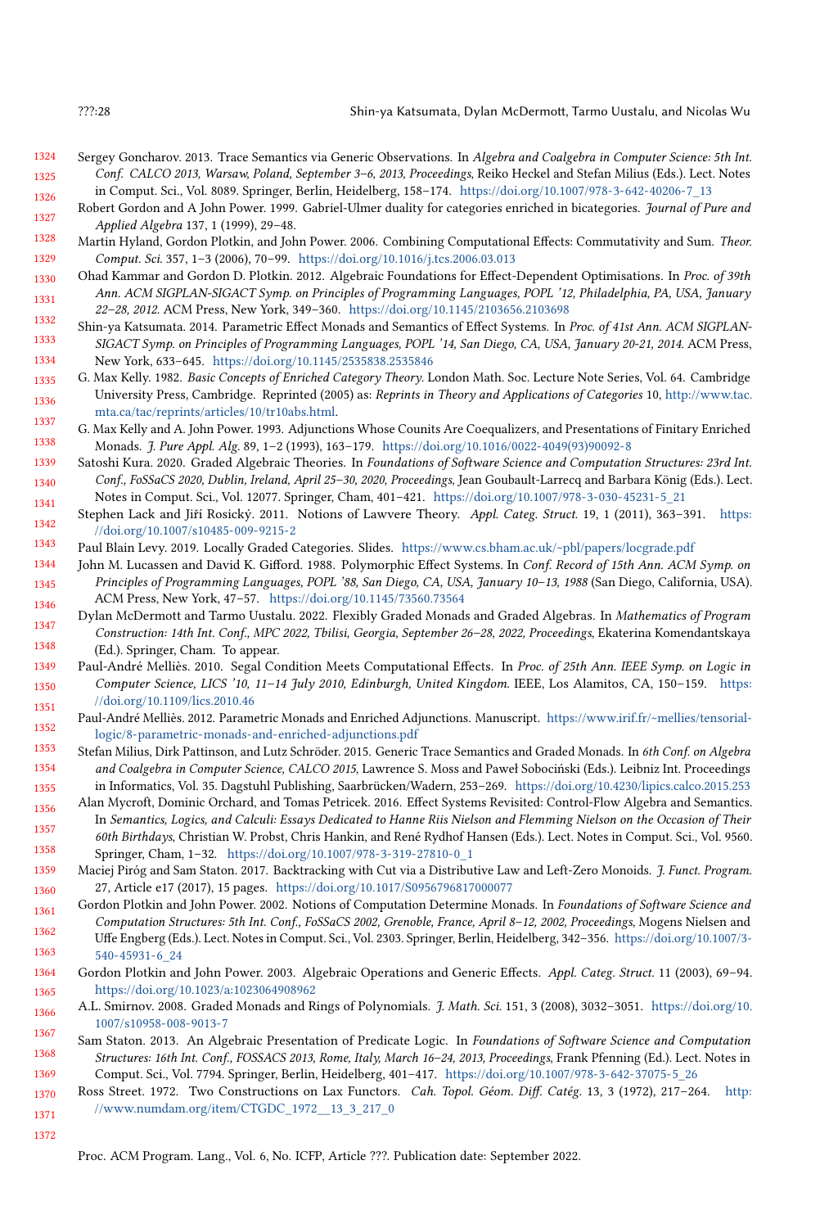- <span id="page-27-12"></span>1324 1325 1326 Sergey Goncharov. 2013. Trace Semantics via Generic Observations. In Algebra and Coalgebra in Computer Science: 5th Int. Conf. CALCO 2013, Warsaw, Poland, September 3–6, 2013, Proceedings, Reiko Heckel and Stefan Milius (Eds.). Lect. Notes in Comput. Sci., Vol. 8089. Springer, Berlin, Heidelberg, 158–174. [https://doi.org/10.1007/978-3-642-40206-7\\_13](https://doi.org/10.1007/978-3-642-40206-7_13)
- <span id="page-27-16"></span>1327 Robert Gordon and A John Power. 1999. Gabriel-Ulmer duality for categories enriched in bicategories. Journal of Pure and Applied Algebra 137, 1 (1999), 29–48.
- <span id="page-27-5"></span>1328 1329 Martin Hyland, Gordon Plotkin, and John Power. 2006. Combining Computational Effects: Commutativity and Sum. Theor. Comput. Sci. 357, 1–3 (2006), 70–99. <https://doi.org/10.1016/j.tcs.2006.03.013>
- <span id="page-27-4"></span>1330 1331 1332 Ohad Kammar and Gordon D. Plotkin. 2012. Algebraic Foundations for Effect-Dependent Optimisations. In Proc. of 39th Ann. ACM SIGPLAN-SIGACT Symp. on Principles of Programming Languages, POPL '12, Philadelphia, PA, USA, January 22–28, 2012. ACM Press, New York, 349–360. <https://doi.org/10.1145/2103656.2103698>
- <span id="page-27-2"></span>1333 1334 Shin-ya Katsumata. 2014. Parametric Effect Monads and Semantics of Effect Systems. In Proc. of 41st Ann. ACM SIGPLAN-SIGACT Symp. on Principles of Programming Languages, POPL '14, San Diego, CA, USA, January 20-21, 2014. ACM Press, New York, 633–645. <https://doi.org/10.1145/2535838.2535846>
- <span id="page-27-17"></span>1335 1336 1337 G. Max Kelly. 1982. Basic Concepts of Enriched Category Theory. London Math. Soc. Lecture Note Series, Vol. 64. Cambridge University Press, Cambridge. Reprinted (2005) as: Reprints in Theory and Applications of Categories 10, [http://www.tac.](http://www.tac.mta.ca/tac/reprints/articles/10/tr10abs.html) [mta.ca/tac/reprints/articles/10/tr10abs.html.](http://www.tac.mta.ca/tac/reprints/articles/10/tr10abs.html)
- <span id="page-27-20"></span>1338 G. Max Kelly and A. John Power. 1993. Adjunctions Whose Counits Are Coequalizers, and Presentations of Finitary Enriched Monads. J. Pure Appl. Alg. 89, 1–2 (1993), 163–179. [https://doi.org/10.1016/0022-4049\(93\)90092-8](https://doi.org/10.1016/0022-4049(93)90092-8)
- <span id="page-27-7"></span>1339 1340 1341 Satoshi Kura. 2020. Graded Algebraic Theories. In Foundations of Software Science and Computation Structures: 23rd Int. Conf., FoSSaCS 2020, Dublin, Ireland, April 25–30, 2020, Proceedings, Jean Goubault-Larrecq and Barbara König (Eds.). Lect. Notes in Comput. Sci., Vol. 12077. Springer, Cham, 401–421. [https://doi.org/10.1007/978-3-030-45231-5\\_21](https://doi.org/10.1007/978-3-030-45231-5_21)
- <span id="page-27-18"></span>1342 Stephen Lack and Jiří Rosický. 2011. Notions of Lawvere Theory. Appl. Categ. Struct. 19, 1 (2011), 363–391. [https:](https://doi.org/10.1007/s10485-009-9215-2) [//doi.org/10.1007/s10485-009-9215-2](https://doi.org/10.1007/s10485-009-9215-2)
- <span id="page-27-13"></span>1343 Paul Blain Levy. 2019. Locally Graded Categories. Slides. <https://www.cs.bham.ac.uk/~pbl/papers/locgrade.pdf>
- <span id="page-27-0"></span>1344 1345 1346 John M. Lucassen and David K. Gifford. 1988. Polymorphic Effect Systems. In Conf. Record of 15th Ann. ACM Symp. on Principles of Programming Languages, POPL '88, San Diego, CA, USA, January 10–13, 1988 (San Diego, California, USA). ACM Press, New York, 47–57. <https://doi.org/10.1145/73560.73564>
- <span id="page-27-8"></span>1347 1348 Dylan McDermott and Tarmo Uustalu. 2022. Flexibly Graded Monads and Graded Algebras. In Mathematics of Program Construction: 14th Int. Conf., MPC 2022, Tbilisi, Georgia, September 26–28, 2022, Proceedings, Ekaterina Komendantskaya (Ed.). Springer, Cham. To appear.
- <span id="page-27-15"></span>1349 1350 1351 Paul-André Melliès. 2010. Segal Condition Meets Computational Effects. In Proc. of 25th Ann. IEEE Symp. on Logic in Computer Science, LICS '10, 11–14 July 2010, Edinburgh, United Kingdom. IEEE, Los Alamitos, CA, 150–159. [https:](https://doi.org/10.1109/lics.2010.46) [//doi.org/10.1109/lics.2010.46](https://doi.org/10.1109/lics.2010.46)
- <span id="page-27-10"></span>1352 Paul-André Melliès. 2012. Parametric Monads and Enriched Adjunctions. Manuscript. [https://www.irif.fr/~mellies/tensorial](https://www.irif.fr/~mellies/tensorial-logic/8-parametric-monads-and-enriched-adjunctions.pdf)[logic/8-parametric-monads-and-enriched-adjunctions.pdf](https://www.irif.fr/~mellies/tensorial-logic/8-parametric-monads-and-enriched-adjunctions.pdf)
- <span id="page-27-6"></span>1353 1354 1355 Stefan Milius, Dirk Pattinson, and Lutz Schröder. 2015. Generic Trace Semantics and Graded Monads. In 6th Conf. on Algebra and Coalgebra in Computer Science, CALCO 2015, Lawrence S. Moss and Paweł Sobociński (Eds.). Leibniz Int. Proceedings in Informatics, Vol. 35. Dagstuhl Publishing, Saarbrücken/Wadern, 253–269. <https://doi.org/10.4230/lipics.calco.2015.253>
- <span id="page-27-9"></span>1356 1357 1358 Alan Mycroft, Dominic Orchard, and Tomas Petricek. 2016. Effect Systems Revisited: Control-Flow Algebra and Semantics. In Semantics, Logics, and Calculi: Essays Dedicated to Hanne Riis Nielson and Flemming Nielson on the Occasion of Their 60th Birthdays, Christian W. Probst, Chris Hankin, and René Rydhof Hansen (Eds.). Lect. Notes in Comput. Sci., Vol. 9560. Springer, Cham, 1–32. [https://doi.org/10.1007/978-3-319-27810-0\\_1](https://doi.org/10.1007/978-3-319-27810-0_1)
- <span id="page-27-3"></span>1359 1360 Maciej Piróg and Sam Staton. 2017. Backtracking with Cut via a Distributive Law and Left-Zero Monoids. J. Funct. Program. 27, Article e17 (2017), 15 pages. <https://doi.org/10.1017/S0956796817000077>
- <span id="page-27-11"></span>1361 1362 Gordon Plotkin and John Power. 2002. Notions of Computation Determine Monads. In Foundations of Software Science and Computation Structures: 5th Int. Conf., FoSSaCS 2002, Grenoble, France, April 8–12, 2002, Proceedings, Mogens Nielsen and
- 1363 Uffe Engberg (Eds.). Lect. Notes in Comput. Sci., Vol. 2303. Springer, Berlin, Heidelberg, 342–356. [https://doi.org/10.1007/3-](https://doi.org/10.1007/3-540-45931-6_24) [540-45931-6\\_24](https://doi.org/10.1007/3-540-45931-6_24)
- <span id="page-27-14"></span>1364 1365 Gordon Plotkin and John Power. 2003. Algebraic Operations and Generic Effects. Appl. Categ. Struct. 11 (2003), 69–94. <https://doi.org/10.1023/a:1023064908962>
- <span id="page-27-1"></span>1366 1367 A.L. Smirnov. 2008. Graded Monads and Rings of Polynomials. J. Math. Sci. 151, 3 (2008), 3032–3051. [https://doi.org/10.](https://doi.org/10.1007/s10958-008-9013-7) [1007/s10958-008-9013-7](https://doi.org/10.1007/s10958-008-9013-7)
- <span id="page-27-21"></span>1368 1369 Sam Staton. 2013. An Algebraic Presentation of Predicate Logic. In Foundations of Software Science and Computation Structures: 16th Int. Conf., FOSSACS 2013, Rome, Italy, March 16–24, 2013, Proceedings, Frank Pfenning (Ed.). Lect. Notes in Comput. Sci., Vol. 7794. Springer, Berlin, Heidelberg, 401–417. [https://doi.org/10.1007/978-3-642-37075-5\\_26](https://doi.org/10.1007/978-3-642-37075-5_26)
- <span id="page-27-19"></span>1370 1371 Ross Street. 1972. Two Constructions on Lax Functors. Cah. Topol. Géom. Diff. Catég. 13, 3 (1972), 217–264. [http:](http://www.numdam.org/item/CTGDC_1972__13_3_217_0) [//www.numdam.org/item/CTGDC\\_1972\\_\\_13\\_3\\_217\\_0](http://www.numdam.org/item/CTGDC_1972__13_3_217_0)

Proc. ACM Program. Lang., Vol. 6, No. ICFP, Article ???. Publication date: September 2022.

<sup>1372</sup>